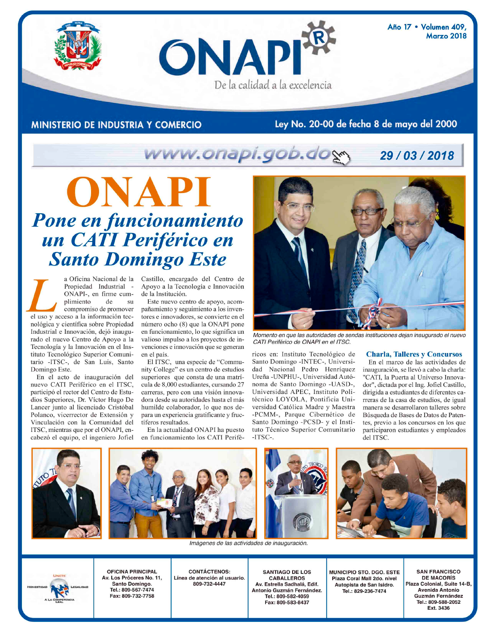ONAPI De la calidad a la excelencia

Año 17 · Volumen 409, **Marzo 2018** 

### **MINISTERIO DE INDUSTRIA Y COMERCIO**

## Ley No. 20-00 de fecha 8 de mayo del 2000

### www.onapi.gob.dos 29/03/2018

# ONAPI **Pone en funcionamiento<br>
un CATI Periférico en<br>
Santo Domingo Este**

a Oficina Nacional de la Propiedad Industrial -ONAPI-, en firme cumplimiento de  $\overline{\rm SU}$ compromiso de promover el uso y acceso a la información tecnológica y científica sobre Propiedad Industrial e Innovación, dejó inaugurado el nuevo Centro de Apoyo a la Tecnología y la Innovación en el Instituto Tecnológico Superior Comunitario -ITSC-, de San Luis, Santo Domingo Este.

En el acto de inauguración del nuevo CATI Periférico en el ITSC, participó el rector del Centro de Estudios Superiores, Dr. Víctor Hugo De Lancer junto al licenciado Cristóbal Polanco, vicerrector de Extensión y Vinculación con la Comunidad del ITSC, mientras que por el ONAPI, encabezó el equipo, el ingeniero Jofiel Castillo, encargado del Centro de Apoyo a la Tecnología e Innovación de la Institución.

Este nuevo centro de apoyo, acompañamiento y seguimiento a los inventores e innovadores, se convierte en el número ocho (8) que la ONAPI pone en funcionamiento, lo que significa un valioso impulso a los proyectos de invenciones e innovación que se generan en el país.

El ITSC, una especie de "Community College" es un centro de estudios superiores que consta de una matrícula de 8,000 estudiantes, cursando 27 carreras, pero con una visión innovadora desde su autoridades hasta el más humilde colaborador, lo que nos depara un experiencia gratificante y fructíferos resultados.

En la actualidad ONAPI ha puesto en funcionamiento los CATI Perifé-



Momento en que las autoridades de sendas instituciones dejan inaugurado el nuevo CATI Periférico de ONAPI en el ITSC.

ricos en: Instituto Tecnológico de Santo Domingo -INTEC-, Universidad Nacional Pedro Henríquez Ureña - UNPHU-, Universidad Autónoma de Santo Domingo -UASD-, Universidad APEC, Instituto Politécnico LOYOLA, Pontificia Universidad Católica Madre y Maestra -PCMM-, Parque Cibernético de Santo Domingo -PCSD- y el Instituto Técnico Superior Comunitario  $-TTSC-$ 

#### **Charla, Talleres y Concursos**

En el marco de las actividades de inauguración, se llevó a cabo la charla: "CATI, la Puerta al Universo Innovador", dictada por el Ing. Jofiel Castillo, dirigida a estudiantes de diferentes carreras de la casa de estudios, de igual manera se desarrollaron talleres sobre Búsqueda de Bases de Datos de Patentes, previo a los concursos en los que participaron estudiantes y empleados del ITSC.



**MUNICIPIO STO. DGO. ESTE** Plaza Coral Mall 2do, nivel Autopista de San Isidro. Tel.: 829-236-7474

**SAN FRANCISCO DE MACORÍS** Plaza Colonial, Suite 14-B, **Avenida Antonio** Guzmán Fernández Tel.: 809-588-2052 Ext. 3436



**CONTÁCTENOS:** Línea de atención al usuario. 809-732-4447

**SANTIAGO DE LOS CABALLEROS** Av. Estrella Sadhalá, Edif. Antonio Guzmán Fernández. Tel.: 809-582-4059 Fax: 809-583-8437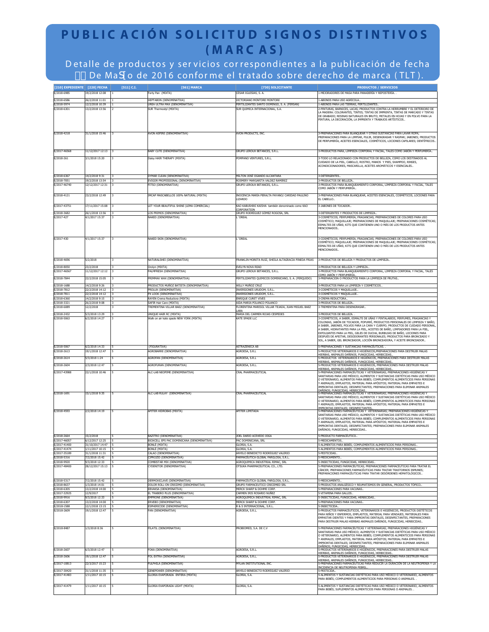# **PUBLIC ACIÓN SOLICITUD SIGNOS DISTINTIVOS (MARC AS)**

D etalle de productos y ser vicios cor respondientes a la publicación de fecha \$+ De Mad o de 2016 conforme el tratado sobre derecho de marca (TLT).

| [210] EXPEDIENTE [220] FECHA |                                     | $[511]$ C.I.                 | [561] MARCA                                                       | [730] SOLICITANTE                                                                | <b>PRODUCTOS / SERVICIOS</b>                                                                                                                                                                  |
|------------------------------|-------------------------------------|------------------------------|-------------------------------------------------------------------|----------------------------------------------------------------------------------|-----------------------------------------------------------------------------------------------------------------------------------------------------------------------------------------------|
| E/2018-6985                  | 19/2/2018 12:08                     |                              | Forty Pan (MIXTA)                                                 | CÉSAR IGLESIAS, S. A.                                                            | .-MEJORADORES DE MASA PARA PANADERÍA Y REPOSTERÍA. .                                                                                                                                          |
| E/2018-6586                  | 26/2/2018 11:01                     |                              | <b>IEPTABON (DENOMINATIVA)</b>                                    | <b>ICTORIANO MONTORE MONTORE</b>                                                 | -ABONOS PARA USO AGRÍCOLA.                                                                                                                                                                    |
| E/2018-5974<br>E/2018-6301   | 12/2/2018 10:39<br>13/2/2018 13:56  | $\overline{z}$               | UREA ULTRA MAX (DENOMINATIVA)<br>SUR Thermostyl (MIXTA)           | FERTILIZANTES SANTO DOMINGO, S. A. (FERSAN)<br>SUR QUIMICA INTERNACIONAL, S.A.   | 1-ABONOS PARA LAS TIERRAS, FERTILIZANTES.<br>2-PINTURAS, BARNICES, LACAS: PRODUCTOS CONTRA LA HERRUMBRE Y EL DETERIORO DE                                                                     |
|                              |                                     |                              |                                                                   |                                                                                  | LA MADERA: COLORANTES, TINTES; TINTAS DE IMPRENTA, TINTAS DE MARCADO Y TINTAS<br>DE GRABADO; RESINAS NATURALES EN BRUTO; METALES EN HOJAS Y EN POLVO PARA LA                                  |
|                              |                                     |                              |                                                                   |                                                                                  | PINTURA, LA DECORACIÓN, LA IMPRENTA Y TRABAJOS ARTÍSTICOS.                                                                                                                                    |
|                              |                                     |                              |                                                                   |                                                                                  |                                                                                                                                                                                               |
| E/2018-4218                  | 31/1/2018 15:46                     |                              | AVON ASPIRE (DENOMINATIVA)                                        | <b>NON PRODUCTS, INC.</b>                                                        | PREPARACIONES PARA BLANQUEAR Y OTRAS SUSTANCIAS PARA LAVAR ROPA                                                                                                                               |
|                              |                                     |                              |                                                                   |                                                                                  | PREPARACIONES PARA LA LIMPIAR, PULIR, DESENGRASAR Y RASPAR; JABONES; PRODUCTOS<br>DE PERFUMERÍA, ACEITES ESENCIALES, COSMÉTICOS, LOCIONES CAPILARES; DENTÍFRICOS.                             |
|                              |                                     |                              |                                                                   |                                                                                  |                                                                                                                                                                                               |
| E/2017-46568                 | 11/12/2017 12:13                    |                              | BABY CUTE (DENOMINATIVA)                                          | SRUPO LEROUX BETANCES, S.R.L.                                                    | 3-PRODUCTOS PARA, LIMPIEZA CORPORAL Y FACIAL, TALES COMO JABÓN Y PERFUMERÍA.                                                                                                                  |
| E/2018-261                   | 3/1/2018 15:20                      |                              | Daisy HAIR THERAPY (MIXTA)                                        | POMPANO VENTURES, S.R.L.                                                         | 3-TODO LO RELACIONADO CON PRODUCTOS DE BELLEZA, COMO LOS DESTINADOS AL                                                                                                                        |
|                              |                                     |                              |                                                                   |                                                                                  | CUIDADO DE LA PIEL, CABELLO, ROSTRO, MANOS Y PIES, SHAMPOO, RINSES,<br>ACONDICIONADORES, MASCARILLA, ACEITES AROMÁTICOS Y ESENCIALES.                                                         |
|                              |                                     |                              |                                                                   |                                                                                  |                                                                                                                                                                                               |
| E/2018-6367                  | 14/2/2018 9:31                      | $\overline{3}$               | DYMAR CLEAN (DENOMINATIVA)                                        | MILTON JOSÉ OGANDO ALCANTARA<br>ROSMERY MARGARITA VALDEZ RAMIREZ                 | 3-DETERGENTES                                                                                                                                                                                 |
| E/2018-7051<br>E/2017-46740  | 19/2/2018 13:54<br>12/12/2017 12:31 | 13                           | EVIGOR PROFESSIONAL (DENOMINATIVA)<br>FITSO (DENOMINATIVA)        | GRUPO LEROUX BETANCES, S.R.L.                                                    | 3-PRODUCTOS DE BELLEZA<br>3-PRODUCTOS PARA BLANQUEAMIENTO CORPORAL, LIMPIEZA CORPORAL Y FACIAL, TALES                                                                                         |
|                              |                                     |                              |                                                                   |                                                                                  | COMO JABÓN Y PERFUMERÍA                                                                                                                                                                       |
| E/2018-4121                  | 23/2/2018 12:49                     |                              | IMCAP MASCABELLOS 100% NATURAL (MIXTA)                            | INOCENCIA MARÍA PERALTA PAYANO/ CARIDAD PAULINO<br><b>IZARDO</b>                 | 3-PREPARACIONES PARA BLANQUEAR, ACEITES ESENCIALES, COSMÉTICOS, LOCIONES PARA<br>EL CABELLO.                                                                                                  |
| E/2017-43751                 | 17/11/2017 15:08                    |                              | LET YOUR BEAUTIFUL SHINE (LEMA COMERCIAL)                         | KAO KABUSHIKI KAISHA también denominado como KAO                                 | 3-JABONES DE TOCADOR                                                                                                                                                                          |
|                              |                                     |                              |                                                                   | <b>CORPORATION</b>                                                               |                                                                                                                                                                                               |
| E/2018-3682<br>E/2017-427    | 26/1/2018 13:56<br>4/1/2017 15:37   |                              | LOS PRIMOS (DENOMINATIVA)<br>VAKED (DENOMINATIVA)                 | SRUPO RODRÍGUEZ GÓMEZ ROGOSA, SRL<br><b>OREAL</b>                                | 3-DETERGENTES Y PRODUCTOS DE LIMPIEZA.<br>3-COSMÉTICOS; PERFUMERÍA; FRAGANCIAS; PREPARACIONES DE COLORES PARA USO                                                                             |
|                              |                                     |                              |                                                                   |                                                                                  | COSMÉTICO; MAQUILLAJE; PREPARACIONES DE MAQUILLAJE; PREPARACIONES COSMÉTICAS;<br>ESMALTES DE UÑAS; KITS QUE CONTIENEN UNO O MÁS DE LOS PRODUCTOS ANTES                                        |
|                              |                                     |                              |                                                                   |                                                                                  | MENCIONADOS                                                                                                                                                                                   |
|                              |                                     |                              |                                                                   |                                                                                  |                                                                                                                                                                                               |
| E/2017-430                   | 4/1/2017 15:37                      |                              | NAKED SKIN (DENOMINATIVA)                                         | OREAL                                                                            | -COSMÉTICOS; PERFUMERÍA; FRAGANCIAS; PREPARACIONES DE COLORES PARA USO<br>COSMÉTICO; MAQUILLAJE; PREPARACIONES DE MAQUILLAJE; PREPARACIONES COSMÉTICAS;                                       |
|                              |                                     |                              |                                                                   |                                                                                  | ESMALTES DE UÑAS; KITS QUE CONTIENEN UNO O MÁS DE LOS PRODUCTOS ANTES<br>MENCIONADOS                                                                                                          |
|                              |                                     |                              |                                                                   |                                                                                  |                                                                                                                                                                                               |
| E/2018-4696                  | 5/2/2018                            |                              | NATURALSHEI (DENOMINATIVA)                                        | RANKLIN MORETA RUIZ, SHEILA ALTAGRACIA PINEDA FRIAS                              | 3-PRODUCTOS DE BELLEZA Y PRODUCTOS DE LIMPIEZA                                                                                                                                                |
| E/2018-8050                  | 23/2/2018                           | $\overline{\mathbf{3}}$      | Orolyn (MIXTA)                                                    | EVELYN NOVA READ                                                                 | 3-PRODUCTOS DE BELLEZA Y LIMPIEZA                                                                                                                                                             |
| E/2017-46567                 | 11/12/2017 12:12                    | $\overline{\mathbf{3}}$      | PALMFRESH (DENOMINATIVA)                                          | SRUPO LEROUX BETANCES, S.R.L.                                                    | -PRODUCTOS PARA BLANQUEAMIENTO CORPORAL, LIMPIEZA CORPORAL Y FACIAL, TALES<br><u>IOMO JABÓN Y PERFUMERÍA.</u>                                                                                 |
| E/2018-7844                  | 22/2/2018 15:05                     |                              | PRIMMAX WAX (DENOMINATIVA)                                        | FERTILIZANTES QUIMICOS DOMINICANO, S. A. (FERQUIDO)                              | 3-PREPARACIÓN O PRODUCTOS PARA LA LIMPIEZA DE FRUTAS                                                                                                                                          |
| E/2018-1688                  | 14/2/2018 9:26                      |                              | PRODUCTOS MUÑOZ BATISTA (DENOMINATIVA)                            | WILLY MUÑOZ CRUZ                                                                 | 3-PRODUCTOS PARA LA LIMPIEZA Y COSMÉTICOS.                                                                                                                                                    |
| E/2018-7812<br>E/2018-7811   | 22/2/2018 14:12<br>22/2/2018 14:12  |                              | PROLUX (DENOMINATIVA)<br>X LOOK (DENOMINATIVA)                    | INVERSIONES URUDOM, S.R.L.<br>INVERSIONES URUDOM, S.R.L.                         | 3-COSMÉTICOS Y MAQUILLAJE.<br>3-COSMÉTICOS Y MAQUILLAJE.                                                                                                                                      |
| E/2018-6360                  | 14/2/2018 9:15                      | 3                            | RAYEN Crema Reductora (MIXTA)                                     | ENRIQUE CURET VIVES                                                              | 3-CREMA REDUCTORA.                                                                                                                                                                            |
| F/2018-3321<br>E/2018-6089   | 26/2/2018 9:08<br>12/2/2018         | $\overline{3}$               | SAFIR Hair Care (MIXTA)<br>TREMENTINA VILLAR BAEZ (DENOMINATIVA)  | AIDA MARIA POLANCO POLANCO<br>FLORENTINA MARISOL VILLAR TEJADA, JUAN MIGUEL BAEZ | 3-PRODUCTOS DE BELLEZA.<br>3-TREMENTINA PARA DESENGRASAR.                                                                                                                                     |
|                              |                                     |                              |                                                                   |                                                                                  |                                                                                                                                                                                               |
| E/2018-2432<br>E/2018-5063   | 5/3/2018 13:29<br>6/2/2018 14:27    | $\overline{\mathbf{3}}$<br>з | UNIQUE HAIR RC (MIXTA)<br>Walk on air kate spade NEW YORK (MIXTA) | MARIA DEL CARMEN ROJAS CESPEDES<br>KATE SPADE LLC                                | 3-PRODUCTOS DE BELLEZA.<br>3-COSMÉTICOS, A SABER, ESMALTE DE UÑAS Y PINTALABIOS, PERFUMES, FRAGANCIAS Y                                                                                       |
|                              |                                     |                              |                                                                   |                                                                                  | COLONIAS, JABÓN DE TOCADOR, POPURRÍ, PRODUCTOS PERSONALES DE LIMPIEZA Y BAÑO,<br>A SABER, JABONES, POLVOS PARA LA CARA Y CUERPO; PRODUCTOS DE CUIDADO PERSONAL                                |
|                              |                                     |                              |                                                                   |                                                                                  | A SABER, HIDRATANTES PARA LA PIEL, ACEITES DE BAÑO, LIMPIADORES PARA LA PIEL,                                                                                                                 |
|                              |                                     |                              |                                                                   |                                                                                  | EXFOLIANTES PARA LA PIEL, GELES DE DUCHA, BURBUJAS DE BAÑO, LOCIONES PARA<br>DESPUÉS DE AFEITAR, DESODORANTES PERSONALES; PRODUCTOS PARA BRONCEADO Y                                          |
|                              |                                     |                              |                                                                   |                                                                                  | SOL, A SABER, GEL BRONCEADOR, LOCIÓN BRONCEADORA, Y ACEITE BRONCEADOR                                                                                                                         |
| E/2018-5067<br>E/2018-2613   | 6/2/2018 14:33<br>19/1/2018 12:47   |                              | (FIGURATIVA)<br><b>AGROBARRE (DENOMINATIVA)</b>                   | <b>ASTRAZENECA AB</b><br>(GROESA, S.R.L                                          | PREPARACIONES Y SUSTANCIAS FARMACÉUTICAS.<br>-PRODUCTOS VETERINARIOS E HIGIÉNICOS, PREPARACIONES PARA DESTRUIR MALAS                                                                          |
| E/2018-2614                  | 5/3/2018 1:24                       |                              | AGROFAN (DENOMINATIVA)                                            | AGROESA, S.R.L                                                                   | HIERBAS, ANIMALES DAÑINOS, FUNGICIDAS, HERBICIDAS<br>5-PRODUCTOS VETERINARIOS E HIGIÉNICOS, PREPARACIONES PARA DESTRUIR MALAS                                                                 |
| E/2018-2604                  | 2/3/2018 12:47                      |                              | AGROFURAN (DENOMINATIVA)                                          | <b>GROESA, S.R.L.</b>                                                            | HIERBAS, ANIMALES DAÑINOS, FUNGICIDAS, HERBICIDAS<br>5-PRODUCTOS VETERINARIOS E HIGIÉNICOS, PREPARACIONES PARA DESTRUIR MALAS                                                                 |
|                              |                                     |                              |                                                                   |                                                                                  | hierbas, animales dañinos, fungicidas, herbicidas<br>5-preparaciones farmacéuticas y veterinarias; preparaciones higiénicas y                                                                 |
| E/2017-43988                 | 22/1/2018 10:46                     |                              | ALC-LAB NEOPIME (DENOMINATIVA)                                    | CRAL PHARMACEUTICAL                                                              | SANITARIAS PARA USO MÉDICO; ALIMENTOS Y SUSTANCIAS DIETÉTICAS PARA USO MÉDICO                                                                                                                 |
|                              |                                     |                              |                                                                   |                                                                                  | O VETERINARIO, ALIMENTOS PARA BEBÉS; COMPLEMENTOS ALIMENTICIOS PARA PERSONAS<br>Y ANIMALES; EMPLASTOS, MATERIAL PARA APÓSITOS; MATERIAL PARA EMPASTES E                                       |
|                              |                                     |                              |                                                                   |                                                                                  | IMPRONTAS DENTALES; DESINFECTANTES; PREPARACIONES PARA ELIMINAR ANIMALES                                                                                                                      |
| E/2018-1691                  | 15/1/2018 9:35                      |                              | ALC-LAB RULAY (DENOMINATIVA)                                      | CRAL PHARMACEUTICAL                                                              | ) AÑINOS: FUNGICIDAS, HERBICIDAS<br>5-PREPARACIONES FARMACÉUTICAS Y VETERINARIAS; PREPARACIONES HIGIÉNICAS Y<br>SANITARIAS PARA USO MÉDICO; ALIMENTOS Y SUSTANCIAS DIETÉTICAS PARA USO MÉDICO |
|                              |                                     |                              |                                                                   |                                                                                  | O VETERINARIO, ALIMENTOS PARA BEBÉS; COMPLEMENTOS ALIMENTICIOS PARA PERSONAS                                                                                                                  |
|                              |                                     |                              |                                                                   |                                                                                  | Y ANIMALES; EMPLASTOS, MATERIAL PARA APÓSITOS; MATERIAL PARA EMPASTES E<br>MPRONTAS DENTALES: DESINFECTANTES<br>5-PREPARACIONES FARMACÉUTICAS Y VETERINARIAS; PREPARACIONES HIGIÉNICAS "      |
| E/2018-4593                  | 2/2/2018 14:19                      |                              | APITER HIDROBAS (MIXTA)                                           | APITER LIMITADA                                                                  | SANITARIAS PARA USO MÉDICO; ALIMENTOS Y SUSTANCIAS DIETÉTICAS PARA USO MÉDICO                                                                                                                 |
|                              |                                     |                              |                                                                   |                                                                                  | O VETERINARIO, ALIMENTOS PARA BEBÉS; COMPLEMENTOS ALIMENTICIOS PARA PERSONAS<br>ANIMALES; EMPLASTOS, MATERIAL PARA APÓSITOS; MATERIAL PARA EMPASTES E                                         |
|                              |                                     |                              |                                                                   |                                                                                  | MPRONTAS DENTALES; DESINFECTANTES; PREPARACIONES PARA ELIMINAR ANIMALES<br>DAÑINOS; FUNGICIDAS, HERBICIDAS.                                                                                   |
|                              |                                     |                              | BAZITRO (DENOMINATIVA)                                            | JOEL DARIO ACEVEDO JOGA                                                          |                                                                                                                                                                                               |
| E/2018-2664<br>E/2017-46057  | 15/2/2018<br>6/12/2017 12:25        | l s<br>l s                   | BIOXCELL EPS PAC DOMINICANA (DENOMINATIVA)                        | PAC DOMINICANA, SRL                                                              | 5-PRODUCTO FARMACÉUTICO.<br>5-MEDICAMENTOS.                                                                                                                                                   |
| E/2017-41400<br>E/2017-41474 | 31/10/2017 14:47<br>1/11/2017 10:15 |                              | <b>BONLÉ</b> (MIXTA)<br><b>BONLÉ</b> (MIXTA)                      | SLORIA, S.A.<br><b>GLORIA, S.A.</b>                                              | 5-ALIMENTOS PARA BEBÉS: COMPLEMENTOS ALIMENTICIOS PARA PERSONAS<br>5-ALIMENTOS PARA BEBÉS; COMPLEMENTOS ALIMENTICIOS PARA PERSONAS                                                            |
| E/2017-35189                 | 31/1/2018 11:31                     |                              | CALAO (DENOMINATIVA)                                              | ANYELO BENEDICTO RODRÍGUEZ VALERIO                                               | 5-PESTICIDAS                                                                                                                                                                                  |
| E/2018-5316<br>E/2018-9920   | 7/2/2018 15:42<br>9/3/2018 12:33    |                              | <b>IPROZID (DENOMINATIVA)</b><br>COMBISTAR MIX (DENOMINATIVA)     | FARMACÉUTICA GLOBAL FARGLOSA, S.R.L.<br>AGROQUIMICA INDUSTRIAL RIMAC, SRL        | 5-MEDICAMENTO.<br>5-INSECTICIDAS, FUNGICIDAS, HERBICIDAS.                                                                                                                                     |
| E/2017-48400                 | 28/12/2017 15:13                    |                              | <b>YDENITOR (DENOMINATIVA)</b>                                    | OTSUKA PHARMACEUTICAL CO., LTD.                                                  | 5-PREPARACIONES FARMACÉUTICAS; PREPARACIONES FARMACÉUTICAS PARA TRATAR EL                                                                                                                     |
|                              |                                     |                              |                                                                   |                                                                                  | CÁNCER; PREPARACIONES FARMACÉUTICAS PARA TRATAR TRASTORNOS INMUNES;<br>PREPARACIONES FARMACÉUTICAS PARA TRATAR DESÓRDENES HEMATOLÓGICOS                                                       |
| E/2018-5317                  | 7/2/2018 15:42                      |                              | DERMOXICLAVE (DENOMINATIVA)                                       | FARMACÉUTICA GLOBAL FARGLOSA, S.R.L.                                             | 5-MEDICAMENTO.                                                                                                                                                                                |
| E/2018-8637                  | 1/3/2018 14:01                      | $\overline{\phantom{a}}$     | DOLOR ROLL-ON CRECEMD (DENOMINATIVA)                              | GRUPO FARMACEUTICO CRECEMED SRL                                                  | 5-PRODUCTOS ANALGÉSICO Y REUMATISMOS EN GENERAL, PRODUCTOS TÓPICO                                                                                                                             |
| E/2018-6305<br>E/2017-32925  | 13/2/2018 14:00<br>12/9/2017        | <b>5</b><br>5                | EBVAKSA (DENOMINATIVA)<br>EL TRABERO PLUS (DENOMINATIVA)          | MERCK SHARP & DOHME CORP.<br><b>CARMEN TRIS ROSARIO NUÑEZ</b>                    | 5-PREPARACIONES PARA VACUNAS.<br>5-VITAMINA PARA GALLOS.                                                                                                                                      |
| E/2018-9916                  | 9/3/2018 12:33                      |                              | MPRONE (DENOMINATIVA)                                             | AGROQUIMICA INDUSTRIAL RIMAC, SRL                                                | 5-INSECTICIDAS, FUNGICIDAS, HERBICIDAS.                                                                                                                                                       |
| E/2018-6307<br>E/2018-1588   | 13/2/2018 14:00<br>12/1/2018 13:15  |                              | ERVEBO (DENOMINATIVA)<br>ESPHERICIDE (DENOMINATIVA)               | MERCK SHARP & DOHME CORP.<br>R & S INTERNACIONAL, S.R.L                          | 5-PREPARACIONES PARA VACUNAS<br>5-INSECTICIDA                                                                                                                                                 |
| E/2018-2609                  | 19/1/2018 12:47                     |                              | AN (DENOMINATIVA)                                                 | <b>AGROESA, S.R.L.</b>                                                           | 5-PRODUCTOS FARMACÉUTICOS, VETERINARIOS E HIGIÉNICOS, PRODUCTOS DIETÉTICOS                                                                                                                    |
|                              |                                     |                              |                                                                   |                                                                                  | PARA NIÑOS Y ENFERMOS, EMPLASTOS, MATERIAL PARA VENDAJES, MATERIALES PARA<br>EMPASTAR DIENTES Y PARA IMPRONTAS DENTALES, DESINFECTANTES, PREPARACIONES                                        |
|                              |                                     |                              |                                                                   |                                                                                  | PARA DESTRUIR MALAS HIERBAS ANIMALES DAÑINOS, FUNGICIDAS, HERBICIDAS.                                                                                                                         |
| E/2018-8487                  | 1/3/2018 8:36                       |                              | FILATIL (DENOMINATIVA)                                            | ROBIOMED, S.A. DE C.V.                                                           | 5-PREPARACIONES FARMACÉUTICAS Y VETERINARIAS; PREPARACIONES HIGIÉNICAS Y<br>SANITARIAS PARA USO MÉDICO; ALIMENTOS Y SUSTANCIAS DIETÉTICAS PARA USO MÉDICO                                     |
|                              |                                     |                              |                                                                   |                                                                                  | O VETERINARIO, ALIMENTOS PARA BEBÉS; COMPLEMENTOS ALIMENTICIOS PARA PERSONAS<br>Y ANIMALES; EMPLASTOS, MATERIAL PARA APÓSITOS; MATERIAL PARA EMPASTES E                                       |
|                              |                                     |                              |                                                                   |                                                                                  | IMPRONTAS DENTALES; DESINFECTANTES; PREPARACIONES PARA ELIMINAR ANIMALES                                                                                                                      |
| E/2018-2607                  | 6/3/2018 12:47                      |                              | OKA (DENOMINATIVA)                                                | <b>GROESA, S.R.L.</b>                                                            | a months described and the contract of the DATA DANINGS: FUNGICIDAS.<br>S-PRODUCTOS VETERINARIOS E HIGIÉNICOS, PREPARACIONES PARA DESTRUIR MALAS                                              |
| E/2018-2606                  | 19/1/2018 12:47                     |                              | FOL EXTRA (DENOMINATIVA)                                          | (GROESA, S.R.L.                                                                  | -<br>HIERBAS, ANIMALES DAÑINOS, FUNGICIDAS, HERBICIDAS<br>5-PRODUCTOS VETERINARIOS E HIGIÉNICOS, PREPARACIONES PARA DESTRUIR MALAS                                                            |
| E/2017-10813                 | 22/3/2017 15:23                     |                              | FULPHILA (DENOMINATIVA)                                           | <b>IYLAN INSTITUTIONAL INC.</b>                                                  | IIERBAS, ANIMALES DAÑINOS, FUNGICIDAS, HERBICIDAS.<br>5-PREPARACIONES FARMACÉUTICAS PARA REDUCIR LA DURACIÓN DE LA NEUTROPENIA Y LA                                                           |
| E/2017-30420                 | 31/1/2018 11:35                     |                              | GENEPOWER (DENOMINATIVA)                                          | ANYELO BENEDICTO RODRÍGUEZ VALERIO                                               | INCIDENCIA DE NEUTROPENIA FEBRI<br>5-PESTICIDA.                                                                                                                                               |
| E/2017-41483                 | 1/11/2017 10:15                     |                              | LORIA EVAPORADA ENTERA (MIXTA)                                    | SLORIA, S.A.                                                                     | 5-ALIMENTOS Y SUSTANCIAS DIETÉTICAS PARA USO MÉDICO O VETERINARIO, ALIMENTOS                                                                                                                  |
|                              |                                     |                              |                                                                   |                                                                                  | PARA BEBÉS; COMPLEMENTOS ALIMENTICIOS PARA PERSONAS O ANIMALES.                                                                                                                               |
| E/2017-41479                 | 1/11/2017 10:15                     |                              | GLORIA EVAPORADA LIGHT (MIXTA)                                    | GLORIA, S.A.                                                                     | 5-ALIMENTOS Y SUSTANCIAS DIETÉTICAS PARA USO MÉDICO O VETERINARIO, ALIMENTOS<br>PARA BEBÉS; SUPLEMENTOS ALIMENTICIOS PARA PERSONAS O ANIMALES.                                                |
|                              |                                     |                              |                                                                   |                                                                                  |                                                                                                                                                                                               |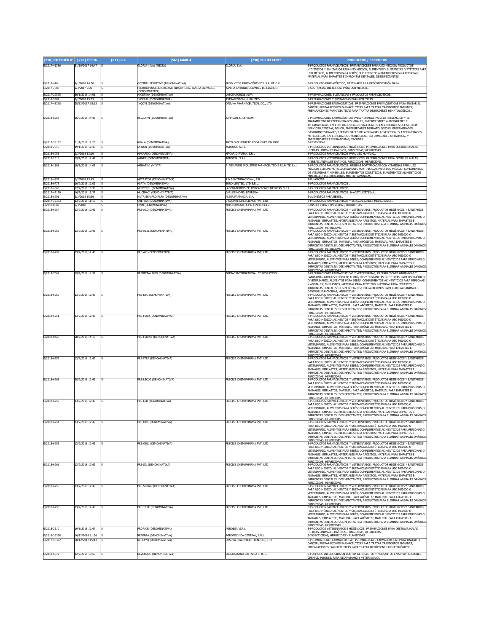| [210] EXPEDIENTE [220] FECHA |                                    | [511] C.I. | [561] MARCA                                                                             | [730] SOLICITANTE                                                           | <b>PRODUCTOS / SERVICIOS</b>                                                                                                                                                                                                                                                                                                                                                                                                  |
|------------------------------|------------------------------------|------------|-----------------------------------------------------------------------------------------|-----------------------------------------------------------------------------|-------------------------------------------------------------------------------------------------------------------------------------------------------------------------------------------------------------------------------------------------------------------------------------------------------------------------------------------------------------------------------------------------------------------------------|
| E/2017-41386                 | 31/10/2017 14:47                   |            | <b>GLORIA</b> infant (MIXTA)                                                            | GLORIA, S.A.                                                                | 5-PRODUCTOS FARMACÉUTICOS, PREPARACIONES PARA USO MÉDICO; PRODUCTOS<br>HIGIÉNICOS Y SANITARIOS PARA USO MÉDICO; ALIMENTOS Y SUSTANCIAS DIETÉTICAS PARA<br>USO MÉDICO, ALIMENTOS PARA BEBÉS; SUPLEMENTOS ALIMENTICIOS PARA PERSONAS;<br>MATERIAL PARA EMPASTES E IMPRONTAS DENTALES; DESINFECTANTES.                                                                                                                           |
| E/2018-410<br>E/2017-7688    | 4/1/2018 14:30<br>2/3/2017 9:22    | 5          | GOTINAL SENSITIVE (DENOMINATIVA)<br>HIDROLIPOESCULTURA ASISTIDA BY DRA, YANIRA OLIVARES | PRODUCTOS FARMACÉUTICOS, S.A. DE C.V.<br>YANIRA ANTONIA OLIVARES DE LIZARDO | 5-PRODUCTO FARMACÉUTICO, DESTINADO A LA DESCONGESTIÓN NASAL.<br>5-SUSTANCIAS DIETETICAS PARA USO MEDICO                                                                                                                                                                                                                                                                                                                       |
| E/2017-22525                 | 30/1/2018 14:01                    |            | (DENOMINATIVA)<br>HIOSPINA (DENOMINATIVA)                                               | <b>LABORATORIOS ALEA</b>                                                    | 5-PREPARACIONES, SUSTANCIAS Y PRODUCTOS FARMACÉUTICOS                                                                                                                                                                                                                                                                                                                                                                         |
| /2018-5581<br>E/2017-48398   | 3/2/2018 15:35<br>28/12/2017 15:13 | 5          | INDERAL (DENOMINATIVA)<br>INQOVI (DENOMINATIVA)                                         | ASTRAZENECA UK LIMITEI<br>OTSUKA PHARMACEUTICAL CO., LTD.                   | -PREPARACIONES Y SUSTANCIAS FARMACÉUTICAS.<br>5-PREPARACIONES FARMACÉUTICAS; PREPARACIONES FARMACÉUTICAS PARA TRATAR EL                                                                                                                                                                                                                                                                                                       |
| E/2018-8268                  |                                    |            | KELZORVI (DENOMINATIVA)                                                                 | JOHNSON & JOHNSON                                                           | CÁNCER; PREPARACIONES FARMACÉUTICAS PARA TRATAR TRASTORNOS INMUNES;<br>PREPARACIONES FARMACÉUTICAS PARA TRATAR DESÓRDENES HEMATOLÓGICOS.<br>5-PREPARACIONES FARMACÉUTICAS PARA HUMANOS PARA LA PREVENCIÓN Y EL                                                                                                                                                                                                                |
|                              | 26/2/2018 14:48                    |            |                                                                                         |                                                                             | TRATAMIENTO DE ENFERMEDADES VIRALES, ENFERMEDADES AUTOINMUNES E<br>INFLAMATORIAS, ENFERMEDADES CARDIOVASCULARES, ENFERMEDADES DEL SISTEMA<br>NERVIOSO CENTRAL, DOLOR, ENFERMEDADES DERMATOLÓGICAS, ENFERMEDADES<br>GASTROINTESTINALES, ENFERMEDADES RELACIONADAS A INFECCIONES, ENFERMEDADES<br>METABÓLICAS, ENFERMEDADES ONCOLÓGICAS, ENFERMEDADES OFTÁLMICAS Y<br>ENFERMEDADES RESPIRATORIAS: VACUNAS.                      |
| E/2017-35182<br>/2018-2615   | 31/1/2018 11:25<br>19/1/2018 12:47 | 5          | (OALA (DENOMINATIVA)<br>ATION (DENOMINATIVA)                                            | ANYELO BENEDICTO RODRÍGUEZ VALERIO<br><b>AGROESA, S.R.L</b>                 | 5-PESTICIDAS.<br>5-PRODUCTOS VETERINARIOS E HIGIÉNICOS, PREPARACIONES PARA DESTRUIR MALAS                                                                                                                                                                                                                                                                                                                                     |
| /2018-6051                   | 2/3/2018 13:10                     |            | <b>MACAFOX (DENOMINATIVA)</b>                                                           | MACARIO FARMA, S.R.L                                                        | IIERBAS, ANIMALES DAÑINOS, FUNGICIDAS, HERBICIDAS<br>PRODUCTOS FARMACÉUTICOS PARA USO HUMANO.                                                                                                                                                                                                                                                                                                                                 |
| E/2018-2616<br>E/2018-1101   | 19/1/2018 12:47<br>10/1/2018 14:05 |            | <b>AANDE (DENOMINATIVA)</b><br>MENARINI (MIXTA)                                         | AGROESA, S.R.L<br>A. MENARINI INDUSTRIE FARMACEUTICHE RIUNITE S.r.l.        | -<br>FRODUCTOS VETERINARIOS E HIGIÉNICOS, PREPARACIONES PARA DESTRUIR MALAS<br>HIERBAS, ANIMALES DAÑINOS, FUNGICIDAS, HERBICIDAS<br>5-PRODUCTOS FARMACÉUTICOS; BEBIDAS FORTIFICADAS CON VITAMINAS PARA USO                                                                                                                                                                                                                    |
|                              |                                    |            |                                                                                         |                                                                             | MÉDICO; BEBIDAS NUTRICIONALMENTE FORTIFICADAS PARA USO MÉDICO; SUPLEMENTOS<br>DE VITAMINAS Y MINERALES; SUPLEMENTOS DIURÉTICOS; SUPLEMENTOS ALIMENTICIOS<br>MINERALES: PREPARACIONES MULTIVITAMÍNICAS                                                                                                                                                                                                                         |
| E/2018-4352<br>/2018-6778    | 1/2/2018 13:45<br>16/2/2018 12:02  | -5<br>5    | METASTOR (DENOMINATIVA)<br>MIRTA (DENOMINATIVA)                                         | R & S INTERNACIONAL, S.R.L.<br>EURO LIMITED, LTD S.R.L.                     | 5-FUNGICIDA.<br>5-PRODUCTOS FARMACÉUTICOS.                                                                                                                                                                                                                                                                                                                                                                                    |
| E/2018-4866                  | 22/2/2018 15:36                    | 5          | <b>MISOTROL (DENOMINATIVA)</b>                                                          | LABORATORIOS DE APLICACIONES MÉDICAS, S.R.L.                                | 5-PRODUCTOS FARMACÉUTICOS.                                                                                                                                                                                                                                                                                                                                                                                                    |
| /2017-47170<br>E/2018-8901   | 16/2/2018 15:37<br>2/3/2018 15:36  |            | 4UCINACÍ (DENOMINATIVA)<br>NUTRIBEN PRO-ALFA (DENOMINATIVA)                             | CARLOS MOREL BARRERA<br>ALTER FARMACIA, S.A.                                | -PRODUCTOS FARMACÉUTICOS: N-ACETILCISTEINA.<br>5-ALIMENTOS PARA BEBÉS.                                                                                                                                                                                                                                                                                                                                                        |
| E/2017-39303<br>/2018-8809   | 13/2/2018 11:10<br>2/3/2018        | 5          | OBE-ZAR (DENOMINATIVA)<br>OWN (DENOMINATIVA)                                            | U SQUARE LIFESCIENCE PVT. LTD<br>YRIS MARGARITA PAULINO GOMEZ               | 5-PRODUCTOS FARMACÉUTICOS Y ESPECIALIDADES MEDICINALES<br>5-INSECTICIDA, FUNGICIDAS, HERBICIDAS.                                                                                                                                                                                                                                                                                                                              |
| E/2018-6257                  | 13/2/2018 12:49                    |            | <b>PRE-ACO (DENOMINATIVA)</b>                                                           | PRECISE CHEMIPHARMA PVT. LTD                                                | 5-PRODUCTOS FARMACÉUTICOS Y VETERINARIOS; PRODUCTOS HIGIÉNICOS Y SANITARIOS<br>PARA USO MEDICO; ALIMENTOS Y SUSTANCIAS DIETÉTICAS PARA USO MEDICO O<br>VETERINARIO, ALIMENTOS PARA BEBÉS: COMPLEMENTOS ALIMENTICIOS PARA PERSONAS O<br>ANIMALES; EMPLASTES, MATERIALES PARA APÓSITOS; MATERIAL PARA EMPASTES E<br>IMPRONTAS DENTALES; DESINFECTANTES; PRODUCTOS PARA ELIMINAR ANIMALES DAÑINOS                                |
| E/2018-6262                  | 13/2/2018 12:49                    |            | <b>PRE-AZEL (DENOMINATIVA)</b>                                                          | PRECISE CHEMIPHARMA PVT. LTD                                                | <u>FUNGICIDAS, HERBICIDAS</u><br>5-PRODUCTOS FARMACÉUTICOS Y VETERINARIOS; PRODUCTOS HIGIÉNICOS Y SANITARIOS<br>PARA USO MÉDICO: ALIMENTOS Y SUSTANCIAS DIETÉTICAS PARA USO MÉDICO O<br>VETERINARIO, ALIMENTOS PARA BEBÉS; COMPLEMENTOS ALIMENTICIOS PARA PERSONAS O<br>ANIMALES; EMPLASTOS, MATERIAL PARA APÓSITOS; MATERIAL PARA EMPASTES E<br>IMPRONTAS DENTALES; DESINFECTANTES; PRODUCTOS PARA ELIMINAR ANIMALES DAÑINOS |
| E/2018-6259                  | 13/2/2018 12:49                    |            | PRE-AZI (DENOMINATIVA)                                                                  | PRECISE CHEMIPHARMA PVT. LTD                                                | FUNGICIDAS, HERBICIDAS<br>PRODUCTOS FARMACÉUTICOS Y VETERINARIOS; PRODUCTOS HIGIÉNICOS Y SANITARIOS                                                                                                                                                                                                                                                                                                                           |
|                              |                                    |            |                                                                                         |                                                                             | PARA USO MEDICO; ALIMENTOS Y SUSTANCIAS DIETÉTICAS PARA USO MEDICO O<br>VETERINARIO, ALIMENTOS PARA BEBÉS; COMPLEMENTOS ALIMENTICIOS PARA PERSONAS O<br>ANIMALES; EMPLASTES, MATERIALES PARA APÓSITOS; MATERIAL PARA EMPASTES E<br>IMPRONTAS DENTALES; DESINFECTANTES; PRODUCTOS PARA ELIMINAR ANIMALES DAÑINOS<br>UNGICIDAS, HERBICIDAS                                                                                      |
| E/2018-7068                  | 19/2/2018 14:31                    |            | PREBICTAL DUO (DENOMINATIVA)                                                            | ZODIAC INTERNATIONAL CORPORATION                                            | 5-PREPARACIONES FARMACÉUTICAS Y VETERINARIAS; PREPARACIONES HIGIÉNICAS Y<br>SANITARIAS PARA USO MÉDICO; ALIMENTOS Y SUSTANCIAS DIETÉTICAS PARA USO MÉDICO<br>O VETERINARIO, ALIMENTOS PARA BEBÉS; COMPLEMENTOS ALIMENTICIOS PARA PERSONAS<br>Y ANIMALES; EMPLASTOS, MATERIAL PARA APÓSITOS; MATERIAL PARA EMPASTES E<br>IMPRONTAS DENTALES; DESINFECTANTES; PREPARACIONES PARA ELIMINAR ANIMALES                              |
| E/2018-6260                  | 13/2/2018 12:49                    |            | PRE-ESO (DENOMINATIVA)                                                                  | PRECISE CHEMIPHARMA PVT. LTD                                                | <u>DAÑINOS: FUNGICIDAS, HERBICIDAS.</u><br>5-PRODUCTOS FARMACÉUTICOS Y VETERINARIOS; PRODUCTOS HIGIÉNICOS Y SANITARIOS<br>PARA USO MÉDICO; ALIMENTOS Y SUSTANCIAS DIETÉTICAS PARA USO MÉDICO O                                                                                                                                                                                                                                |
|                              |                                    |            |                                                                                         |                                                                             | VETERINARIO, ALIMENTOS PARA BEBÉS; COMPLEMENTOS ALIMENTICIOS PARA PERSONAS O<br>ANIMALES; EMPLASTOS, MATERIAL PARA APÓSITOS; MATERIAL PARA EMPASTES E<br>IMPRONTAS DENTALES; DESINFECTANTES; PRODUCTOS PARA ELIMINAR ANIMALES DAÑINOS<br>FUNGICIDAS, HERBICIDAS                                                                                                                                                               |
| E/2018-6251                  | 13/2/2018 12:49                    |            | PRE-FEBU (DENOMINATIVA)                                                                 | PRECISE CHEMIPHARMA PVT. LTD                                                | 5-PRODUCTOS FARMACÉUTICOS Y VETERINARIOS; PRODUCTOS HIGIÉNICOS Y SANITARIOS<br>PARA USO MÉDICO; ALIMENTOS Y SUSTANCIAS DIETÉTICAS PARA USO MÉDICO O<br>VETERINARIO, ALIMENTOS PARA BEBÉS; COMPLEMENTOS ALIMENTICIOS PARA PERSONAS O<br>ANIMALES; EMPLASTOS, MATERIAL PARA APÓSITOS; MATERIAL PARA EMPASTES E<br>IMPRONTAS DENTALES; DESINFECTANTES; PRODUCTOS PARA ELIMINAR ANIMALES DAÑINOS                                  |
| E/2018-8425                  | 28/2/2018 14:19                    |            | PRE-FLUPIR (DENOMINATIVA)                                                               | PRECISE CHEMIPHARMA PVT. LTD                                                | FUNGICIDAS, HERBICIDAS,<br>5-PRODUCTOS FARMACÉUTICOS Y VETERINARIOS; PRODUCTOS HIGIÉNICOS Y SANITARIOS<br>PARA USO MÉDICO; ALIMENTOS Y SUSTANCIAS DIETÉTICAS PARA USO MÉDICO O<br>VETERINARIO, ALIMENTOS PARA BEBÉS; COMPLEMENTOS ALIMENTICIOS PARA PERSONAS O<br>ANIMALES; EMPLASTOS, MATERIAL PARA APÓSITOS; MATERIAL PARA EMPASTES E<br>IMPRONTAS DENTALES; DESINFECTANTES; PRODUCTOS PARA ELIMINAR ANIMALES DAÑINOS       |
| E/2018-6252                  | 13/2/2018 12:49                    |            | PRE-ITRA (DENOMINATIVA)                                                                 | PRECISE CHEMIPHARMA PVT. LTD                                                | FUNGICIDAS, HERBICIDAS,<br>5-PRODUCTOS FARMACÉUTICOS Y VETERINARIOS; PRODUCTOS HIGIÉNICOS Y SANITARIOS<br>PARA USO MEDICO; ALIMENTOS Y SUSTANCIAS DIETÉTICAS PARA USO MEDICO O<br>VETERINARIO, ALIMENTOS PARA BEBÉS; COMPLEMENTOS ALIMENTICIOS PARA PERSONAS O<br>ANIMALES; EMPLASTES, MATERIALES PARA APÓSITOS; MATERIAL PARA EMPASTES E                                                                                     |
| E/2018-6263                  | 28/2/2018 12:49                    |            | PRE-LECLO (DENOMINATIVA)                                                                | PRECISE CHEMIPHARMA PVT. LTD                                                | IMPRONTAS DENTALES; DESINFECTANTES; PRODUCTOS PARA ELIMINAR ANIMALES DAÑINOS<br>UNGICIDAS, HERBICIDAS,<br>5-PRODUCTOS FARMACÉUTICOS Y VETERINARIOS; PRODUCTOS HIGIÉNICOS Y SANITARIOS<br>PARA USO MÉDICO: ALIMENTOS Y SUSTANCIAS DIETÉTICAS PARA USO MÉDICO O                                                                                                                                                                 |
|                              |                                    |            |                                                                                         |                                                                             | VETERINARIO, ALIMENTOS PARA BEBÉS; COMPLEMENTOS ALIMENTICIOS PARA PERSONAS O<br>ANIMALES; EMPLASTOS, MATERIAL PARA APÓSITOS; MATERIAL PARA EMPASTES E<br>IMPRONTAS DENTALES; DESINFECTANTES; PRODUCTOS PARA ELIMINAR ANIMALES DAÑINOS<br>FUNGICIDAS, HERBICIDAS                                                                                                                                                               |
| E/2018-6253                  | 13/2/2018 12:49                    |            | PRE-LER (DENOMINATIVA)                                                                  | PRECISE CHEMIPHARMA PVT. LTD                                                | 5-PRODUCTOS FARMACÉUTICOS Y VETERINARIOS; PRODUCTOS HIGIÉNICOS Y SANITARIOS<br>PARA USO MEDICO; ALIMENTOS Y SUSTANCIAS DIETÉTICAS PARA USO MEDICO O<br>VETERINARIO, ALIMENTOS PARA BEBÉS; COMPLEMENTOS ALIMENTICIOS PARA PERSONAS O<br>ANIMALES: EMPLASTES, MATERIALES PARA APÓSITOS: MATERIAL PARA EMPASTES E<br>MPRONTAS DENTALES; DESINFECTANTES; PRODUCTOS PARA ELIMINAR ANIMALES DANINO:                                 |
| E/2018-6254                  | 13/2/2018 12:49                    |            | <b>RE-OME (DENOMINATIVA)</b>                                                            | PRECISE CHEMIPHARMA PVT. LTD                                                | FUNGICIDAS, HERBICIDAS,<br>5-PRODUCTOS FARMACÉUTICOS Y VETERINARIOS; PRODUCTOS HIGIÉNICOS Y SANITARIOS<br>PARA USO MEDICO; ALIMENTOS Y SUSTANCIAS DIETÉTICAS PARA USO MEDICO O<br>VETERINARIO, ALIMENTOS PARA BEBÉS; COMPLEMENTOS ALIMENTICIOS PARA PERSONAS O<br>ANIMALES; EMPLASTES, MATERIALES PARA APÓSITOS; MATERIAL PARA EMPASTES E<br>IMPRONTAS DENTALES; DESINFECTANTES; PRODUCTOS PARA ELIMINAR ANIMALES DAÑINOS     |
| E/2018-6255                  | 13/2/2018 12:49                    |            | PRE-ORLI (DENOMINATIVA)                                                                 | PRECISE CHEMIPHARMA PVT. LTD                                                | <b>INGICIDAS, HERBICIDAS.</b><br>5-PRODUCTOS FARMACÉUTICOS Y VETERINARIOS; PRODUCTOS HIGIÉNICOS Y SANITARIOS<br>PARA USO MEDICO; ALIMENTOS Y SUSTANCIAS DIETÉTICAS PARA USO MEDICO O<br>VETERINARIO, ALIMENTOS PARA BEBÉS; COMPLEMENTOS ALIMENTICIOS PARA PERSONAS O<br>ANIMALES; EMPLASTES, MATERIALES PARA APÓSITOS; MATERIAL PARA EMPASTES E                                                                               |
| E/2018-6261                  | 13/2/2018 12:49                    |            | <b>PRE-SIL (DENOMINATIVA)</b>                                                           | PRECISE CHEMIPHARMA PVT. LTD                                                | IMPRONTAS DENTALES; DESINFECTANTES; PRODUCTOS PARA ELIMINAR ANIMALES DAÑINOS<br>FUNGICIDAS, HERBICIDAS,<br>S-PRODUCTOS FARMACÉUTICOS Y VETERINARIOS; PRODUCTOS HIGIÉNICOS Y SANITARIOS<br>PARA USO MEDICO; ALIMENTOS Y SUSTANCIAS DIETÉTICAS PARA USO MEDICO O<br>VETERINARIO. ALIMENTOS PARA BEBÉS: COMPLEMENTOS ALIMENTICIOS PARA PERSONAS O                                                                                |
| E/2018-6256                  | 13/2/2018 12:49                    |            | PRE-SILDAP (DENOMINATIVA)                                                               | PRECISE CHEMIPHARMA PVT. LTD                                                | ANIMALES; EMPLASTES, MATERIALES PARA APÓSITOS; MATERIAL PARA EMPASTES E<br>IMPRONTAS DENTALES; DESINFECTANTES; PRODUCTOS PARA ELIMINAR ANIMALES DAÑINOS<br>FUNGICIDAS, HERBICIDAS<br>5-PRODUCTOS FARMACÉUTICOS Y VETERINARIOS; PRODUCTOS HIGIÉNICOS Y SANITARIOS                                                                                                                                                              |
|                              |                                    |            |                                                                                         |                                                                             | PARA USO MÉDICO; ALIMENTOS Y SUSTANCIAS DIETÉTICAS PARA USO MÉDICO O<br>VETERINARIO, ALIMENTOS PARA BEBÉS; COMPLEMENTOS ALIMENTICIOS PARA PERSONAS O<br>ANIMALES; EMPLASTOS, MATERIAL PARA APÓSITOS; MATERIAL PARA EMPASTES E<br>IMPRONTAS DENTALES; DESINFECTANTES; PRODUCTOS PARA ELIMINAR ANIMALES DAÑINOS,                                                                                                                |
| E/2018-6258                  | 13/2/2018 12:49                    |            | RE-TENE (DENOMINATIVA)                                                                  | PRECISE CHEMIPHARMA PVT. LTD                                                | <br>FUNGICIDAS, HERBICIDAS.<br>5-PRODUCTOS FARMACÉUTICOS Y VETERINARIOS; PRODUCTOS HIGIÉNICOS Y SANITARIOS<br>PARA USO MÉDICO; ALIMENTOS Y SUSTANCIAS DIETÉTICAS PARA USO MÉDICO O<br>VETERINARIO, ALIMENTOS PARA BEBÉS; COMPLEMENTOS ALIMENTICIOS PARA PERSONAS O<br>ANIMALES; EMPLASTOS, MATERIAL PARA APÓSITOS; MATERIAL PARA EMPASTES E<br>IMPRONTAS DENTALES; DESINFECTANTES; PRODUCTOS PARA ELIMINAR ANIMALES DAÑINOS,  |
| E/2018-2610                  | 19/1/2018 12:47                    |            | PRORICE (DENOMINATIVA)                                                                  | AGROESA, S.R.L.                                                             | FUNGICIDAS, HERBICIDAS,<br>-<br>-- PRODUCTOS VETERINARIOS E HIGIÉNICOS, PREPARACIONES PARA DESTRUIR MALAS                                                                                                                                                                                                                                                                                                                     |
| E/2016-36368                 | 16/12/2016 11:36                   |            | REBENZA (DENOMINATIVA)                                                                  | AGROTECNICA CENTRAL, S.R.L.                                                 | <u>HIERBAS, ANIMALES DAÑINOS, FUNGICIDAS, HERBICIDAS</u><br>5-INSECTICIDAS, HERBICIDAS Y FUNGICIDAS                                                                                                                                                                                                                                                                                                                           |
| E/2017-48397                 | 28/12/2017 15:13                   |            | REDEMVI (DENOMINATIVA)                                                                  | OTSUKA PHARMACEUTICAL CO., LTD                                              | 5-PREPARACIONES FARMACÉUTICAS; PREPARACIONES FARMACÉUTICAS PARA TRATAR EL<br>CÁNCER; PREPARACIONES FARMACÉUTICAS PARA TRATAR TRASTORNOS INMUNES;<br>PREPARACIONES FARMACÉUTICAS PARA TRATAR DESÓRDENES HEMATOLÓGICOS.                                                                                                                                                                                                         |
| E/2018-6072                  | 12/2/2018 13:53                    |            | EVENQUE (DENOMINATIVA)                                                                  | ABORATORIO BRITANIA S. R. L.                                                | -FORMULA INSECTICIDA EN CONTRA DE INSECTOS Y MOSQUITOS EN SPRAY, LOCIONES,<br>CREMAS, JABONES, PARA USO HUMANO Y VETERINARIO.                                                                                                                                                                                                                                                                                                 |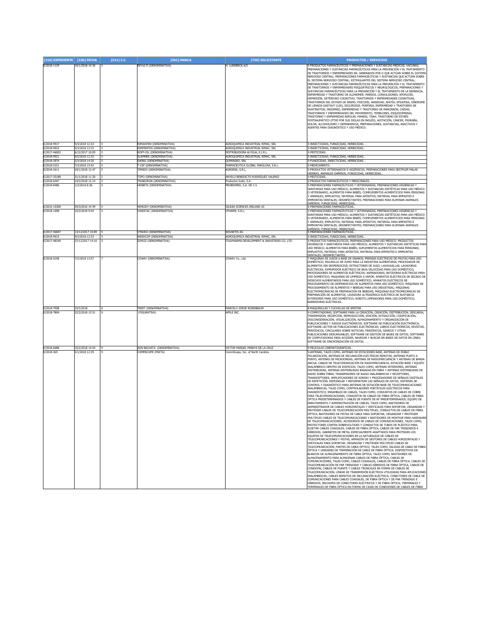| [210] EXPEDIENTE            | [220] FECHA                        | [511] C.I. | [561] MARCA                                             | [730] SOLICITANTE                                                      | <b>PRODUCTOS / SERVICIOS</b>                                                                                                                                                                                                                                                                                                                                                                                                                                                                                                                                                                                                                                                                                                                                                                                                                                                                                                                                                                                                                                                                                                                                                                                                                                                                                                                                                                                                                                                                                                                                                                                                                                                                                                                                                                                                                                                                                                                                                                                                                                                                                                                                                                                                                                                                                                                                                                                                                                                                                                                                                                                                                                                                                                                                                                                                                                                                                                                                                                  |
|-----------------------------|------------------------------------|------------|---------------------------------------------------------|------------------------------------------------------------------------|-----------------------------------------------------------------------------------------------------------------------------------------------------------------------------------------------------------------------------------------------------------------------------------------------------------------------------------------------------------------------------------------------------------------------------------------------------------------------------------------------------------------------------------------------------------------------------------------------------------------------------------------------------------------------------------------------------------------------------------------------------------------------------------------------------------------------------------------------------------------------------------------------------------------------------------------------------------------------------------------------------------------------------------------------------------------------------------------------------------------------------------------------------------------------------------------------------------------------------------------------------------------------------------------------------------------------------------------------------------------------------------------------------------------------------------------------------------------------------------------------------------------------------------------------------------------------------------------------------------------------------------------------------------------------------------------------------------------------------------------------------------------------------------------------------------------------------------------------------------------------------------------------------------------------------------------------------------------------------------------------------------------------------------------------------------------------------------------------------------------------------------------------------------------------------------------------------------------------------------------------------------------------------------------------------------------------------------------------------------------------------------------------------------------------------------------------------------------------------------------------------------------------------------------------------------------------------------------------------------------------------------------------------------------------------------------------------------------------------------------------------------------------------------------------------------------------------------------------------------------------------------------------------------------------------------------------------------------------------------------------|
| E/2018-1129                 | 10/1/2018 14:36                    |            | REYULTI (DENOMINATIVA)                                  | H. LUNDBECK A/S                                                        | 5-PRODUCTOS FARMACÉUTICOS Y PREPARACIONES Y SUSTANCIAS MÉDICAS; VACUNAS;<br>PREPARACIONES Y SUSTANCIAS FARMACÉUTICAS PARA LA PREVENCIÓN Y EL TRATAMIENTO<br>DE TRASTORNOS Y ENFERMEDADES EN, GENERADOS POR O QUE ACTÚAN SOBRE EL SISTEMA<br>NERVIOSO CENTRAL; PREPARACIONES FARMACÉUTICAS Y SUSTANCIAS QUE ACTÚAN SOBRE<br>EL SISTEMA NERVIOSO CENTRAL; ESTIMULANTES DEL SISTEMA NERVIOSO CENTRAL;<br>PREPARACIONES Y SUSTANCIAS FARMACÉUTICAS PARA LA PREVENCIÓN Y EL TRATAMIENTO<br>DE TRASTORNOS Y ENFERMEDADES PSIQUIÁTRICOS Y NEUROLÓGICOS; PREPARACIONES Y<br>SUSTANCIAS FARMACÉUTICAS PARA LA PREVENCIÓN Y EL TRATAMIENTO DE LA DEMENCIA,<br>ENFERMEDAD Y TRASTORNO DE ALZHEIMER, MAREOS, CONVULSIONES, APOPLEJÍA,<br>DEPRESIÓN, DETERIORO COGNITIVO, TRASTORNOS Y ENFERMEDADES COGNITIVAS,<br>TRASTORNOS DEL ESTADO DE ÁNIMO, PSICOSIS, ANSIEDAD, APATÍA, EPILEPSIA, SÍNDROME<br>DE LENNOX-GASTAUT (LGS), ESCLEROSIS, PORFIRIA, ENFERMEDAD Y TRASTORNO DE<br>HUNTINGTON, INSOMNIO, ENFERMEDAD Y TRASTORNO DE PARKINSON, CAÍDAS.<br>TRASTORNOS Y ENFERMEDADES DEL MOVIMIENTO, TEMBLORES, ESQUIZOFRENIA,<br>TRASTORNO Y ENFERMEDAD BIPOLAR, MANÍAS, TDAH, TRASTORNO DE ESTRÉS<br>POSTRAUMÁTICO (PTSD POR SUS SIGLAS EN INGLÉS), AGITACIÓN, CÁNCER, MIGRAÑA,<br>DOLOR, ALCOHOLISMO Y DEPENDENCIA; PREPARACIONES, SUSTANCIAS, REACTIVOS Y<br>AGENTES PARA DIAGNÓSTICO Y USO MÉDICO.                                                                                                                                                                                                                                                                                                                                                                                                                                                                                                                                                                                                                                                                                                                                                                                                                                                                                                                                                                                                                                                                                                                                                                                                                                                                                                                                                                                                                                                                                                                                                                                                       |
| E/2018-9917<br>E/2018-9922  | 9/3/2018 12:33<br>9/3/2018 12:33   |            | RIMAXIFEN (DENOMINATIVA)<br>RIMPIRIFOS (DENOMINATIVA)   | AGROQUIMICA INDUSTRIAL RIMAC, SRL<br>AGROQUIMICA INDUSTRIAL RIMAC, SRL | 5-INSECTICIDAS, FUNGICIDAS, HERBICIDAS.<br>5-INSECTICIDAS, FUNGICIDAS, HERBICIDAS,                                                                                                                                                                                                                                                                                                                                                                                                                                                                                                                                                                                                                                                                                                                                                                                                                                                                                                                                                                                                                                                                                                                                                                                                                                                                                                                                                                                                                                                                                                                                                                                                                                                                                                                                                                                                                                                                                                                                                                                                                                                                                                                                                                                                                                                                                                                                                                                                                                                                                                                                                                                                                                                                                                                                                                                                                                                                                                            |
| E/2017-46002                | 6/12/2017 10:05                    |            | ROFF-OIL (DENOMINATIVA)                                 | DISTRIBUIDORA ALYGUA, E.I.R.L.                                         | 5-PESTICIDAS.                                                                                                                                                                                                                                                                                                                                                                                                                                                                                                                                                                                                                                                                                                                                                                                                                                                                                                                                                                                                                                                                                                                                                                                                                                                                                                                                                                                                                                                                                                                                                                                                                                                                                                                                                                                                                                                                                                                                                                                                                                                                                                                                                                                                                                                                                                                                                                                                                                                                                                                                                                                                                                                                                                                                                                                                                                                                                                                                                                                 |
| E/2018-9921                 | 9/3/2018 12:33                     |            | SLAMMER (DENOMINATIVA)                                  | AGROQUIMICA INDUSTRIAL RIMAC, SRL                                      | 5-INSECTICIDAS, FUNGICIDAS, HERBICIDAS                                                                                                                                                                                                                                                                                                                                                                                                                                                                                                                                                                                                                                                                                                                                                                                                                                                                                                                                                                                                                                                                                                                                                                                                                                                                                                                                                                                                                                                                                                                                                                                                                                                                                                                                                                                                                                                                                                                                                                                                                                                                                                                                                                                                                                                                                                                                                                                                                                                                                                                                                                                                                                                                                                                                                                                                                                                                                                                                                        |
| E/2018-2874<br>E/2018-5321  | 2/3/2018 14:20<br>7/2/2018 15:42   |            | SWING (DENOMINATIVA)<br>-CEF (DENOMINATIVA)             | OUIMAGRO, SRL<br>FARMACÉUTICA GLOBAL FARGLOSA, S.R.L.                  | -FUNGICIDAS, INSECTICIDAS, HERBICIDAS.<br>-MEDICAMENTO                                                                                                                                                                                                                                                                                                                                                                                                                                                                                                                                                                                                                                                                                                                                                                                                                                                                                                                                                                                                                                                                                                                                                                                                                                                                                                                                                                                                                                                                                                                                                                                                                                                                                                                                                                                                                                                                                                                                                                                                                                                                                                                                                                                                                                                                                                                                                                                                                                                                                                                                                                                                                                                                                                                                                                                                                                                                                                                                        |
| F/2018-2611                 | 19/1/2018 12:47                    |            | TEMIDO (DENOMINATIVA)                                   | <b>AGROESA S.R.L.</b>                                                  | 5-PRODUCTOS VETERINARIOS E HIGIÉNICOS, PREPARACIONES PARA DESTRUIR MALAS                                                                                                                                                                                                                                                                                                                                                                                                                                                                                                                                                                                                                                                                                                                                                                                                                                                                                                                                                                                                                                                                                                                                                                                                                                                                                                                                                                                                                                                                                                                                                                                                                                                                                                                                                                                                                                                                                                                                                                                                                                                                                                                                                                                                                                                                                                                                                                                                                                                                                                                                                                                                                                                                                                                                                                                                                                                                                                                      |
|                             |                                    |            |                                                         |                                                                        | <u> HERBAS, ANIMALES DAÑINOS, FUNGICIDAS, HERBICIDAS.</u>                                                                                                                                                                                                                                                                                                                                                                                                                                                                                                                                                                                                                                                                                                                                                                                                                                                                                                                                                                                                                                                                                                                                                                                                                                                                                                                                                                                                                                                                                                                                                                                                                                                                                                                                                                                                                                                                                                                                                                                                                                                                                                                                                                                                                                                                                                                                                                                                                                                                                                                                                                                                                                                                                                                                                                                                                                                                                                                                     |
| E/2017-35188<br>E/2018-6447 | 31/1/2018 11:30<br>14/2/2018 12:14 |            | TOPO (DENOMINATIVA)<br>TRINEURON (DENOMINATIVA)         | ANYELO BENEDICTO RODRÍGUEZ VALERIO<br>Productos Gutis, S.A             | 5-PESTICIDAS<br>5-PRODUCTOS FARMACÉUTICOS Y MEDICINALES.                                                                                                                                                                                                                                                                                                                                                                                                                                                                                                                                                                                                                                                                                                                                                                                                                                                                                                                                                                                                                                                                                                                                                                                                                                                                                                                                                                                                                                                                                                                                                                                                                                                                                                                                                                                                                                                                                                                                                                                                                                                                                                                                                                                                                                                                                                                                                                                                                                                                                                                                                                                                                                                                                                                                                                                                                                                                                                                                      |
| E/2018-8486                 | 1/3/2018 8:36                      |            | <b>JRIBETA (DENOMINATIVA)</b>                           | PROBIOMED, S.A. DE C.V                                                 | 5-PREPARACIONES FARMACÉUTICAS Y VETERINARIAS; PREPARACIONES HIGIÉNICAS<br>SANITARIAS PARA USO MÉDICO; ALIMENTOS Y SUSTANCIAS DIETÉTICAS PARA USO MÉDICO<br>O VETERINARIO, ALIMENTOS PARA BEBÉS; COMPLEMENTOS ALIMENTICIOS PARA PERSONAS<br>' ANIMALES; EMPLASTOS, MATERIAL PARA APÓSITOS; MATERIAL PARA EMPASTES E<br>IMPRONTAS DENTALES; DESINFECTANTES; PREPARACIONES PARA ELIMINAR ANIMALES<br><u> DAÑINOS: FUNGICIDAS, HERBICIDAS,</u>                                                                                                                                                                                                                                                                                                                                                                                                                                                                                                                                                                                                                                                                                                                                                                                                                                                                                                                                                                                                                                                                                                                                                                                                                                                                                                                                                                                                                                                                                                                                                                                                                                                                                                                                                                                                                                                                                                                                                                                                                                                                                                                                                                                                                                                                                                                                                                                                                                                                                                                                                    |
| E/2016-10368<br>E/2018-1698 | 29/3/2016 14:49<br>15/2/2018 9:44  |            | VEMLIDY (DENOMINATIVA)<br><b>IGESTAC (DENOMINATIVA)</b> | GILEAD SCIENCES IRELAND UC<br>PHARM, S.R.L.                            | i-PREPARACIONES FARMACÉUTICAS.<br>-PREPARACIONES FARMACÉUTICAS Y VETERINARIAS; PREPARACIONES HIGIÉNICAS<br>SANITARIAS PARA USO MÉDICO; ALIMENTOS Y SUSTANCIAS DIETÉTICAS PARA USO MÉDICO<br>O VETERINARIO, ALIMENTOS PARA BEBÉS; COMPLEMENTOS ALIMENTICIOS PARA PERSONAS<br>/ ANIMALES; EMPLASTOS, MATERIAL PARA APÓSITOS; MATERIAL PARA EMPASTES E<br>MPRONTAS DENTALES; DESINFECTANTES; PREPARACIONES PARA ELIMINAR ANIMALES<br>DAÑINOS: FUNGICIDAS, HERBICIDAS                                                                                                                                                                                                                                                                                                                                                                                                                                                                                                                                                                                                                                                                                                                                                                                                                                                                                                                                                                                                                                                                                                                                                                                                                                                                                                                                                                                                                                                                                                                                                                                                                                                                                                                                                                                                                                                                                                                                                                                                                                                                                                                                                                                                                                                                                                                                                                                                                                                                                                                             |
| :/2017-46847                | 3/12/2017 10:09                    |            | <b>YNCRO</b> (DENOMINATIVA)                             | NOVARTIS AG                                                            | PREPARACIONES FARMACÉUTICAS.                                                                                                                                                                                                                                                                                                                                                                                                                                                                                                                                                                                                                                                                                                                                                                                                                                                                                                                                                                                                                                                                                                                                                                                                                                                                                                                                                                                                                                                                                                                                                                                                                                                                                                                                                                                                                                                                                                                                                                                                                                                                                                                                                                                                                                                                                                                                                                                                                                                                                                                                                                                                                                                                                                                                                                                                                                                                                                                                                                  |
| E/2018-9915                 | 9/3/2018 12:33                     |            | WEEDCOP (DENOMINATIVA)                                  | AGROQUIMICA INDUSTRIAL RIMAC, SRL                                      | -INSECTICIDAS, FUNGICIDAS, HERBICIDAS.                                                                                                                                                                                                                                                                                                                                                                                                                                                                                                                                                                                                                                                                                                                                                                                                                                                                                                                                                                                                                                                                                                                                                                                                                                                                                                                                                                                                                                                                                                                                                                                                                                                                                                                                                                                                                                                                                                                                                                                                                                                                                                                                                                                                                                                                                                                                                                                                                                                                                                                                                                                                                                                                                                                                                                                                                                                                                                                                                        |
| E/2017-48240                | 27/12/2017 14:16                   |            | OPIZZ (DENOMINATIVA)                                    | TALPHARMA DEVELOPMENT & INDUSTRIES CO. LTD.                            | -PRODUCTOS FARMACÉUTICOS, PREPARACIONES PARA USO MÉDICO; PRODUCTOS<br>HIGIÉNICOS Y SANITARIOS PARA USO MÉDICO; ALIMENTOS Y SUSTANCIAS DIETÉTICAS PARA<br>USO MÉDICO, ALIMENTOS PARA BEBÉS; SUPLEMENTOS ALIMENTICIOS PARA PERSONAS;<br>EMPLASTOS, MATERIAL PARA APÓSITOS; MATERIAL PARA EMPASTES E IMPRONTAS<br>DENTALES; DESINFECTANTES                                                                                                                                                                                                                                                                                                                                                                                                                                                                                                                                                                                                                                                                                                                                                                                                                                                                                                                                                                                                                                                                                                                                                                                                                                                                                                                                                                                                                                                                                                                                                                                                                                                                                                                                                                                                                                                                                                                                                                                                                                                                                                                                                                                                                                                                                                                                                                                                                                                                                                                                                                                                                                                       |
| E/2018-5258                 | 7/2/2018 13:57                     |            | COWAY (DENOMINATIVA)                                    | COWAY Co., Ltd.                                                        | MÁQUINAS DE JUGOS A BASE DE GRANOS; PRENSAS ELÉCTRICAS DE FRUTAS PARA USO<br>DOMÉSTICO; MOLINILLO DE ZUMO PARA LA INDUSTRIA ALIMENTARIA; PROCESADOR DE<br>ALIMENTOS SIN DESPERDICIOS; EXTRACTORES DE JUGO; LAVAVAJILLAS; LAVADORAS<br>ELÉCTRICAS; EXPRIMIDOR ELÉCTRICO DE BAJA VELOCIDAD PARA USO DOMÉSTICO;<br>PROCESADORES DE ALIMENTOS ELÉCTRICOS; ASPIRADORAS; BATIDORAS ELÉCTRICAS PARA<br>USO DOMÉSTICO; MAQUINAS DE LIMPIEZA A VAPOR; APARATOS ELÉCTRICOS DE SECADO DE<br>DESECHOS ALIMENTARIOS PARA USO DOMÉSTICO; APARATOS ELÉCTRICOS DE<br>PROCESAMIENTO DE DESPERDICIOS DE ALIMENTOS PARA USO DOMÉSTICO; MÁQUINAS DE<br>PROCESAMIENTO DE ALIMENTOS Y BEBIDAS PARA USO INDUSTRIAL; MÁQUINAS<br>ELECTROMECÁNICAS DE PREPARACIÓN DE BEBIDAS; MÁQUINAS ELECTROMECÁNICAS DE<br>PREPARACIÓN DE ALIMENTOS; LAVADORA ULTRASÓNICA ELÉCTRICA DE SUSTANCIA<br>EXTERIORES PARA USO DOMÉSTICO; ROBOTS LIMPIADORES PARA USO DOMÉSTICO;<br>BARREDORAS ELÉCTRICAS                                                                                                                                                                                                                                                                                                                                                                                                                                                                                                                                                                                                                                                                                                                                                                                                                                                                                                                                                                                                                                                                                                                                                                                                                                                                                                                                                                                                                                                                                                                                                                                                                                                                                                                                                                                                                                                                                                                                                                                                                                  |
| E/2018-7908<br>E/2018-7804  | 23/2/2018<br>22/2/2018 13:51       | 8          | TREET (DENOMINATIVA)<br>(FIGURATIVA)                    | MARCELO JORGE ROSENBAUM<br>APPLE INC.                                  | 8-MAQUINILLAS Y CUCHILLAS DE AFEITAR<br>9-COMPUTADORAS; SOFTWARE PARA LA CREACIÓN, CREACIÓN, DISTRIBUCIÓN, DESCARGA,                                                                                                                                                                                                                                                                                                                                                                                                                                                                                                                                                                                                                                                                                                                                                                                                                                                                                                                                                                                                                                                                                                                                                                                                                                                                                                                                                                                                                                                                                                                                                                                                                                                                                                                                                                                                                                                                                                                                                                                                                                                                                                                                                                                                                                                                                                                                                                                                                                                                                                                                                                                                                                                                                                                                                                                                                                                                          |
|                             |                                    |            |                                                         |                                                                        | TRANSMISIÓN, RECEPCIÓN, REPRODUCCIÓN, EDICIÓN, EXTRACCIÓN, CODIFICACIÓN,<br>DESCONSIDERACIÓN, VISUALIZACIÓN, ALMACENAMIENTO Y ORGANIZACIÓN DE<br>PUBLICACIONES Y JUEGOS ELECTRÓNICOS; SOFTWARE DE PUBLICACIÓN ELECTRÓNICA;<br>SOFTWARE LECTOR DE PUBLICACIONES ELECTRÓNICAS; LIBROS ELECTRÓNICOS, REVISTAS,<br>PERIÓDICOS, CIRCULARES SOBRE NOTICIAS, PERIÓDICOS, DIARIOS Y OTRAS<br>PUBLICACIONES DESCARGABLES; SOFTWARE DE GESTIÓN DE BASES DE DATOS; SOFTWARE<br>DE COMPUTADORAS PARA ACCEDER, NAVEGAR Y BUSCAR EN BASES DE DATOS EN LÍNEA;<br>SOFTWARE DE SINCRONIZACIÓN DE DATOS.                                                                                                                                                                                                                                                                                                                                                                                                                                                                                                                                                                                                                                                                                                                                                                                                                                                                                                                                                                                                                                                                                                                                                                                                                                                                                                                                                                                                                                                                                                                                                                                                                                                                                                                                                                                                                                                                                                                                                                                                                                                                                                                                                                                                                                                                                                                                                                                                        |
| E/2018-6688                 | 15/2/2018 14:54                    |            | ADN BACHATA (DENOMINATIVA)                              | VICTOR MANUEL MINAYA DE LA CRUZ                                        | -PELÍCULAS CINEMATOGRÁFICAS.                                                                                                                                                                                                                                                                                                                                                                                                                                                                                                                                                                                                                                                                                                                                                                                                                                                                                                                                                                                                                                                                                                                                                                                                                                                                                                                                                                                                                                                                                                                                                                                                                                                                                                                                                                                                                                                                                                                                                                                                                                                                                                                                                                                                                                                                                                                                                                                                                                                                                                                                                                                                                                                                                                                                                                                                                                                                                                                                                                  |
| E/2018-365                  | 4/1/2018 12:39                     |            | COMMSCOPE (MIXTA)                                       | ommScope, Inc. of North Carolina                                       | -ANTENAS, TALES COMO, ANTENAS DE ESTACIONES BASE, ANTENAS DE DOBLE<br>POLARIZACIÓN, ANTENAS DE INCLINACIÓN ELÉCTRICAS REMOTAS, ANTENAS PUNTO A<br>PUNTO, ANTENAS DE MICROONDAS, ANTENAS DE RADIOFRECUENCIA Y ANTENAS DE BANDA<br>ANCHA; CABLES DE TELECOMUNICACIÓN DE RADIOFRECUENCIA; ESTACIÓN BASE Y EQUIPO<br>INALÁMBRICO DENTRO DE EDIFICIOS, TALES COMO, ANTENAS INTERIORES, ANTENAS<br>DISTRIBUIDAS, ANTENAS DISTRIBUIDAS BASADAS EN FIBRA Y ANTENAS DISTRIBUIDAS DE<br>RADIO SOBRE FIBRA; TRANSMISORES DE RADIO INALÁMBRICOS Y RECEPTORES,<br>TRANSCEPTORES. AMPLIFICADORES DE SONIDO Y PROCESADORES DE SEÑALES DIGITALES<br>DE REPETICIÓN. REMODELAR Y REFORMATEAR LAS SEÑALES DE DATOS: SISTEMAS DE<br>CONTROL Y DIAGNÓSTICO PARA ANTENAS DE ESTACIÓN BASE DE TELECOMUNICACIONES<br>INALÁMBRICAS, TALES COMO, CONTROLADORES PORTÁTILES ELÉCTRICOS PARA<br>DIAGNÓSTICO; ENSAMBLES DE CABLES, TALES COMO, CONJUNTOS DE CABLES DE COBRE<br>PARA TELECOMUNICACIONES, CONJUNTOS DE CABLES DE FIBRA ÓPTICA, CABLES DE FIBRA<br>ÓPTICA PREDETERMINADOS Y CABLES DE PUENTE DE RF PREDETERMINADOS; EQUIPO DE<br>ENRUTAMIENTO Y ADMINISTRACIÓN DE CABLES, TALES COMO, BASTIDORES DE<br>ADMINISTRADOR DE CABLES HORIZONTALES Y VERTICALES PARA SOPORTAR. ORGANIZAR Y<br>PROTEGER CABLES DE TELECOMUNICACIÓN MÚLTIPLES, CONDUCTOS DE CABLES DE FIBRA<br>ES DE PISTAS DE CABLE PARA SOPORTAR, ORGANIZAR<br>MÚLTIPLES CABLES DE TELECOMUNICACIONES Y BASTIDORES DE MONTAJE PARA HARDWARE<br>DE TELECOMUNICACIONES; ACCESORIOS DE CABLES DE COMUNICACIONES, TALES COMO,<br>PROTECTORES CONTRA SOBREVOLTAJES Y CONDUCTOS DE TUBOS DE PLÁSTICO PARA<br>SUJETAR CABLES COAXIALES, CABLES DE FIBRA ÓPTICA, CABLES DE PAR TRENZADOS E<br>HÍBRIDOS; GABINETES DE METAL ESPECIALMENTE ADAPTADOS PARA PROTEGER LOS<br>EQUIPOS DE TELECOMUNICACIONES EN LA NATURALEZA DE CABLES DE<br>TELECOMUNICACIONES Y PISTAS, ARMAZÓN DE GESTORES DE CABLES HORIZONTALES Y<br>VERTICALES PARA SOPORTAR, ORGANIZAR Y PROTEGER MÚLTIPLES CABLES DE<br>TELECOMUNICACIÓN; PARTES DE CABLE ÓPTICO, TALES COMO, SALIDAS DE CABLE DE FIBRA<br>ÓPTICA Y UNIDADES DE TERMINACIÓN DE CABLE DE FIBRA ÓPTICA; DISPOSITIVOS EN<br>BLANCOS DE ALMACENAMIENTO DE FIBRA ÓPTICA, TALES COMO, BASTIDORES DE<br>ALMACENAMIENTO PARA ALMACENAR CABLES DE FIBRA ÓPTICA; CABLES DE<br>COMUNICACIONES, TALES COMO, CABLES COAXIALES, CABLES DE FIBRA ÓPTICA, CABLES DE<br>TELECOMUNICACIÓN DE PAR TRENZADO Y CABLES HÍBRIDOS DE FIBRA ÓPTICA, CABLES DE<br>CONEXIÓN, CABLES DE PUENTE Y CABLES TRONCALES EN FORMA DE CABLES DE<br>TELECOMUNICACIÓN; LÍNEAS DE TRANSMISIÓN ELÉCTRICA UTILIZADAS PARA APLICACIONES<br>INALÁMBRICAS; CABLES REMOTOS DE INCLINACIÓN ELÉCTRICA; CONECTORES DE CABLE DE<br>COMUNICACIONES PARA CABLES COAXIALES, DE FIBRA ÓPTICA Y DE PAR TRENZADO E<br>HÍBRIDOS: ENCHUFES DE CONECTORES ELÉCTRICOS Y DE FIBRA ÓPTICA: TERMINALES Y<br>TERMINALES DE FIBRA ÓPTICA EN FORMA DE CAJAS DE CONEXIONES DE CABLES DE FIBRA |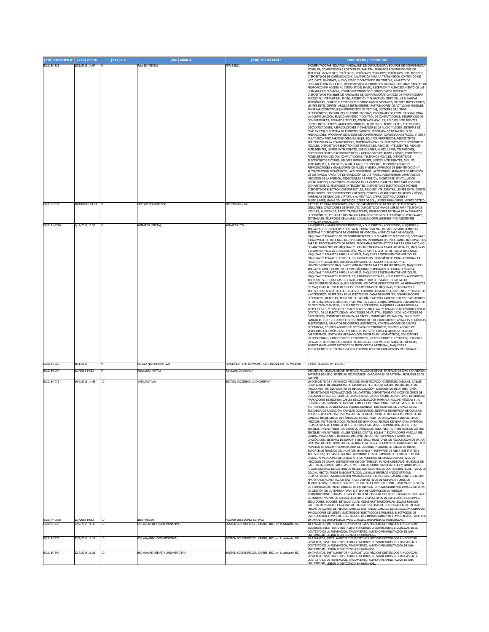| [210] EXPEDIENTE [220] FECHA |                                   | $[511]$ C.I. | [561] MARCA                         | [730] SOLICITANTE                                      | <b>PRODUCTOS / SERVICIOS</b>                                                                                                                                                                                                                                                                                                                                                                                                                                                                                                                                                                                                                                                                                                                                                                                                                                                                                                                                                                                                                                                                                                                                                                                                                                                                                                                                                                                                                                                                                                                                                                                                                                                                                                                                                                                                                                                                                                                                                                                                                                                                                                                                                                                                                                                                                                                                                                                                                                                                                                                                                                                                                                                                                                                                                                                                                                                                                                                                                                                                                        |
|------------------------------|-----------------------------------|--------------|-------------------------------------|--------------------------------------------------------|-----------------------------------------------------------------------------------------------------------------------------------------------------------------------------------------------------------------------------------------------------------------------------------------------------------------------------------------------------------------------------------------------------------------------------------------------------------------------------------------------------------------------------------------------------------------------------------------------------------------------------------------------------------------------------------------------------------------------------------------------------------------------------------------------------------------------------------------------------------------------------------------------------------------------------------------------------------------------------------------------------------------------------------------------------------------------------------------------------------------------------------------------------------------------------------------------------------------------------------------------------------------------------------------------------------------------------------------------------------------------------------------------------------------------------------------------------------------------------------------------------------------------------------------------------------------------------------------------------------------------------------------------------------------------------------------------------------------------------------------------------------------------------------------------------------------------------------------------------------------------------------------------------------------------------------------------------------------------------------------------------------------------------------------------------------------------------------------------------------------------------------------------------------------------------------------------------------------------------------------------------------------------------------------------------------------------------------------------------------------------------------------------------------------------------------------------------------------------------------------------------------------------------------------------------------------------------------------------------------------------------------------------------------------------------------------------------------------------------------------------------------------------------------------------------------------------------------------------------------------------------------------------------------------------------------------------------------------------------------------------------------------------------------------------------|
| E/2018-1823                  | 15/1/2018 14:07                   |              | Face ID (MIXTA)                     | APPLE INC.                                             | 9-COMPUTADORAS; EQUIPOS (HARDWARE) DE COMPUTADORA; EQUIPOS DE COMPUTADORA<br>PONIBLES, COMPUTADORAS PORTÁTILES; TABLETA; APARATOS E INSTRUMENTOS DE<br>TELECOMUNICACIONES; TELÉFONOS; TELÉFONOS CELULARES; TELÉFONOS INTELIGENTES;<br>DISPOSITIVOS DE COMUNICACIÓN INALÁMBRICA PARA LA TRANSMISIÓN CONTENIDO DE<br>VOZ, DATA, IMÁGENES, AUDIO, VIDEO Y CONTENIDO MULTIMEDIA; APARATO DE<br>COMUNICACIÓN EN LA RED: DISPOSITIVOS ELECTRÓNICOS DIGITALES DE MANO CAPACES DI<br>PROPORCIONAR ACCESO AL INTERNET DEL ENVÍO, RECEPCIÓN Y ALMACENAMIENTO DE LAS<br>LLAMADAS TELEFÓNICAS, CORREO ELECTRÓNICO Y OTROS DATOS DIGITALES;<br>DISPOSITIVOS PONIBLES DE HARDWARE DE COMPUTADORAS CAPACES DE PROPORCIONAR<br>ACCESO AL INTERNET DEL ENVÍO, RECEPCIÓN Y ALMACENAMIENTO DE LAS LLAMADAS<br>TELEFÓNICAS, CORREO ELECTRÓNICO Y OTROS DATOS DIGITALES; RELOJES INTELIGENTES;<br>ENTES INTELIGENTES, ANILLOS INTELIGENTES; RASTREADORES DE ACTIVIDAD PONIBLES;<br>PULSERAS CONECTADAS [INSTRUMENTOS DE MEDIDA]; LECTORES DE LIBROS<br>ELECTRÓNICOS; PROGRAMAS DE COMPUTADORAS; PROGRAMAS DE COMPUTADORAS PARA<br>LA CONFIGURACIÓN, FUNCIONAMIENTO Y CONTROL DE COMPUTADORAS, PERIFÉRICOS DE                                                                                                                                                                                                                                                                                                                                                                                                                                                                                                                                                                                                                                                                                                                                                                                                                                                                                                                                                                                                                                                                                                                                                                                                                                                                                                                                                                                                                                                                                                                                                                                                                                                                                                                                                                                                                                                             |
|                              |                                   |              |                                     |                                                        | COMPUTADORAS, APARATOS MÓVILES, TELÉFONOS MÓVILES; RELOJES INTELIGENTES.<br>LENTES INTELIGENTES, APARATOS PONIBLES, AUDÍFONOS, AURICULARES, TELEVISORES,<br>DECODIFICADORES, REPRODUCTORES Y GRABADORES DE AUDIO Y VIDEO, SISTEMAS DE<br>CINE EN CASA Y SISTEMA DE ENTRETENIMIENTO; PROGRAMA DE DESARROLLO DE<br>APLICACIONES; PROGRAMA DE JUEGOS DE COMPUTADORA; CONTENIDO DE AUDIO, VIDEO Y<br>MULTIMEDIA PREGRABADOS DESCARGABLES; EQUIPOS PERIFÉRICOS; DISPOSITIVOS<br>PERIFÉRICOS PARA COMPUTADORAS, TELÉFONOS MÓVILES, DISPOSITIVOS ELECTRÓNICOS<br>MÓVILES, DISPOSITIVOS ELECTRÓNICOS PORTÁTILES, RELOJES INTELIGENTES, RELOJES<br>INTELIGENTES, LENTES INTELIGENTES, AURICULARES, AURICULARES, TELEVISORES,<br>DECODIFICADORES Y REPRODUCTORES Y GRABADORES DE AUDIO Y VÍDEO; PERIFÉRICOS<br>PONIBLES PARA USO CON COMPUTADORAS, TELÉFONOS MÓVILES, DISPOSITIVOS<br>ELECTRÓNICOS MÓVILES, RELOJES INTELIGENTES, LENTES INTELIGENTES, ANILLOS<br>INTELIGENTES, AUDÍFONOS, AURICULARES, TELEVISORES, DECODIFICADORES Y<br>REPRODUCTORES Y GRABADORES DE AUDIO Y VÍDEO; APARATOS DE IDENTIFICACIÓN Y                                                                                                                                                                                                                                                                                                                                                                                                                                                                                                                                                                                                                                                                                                                                                                                                                                                                                                                                                                                                                                                                                                                                                                                                                                                                                                                                                                                                                                                                                                                                                                                                                                                                                                                                                                                                                                                                                                                                           |
|                              |                                   |              |                                     |                                                        | AUTENTICACIÓN BIOMÉTRICOS; ACELERÓMETROS; ALTÍMETROS; APARATOS DE MEDICIÓN<br>DE DISTANCIA; APARATOS DE GRABACIÓN DE DISTANCIA; PODÓMETROS; APARATOS DE<br>MEDICIÓN DE LA PRESIÓN; INDICADORES DE PRESIÓN; MONITORES, PANTALLAS DE<br>VISUALIZACIÓN, MONITORES MONTADOS EN LA CABEZA Y AURICULARES PARA USO CON<br>COMPUTADORAS, TELÉFONOS INTELIGENTES, DISPOSITIVOS ELECTRÓNICOS MÓVILES,<br>DISPOSITIVOS ELECTRÓNICOS PORTÁTILES, RELOJES INTELIGENTES, LENTES INTELIGENTES<br>TELEVISORES, DECODIFICADORES Y REPRODUCTORES Y GRABADORES DE AUDIO Y VÍDEO;<br>PANTALLAS DE REALIDAD VIRTUAL Y AUMENTADA, GAFAS, CONTROLADORES Y<br>AURICULARES; GAFAS 3D; ANTEOJOS; GAFAS DE SOL; LENTES PARA GAFAS; VIDRIO ÓPTICO;                                                                                                                                                                                                                                                                                                                                                                                                                                                                                                                                                                                                                                                                                                                                                                                                                                                                                                                                                                                                                                                                                                                                                                                                                                                                                                                                                                                                                                                                                                                                                                                                                                                                                                                                                                                                                                                                                                                                                                                                                                                                                                                                                                                                                                                                                                                              |
| E/2016-38221                 | 28/10/2016 14:04                  |              | FIFO (DENOMINATIVA)                 | FIFO Wireless, Inc.                                    | 9-ESTUCHES PARA TELÉFONOS MÓVILES; CARGADORES DE BATERÍAS DE TELÉFONOS<br>CELULARES; CARGADORES DE BATERÍAS; DISPOSITIVOS MANOS LIBRES PARA TELÉFONOS<br>MÓVILES; AUDÍFONOS; RADIO TRANSMISORES; SEPARADORES DE SEÑAL PARA APARATOS<br>ELECTRÓNICOS; ESTUCHES DISEÑADOS PARA DISPOSITIVOS ELECTRÓNICOS PERSONALES,<br>ENTIÉNDASE, TELÉFONOS CELULARES, LOCALIZADORES (BEEPERS) Y/O ASISTENTES<br>DIGITALES PERSONALES                                                                                                                                                                                                                                                                                                                                                                                                                                                                                                                                                                                                                                                                                                                                                                                                                                                                                                                                                                                                                                                                                                                                                                                                                                                                                                                                                                                                                                                                                                                                                                                                                                                                                                                                                                                                                                                                                                                                                                                                                                                                                                                                                                                                                                                                                                                                                                                                                                                                                                                                                                                                                               |
| E/2017-45540                 | 1/12/2017 15:51                   |              | KOMATSU (MIXTA)                     | KOMATSU LTD.                                           | QUINAS Y APARATOS ELECTRÓNICOS, Y SUS PARTES Y ACCESORIOS; MÁQUINAS Y<br>APARATOS ELECTRÓNICOS Y SUS PARTES PARA SISTEMAS DE SUPERVISIÓN REMOTOS;<br>SISTEMAS Y DISPOSITIVOS DE CONTROL REMOTO INALÁMBRICO PARA VEHÍCULOS;<br>MÁQUINAS Y APARATOS DE TELECOMUNICACIÓN, Y SUS PARTES Y ACCESORIOS; SOFTWARE<br>HARDWARE DE ORDENADORES; PROGRAMAS INFORMÁTICOS; PROGRAMAS INFORMÁTICOS<br>PARA EL PROCESAMIENTO DE DATOS; PROGRAMAS INFORMÁTICOS PARA LA REPARACIÓN O<br>EL MANTENIMIENTO DE MÁQUINAS Y HERRAMIENTAS PARA TRABAJAR METALES, MÁQUINAS<br>Y APARATOS PARA LA CONSTRUCCIÓN, MÁQUINAS Y APARATOS DE CARGA-DESCARGA,<br>MÁQUINAS Y APARATOS PARA LA MINERÍA, MÁQUINAS E INSTRUMENTOS AGRÍCOLAS,<br>MÁQUINAS Y APARATOS FORESTALES; PROGRAMAS INFORMÁTICOS PARA GESTIONAR LA<br>POSICIÓN Y LA BATERÍA, INFORMACIÓN SOBRE EL ESTADO OPERATIVO Y EL<br>MANTENIMIENTO DE MÁQUINAS Y HERRAMIENTAS PARA TRABAJAR METALES, MÁQUINAS Y<br>APARATOS PARA LA CONSTRUCCIÓN, MÁQUINAS Y APARATOS DE CARGA-DESCARGA,<br>MÁQUINAS Y APARATOS PARA LA MINERÍA, MÁQUINAS E INSTRUMENTOS AGRÍCOLAS,<br>MÁOUINAS Y APARATOS FORESTALES: TABLETAS DIGITALES, Y SUS PARTES Y ACCESORIOS:<br>TERMINALES DE TABLETAS DIGITALES PARA MEDIR EL ESTADO OPERATIVO DE<br>HERRAMIENTAS DE MÁQUINAS Y RECOGER LOS DATOS OPERATIVOS DE LAS HERRAMIENTAS<br>DE MÁQUINAS AL INSTALAR EN LAS HERRAMIENTAS DE MÁQUINAS, Y SUS PARTES Y<br>ACCESORIOS; APARATOS ELÉCTRICOS DE CONTROL, ENSAYO Y SEGUIMIENTO, Y SUS PARTES<br>Y ACCESORIOS; BATERÍAS Y PILAS ELÉCTRICAS; CAJAS DE BATERÍAS; CONDENSADORES<br>ELÉCTRICOS; BATERÍAS; TERMINAL DE BATERÍA; BATERÍAS PARA VEHÍCULOS; CARGADORES<br>DE BATERÍAS PARA VEHÍCULOS, Y SUS PARTES Y ACCESORIOS; APARATOS E INSTRUMENTOS<br>DE MEDICIÓN O ENSAYO, Y SUS PARTES Y ACCESORIOS; MÁQUINAS Y APARATOS PARA<br>INSPECCIONES, Y SUS PARTES Y ACCESORIOS; MÁQUINAS Y APARATOS DE DISTRIBUCIÓN O<br>CONTROL DE LA ELECTRICIDAD; MONITORES DE CRISTAL LÍQUIDO [LCD]; MONITORES DE<br>ORDENADOR; MONITORES DE PANTALLA TÁCTIL; MONITORES DE TABLETA; PANELES DE<br>PANTALLAS ELECTROLUMINISCENTES; MONITORES DE ORDENADOR; PANTALLAS NUMÉRICAS<br>ELECTRÓNICAS; APARATOS DE CONTROL ELÉCTRICOS; CONTROLADORES DE CARGAS<br>ELÉCTRICAS; CONTROLADORES DE POTENCIA ELECTRÓNICOS; CONTROLADORES DE<br>VELOCIDAD ELECTRÓNICOS; SENSORES DE PRESIÓN; CONDENSADORES; CAJAS DE<br>CAPACITANCIA; SOFTWARE GRABADO CON PROGRAMAS INFORMÁTICOS; CONECTORES<br>ELECTRICIDAD]; CONECTORES ELECTRÓNICOS; HILOS Y CABLES ELÉCTRICOS; SENSORES<br>[APARATOS DE MEDICIÓN], DISTINTOS DE LOS DE USO MÉDICO; SENSORES ÓPTICOS;<br>ROBOTS HUMANOIDES DOTADOS DE INTELIGENCIA ARTIFICIAL; MÁQUINAS E<br>INSTRUMENTOS DE TELEMETRÍA POR CONTROL REMOTO PARA ROBOTS INDUSTRIALES                                                                                                                                                                                                                                                                          |
| E/2018-1965                  | 16/1/2018                         |              | ODISEA (DENOMINATIVA)               | ANEL MONTERO CARVAJAL / LUIS MISAEL MATEO VALERIO      | 9-MONTURAS DE ANTEOJOS.                                                                                                                                                                                                                                                                                                                                                                                                                                                                                                                                                                                                                                                                                                                                                                                                                                                                                                                                                                                                                                                                                                                                                                                                                                                                                                                                                                                                                                                                                                                                                                                                                                                                                                                                                                                                                                                                                                                                                                                                                                                                                                                                                                                                                                                                                                                                                                                                                                                                                                                                                                                                                                                                                                                                                                                                                                                                                                                                                                                                                             |
| E/2018-5057<br>F/2018-7076   | 6/2/2018 14:23<br>19/2/2018 14:45 | 10           | Panasonic (MIXTA)<br>(FIGURATIVA)   | anasonic Corporation<br>BECTON DICKINSON AND COMPANY   | 9-BATERÍAS; CÉLULAS SECAS; BATERÍAS ALCALINAS SECAS; BATERÍAS DE ZINC Y CARBONO;<br>BATERÍAS DE LITIO; BATERÍAS RECARGABLES; CARGADORES DE BATERÍA; PROBADORES DE<br><b>BATERIA</b><br>10-DISPOSITIVOS Y APARATOS MÉDICOS, EN ESPECIFICO, CATÉTERES: CÁNULAS: CABLES                                                                                                                                                                                                                                                                                                                                                                                                                                                                                                                                                                                                                                                                                                                                                                                                                                                                                                                                                                                                                                                                                                                                                                                                                                                                                                                                                                                                                                                                                                                                                                                                                                                                                                                                                                                                                                                                                                                                                                                                                                                                                                                                                                                                                                                                                                                                                                                                                                                                                                                                                                                                                                                                                                                                                                                |
| E/2017-40868                 | 1/2/2018 10:53                    | 10           | asco (MIXTA)                        | HECTOR JOSE LOPEZ ESTEVEZ                              | GUÍA: GLOBOS DE ANGIOPLASTIA: GLOBOS DE PERFUSIÓN: GLOBOS RECUBIERTOS DE<br>MEDICAMENTOS; DISPOSITIVO DE RECANALIZACIÓN; DISPOSITIVO DE ATERECTOMÍA;<br>DISPOSITIVO DE RECANALIZACIÓN DEL CATÉTER: DISPOSITIVOS CRÓNICOS DE CRUCE DE<br>OCLUSIÓN TOTAL : SISTEMAS DE BIOPSIA ASISTIDA POR VACÍO: DISPOSITIVOS DE BIOPSIA:<br>MARCADORES DE BIOPSIA; CABLES DE LOCALIZACIÓN MAMARIA; AGUJAS MÉDICAS Y / O<br>QUIRÚRGICAS; SONDAS DE BIOPSIA; CONSOLA DE MANO PARA DISPOSITIVOS DE BIOPSIA;<br>INSTRUMENTOS DE BIOPSIA DE TEJIDOS BLANDOS; DISPOSITIVOS DE BIOPSIA ÓSEA;<br>BUSCADOR DE RADIACIÓN; CÁNULAS CORONARIOS; SISTEMAS DE ENTREGA DE CÁNULAS;<br>NULLAS: SISTEMAS DE ENTREGA DE INJERTOS<br>CÁNULAS RECUBIERTOS DE FÁRMACOS; REVESTIMIENTOS APLICADOS A DISPOSITIVOS<br>MÉDICOS; FILTROS MÉDICOS; FILTROS DE VENA CAVA; FILTROS DE VENA CAVA INFERIOR;<br>DISPOSITIVOS DE ENTREGA DE FILTRO; DISPOSITIVOS DE ELIMINACIÓN DE FILTROS;<br>TEXTILES IMPLANTABLES; INJERTOS QUIRÚRGICOS; TELA, FIELTRO Y PRENDAS DE VESTIR;<br>TEXTILES IMPLANTABLES; CALIBRADORES, CINTAS, BOLSAS Y EXCAVADORES VASCULARES;<br>SONDAS VASCULARES; BANDEJAS INTERMITENTES; INSTRUMENTOS Y APARATOS<br>UROLÓGICOS; SISTEMAS DE SOPORTE URETERAL; MONITORES DE RECOLECCIÓN DE ORINA;<br>SISTEMAS DE MONITOREO DE LA SALIDA DE LA ORINA, COMPUESTOS PRINCIPALMENTE POR<br>MONITOR DE SALIDA Y TEMPERATURA DE LA ORINA, MEDIDOR DE SALIDA DE ORINA,<br>SOPORTE DE MONTAJE DEL MONITOR, BANDEJAS Y SOFTWARE DE RED Y SUS PARTES Y<br>ACCESORIOS; BOLSAS DE DRENAJE URINARIO; KITS DE CAPTURA DE CORRIENTE MEDIA<br>URINARIA; MEDIDORES DE ORINA; KITS DE MUESTRAS DE ORINA; DISPOSITIVOS DE<br>MEDICIÓN DE ORINA; DISPOSITIVOS DE CONTINENCIA; FUNDAS URINARIAS; BANDEJAS DE<br>CATÉTER URINARIO; BANDEJAS DE MEDIDOR DE ORINA; BANDEJAS FOLEY; BANDEJAS DE<br>RIEGO; SISTEMAS DE GESTIÓN DE HECES; DISPOSITIVOS DE CONTENCIÓN FECAL; TUBOS DE<br>COLON / RECTO; TUBOS NASOGÁSTRICOS; VÁLVULAS ENTERAS NASOGÁSTRICAS;<br>DISPOSITIVO DE ESTABILIZACIÓN NASOGÁSTRICA; FILTRO NASOGÁSTRICO ANTI-REFLUJO;<br>APARATO DE ALIMENTACIÓN GÁSTRICA; DISPOSITIVOS DE OSTOMÍA; TUBOS DE<br>ALIMENTACIÓN: TUBOS DE CONTROL DE OBSTRUCCIÓN INTESTINAL: SISTEMA DE GESTIÓN<br>DE TEMPERATURA; ALMOHADILLAS DE ENFRIAMIENTO / CALENTAMIENTO PARA EL SISTEMA<br>DE GESTIÓN DE LA TEMPERATURA; SISTEMA DE CONTROL DE LA PRESIÓN<br>INTRAABDOMINAL; FIBRAS DE LÂSER; FIBRA DE LÂSER DE HOLMIO; GENERADORES DE LÂSER<br>DE HOLMIO; VAINAS DE ACCESO URETERAL; DISPOSITIVOS DE INFLACIÓN; FILIFORMES,<br>SEGUIDORES, BOUGIES; ESTILOS; GUÍAS, GUÍAS URETEROSCÓPICAS, BOLSAS RENALES;<br>CATÉTER DE PEZZERS: CANASTAS DE PIEDRA: SISTEMAS DE RECUPERACIÓN DE PIEDRA:<br>PINZAS DE AGARRE DE PIEDRA; CÁNULAS URETRALES; CÁNULAS DE DERIVACIÓN URINARIA;<br>EVACUADORES DE VEJIGA; ELECTRODOS; ELECTRODOS BIPOLARES; ELECTRODOS DE<br><u>ESTIMULACIÓN TEMPORAL; ELECTRODOS DE EMPAQUETAMIENTO TEMPORAL ASISTIDOS POR</u><br>10-IMPLANTES ORTOPÉDICOS PARA CIRUGÍAS ORTOPÉDICAS PEDIÁTRICAS. |
| E/2018-7720                  | 22/2/2018 11:36                   | 10           | <b>BSC ACCUSTICK (DENOMINATIVA)</b> | BOSTON SCIENTIFIC DEL CARIBE, INC., en lo adelante BSC | 10-APARATOS, INSTRUMENTOS Y DISPOSITIVOS MÉDICOS DESTINADOS A MODIFICAR,<br>SOSTENER, SUSTITUIR O RESTAURAR FUNCIONES O ESTRUCTURAS BIOLÓGICAS EN EL                                                                                                                                                                                                                                                                                                                                                                                                                                                                                                                                                                                                                                                                                                                                                                                                                                                                                                                                                                                                                                                                                                                                                                                                                                                                                                                                                                                                                                                                                                                                                                                                                                                                                                                                                                                                                                                                                                                                                                                                                                                                                                                                                                                                                                                                                                                                                                                                                                                                                                                                                                                                                                                                                                                                                                                                                                                                                                |
| E/2018-7679                  | 22/2/2018 11:21                   | 10           | BSC ADVANIX (DENOMINATIVA)          | BOSTON SCIENTIFIC DEL CARIBE, INC., en lo adelante BSC | CONTEXTO DE LA PREVENCIÓN, TRATAMIENTO, ALIVIO O REHABILITACIÓN DE UNA<br>ENFERMEDAD, LESIÓN O DEFICIENCIA EN HUMANOS<br>10-APARATOS, INSTRUMENTOS Y DISPOSITIVOS MÉDICOS DESTINADOS A MODIFICAR,                                                                                                                                                                                                                                                                                                                                                                                                                                                                                                                                                                                                                                                                                                                                                                                                                                                                                                                                                                                                                                                                                                                                                                                                                                                                                                                                                                                                                                                                                                                                                                                                                                                                                                                                                                                                                                                                                                                                                                                                                                                                                                                                                                                                                                                                                                                                                                                                                                                                                                                                                                                                                                                                                                                                                                                                                                                   |
| E/2018-7690                  |                                   |              |                                     |                                                        | SOSTENER, SUSTITUIR O RESTAURAR FUNCIONES O ESTRUCTURAS BIOLÓGICAS EN EL<br>CONTEXTO DE LA PREVENCIÓN, TRATAMIENTO, ALIVIO O REHABILITACIÓN DE UNA<br>ENFERMEDAD, LESIÓN O DEFICIENCIA EN HUMANOS                                                                                                                                                                                                                                                                                                                                                                                                                                                                                                                                                                                                                                                                                                                                                                                                                                                                                                                                                                                                                                                                                                                                                                                                                                                                                                                                                                                                                                                                                                                                                                                                                                                                                                                                                                                                                                                                                                                                                                                                                                                                                                                                                                                                                                                                                                                                                                                                                                                                                                                                                                                                                                                                                                                                                                                                                                                   |
|                              | 22/2/2018 11:21                   | 10           | BSC ADVANTAGE FIT (DENOMINATIVA)    | BOSTON SCIENTIFIC DEL CARIBE, INC., en lo adelante BSC | 10-APARATOS, INSTRUMENTOS Y DISPOSITIVOS MÉDICOS DESTINADOS A MODIFICAR,<br>SOSTENER, SUSTITUIR O RESTAURAR FUNCIONES O ESTRUCTURAS BIOLÓGICAS EN EL<br>CONTEXTO DE LA PREVENCIÓN, TRATAMIENTO, ALIVIO O REHABILITACIÓN DE UNA<br>IFERMEDAD. LESIÓN O DEFICIENCIA EN HUMANOS                                                                                                                                                                                                                                                                                                                                                                                                                                                                                                                                                                                                                                                                                                                                                                                                                                                                                                                                                                                                                                                                                                                                                                                                                                                                                                                                                                                                                                                                                                                                                                                                                                                                                                                                                                                                                                                                                                                                                                                                                                                                                                                                                                                                                                                                                                                                                                                                                                                                                                                                                                                                                                                                                                                                                                        |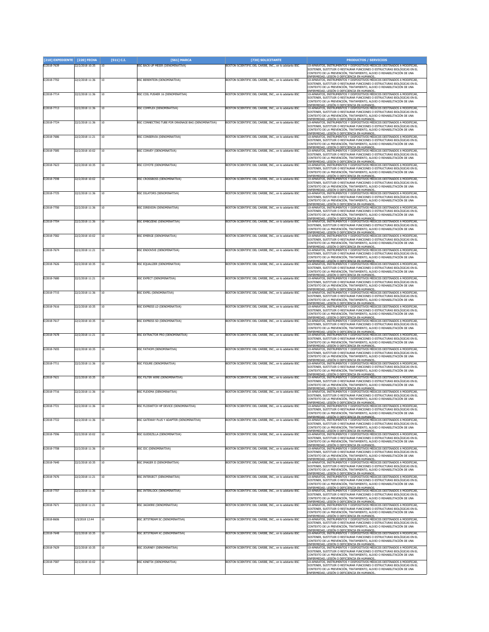| [210] EXPEDIENTE [220] FECHA |                 | [511] C.I. | [561] MARCA                                         | [730] SOLICITANTE                                      | <b>PRODUCTOS / SERVICIOS</b>                                                                                                                                                                               |
|------------------------------|-----------------|------------|-----------------------------------------------------|--------------------------------------------------------|------------------------------------------------------------------------------------------------------------------------------------------------------------------------------------------------------------|
| E/2018-7639                  | 22/2/2018 10:35 | 10         | BSC BACK-UP MEIER (DENOMINATIVA)                    | BOSTON SCIENTIFIC DEL CARIBE, INC., en lo adelante BSC | 10-APARATOS, INSTRUMENTOS Y DISPOSITIVOS MÉDICOS DESTINADOS A MODIFICAR.<br>SOSTENER, SUSTITUIR O RESTAURAR FUNCIONES O ESTRUCTURAS BIOLÓGICAS EN EL                                                       |
|                              |                 |            |                                                     |                                                        | CONTEXTO DE LA PREVENCIÓN, TRATAMIENTO, ALIVIO O REHABILITACIÓN DE UNA<br>ENFERMEDAD. LESIÓN O DEFICIENCIA EN HUMANOS                                                                                      |
| E/2018-7702                  | 22/2/2018 11:36 | 10         | BSC BERENTEIN (DENOMINATIVA)                        | BOSTON SCIENTIFIC DEL CARIBE, INC., en lo adelante BSC | 10-APARATOS, INSTRUMENTOS Y DISPOSITIVOS MÉDICOS DESTINADOS A MODIFICAR,<br>SOSTENER, SUSTITUIR O RESTAURAR FUNCIONES O ESTRUCTURAS BIOLÓGICAS EN EL                                                       |
|                              |                 |            |                                                     |                                                        | CONTEXTO DE LA PREVENCIÓN, TRATAMIENTO, ALIVIO O REHABILITACIÓN DE UNA                                                                                                                                     |
| E/2018-7714                  | 22/2/2018 11:36 | 10         | BSC COIL PUSHER 16 (DENOMINATIVA)                   | BOSTON SCIENTIFIC DEL CARIBE, INC., en lo adelante BSC | ENFERMEDAD. LESIÓN O DEFICIENCIA EN HUMANOS.<br>10-APARATOS, INSTRUMENTOS Y DISPOSITIVOS MÉDICOS DESTINADOS A MODIFICAR,                                                                                   |
|                              |                 |            |                                                     |                                                        | SOSTENER, SUSTITUIR O RESTAURAR FUNCIONES O ESTRUCTURAS BIOLÓGICAS EN EL<br>CONTEXTO DE LA PREVENCIÓN, TRATAMIENTO, ALIVIO O REHABILITACIÓN DE UNA                                                         |
| E/2018-7713                  | 22/2/2018 11:36 | 10         | BSC COMPLEX (DENOMINATIVA)                          | BOSTON SCIENTIFIC DEL CARIBE, INC., en lo adelante BSC | ENFERMEDAD, LESIÓN O DEFICIENCIA EN HUMANOS.<br>10-APARATOS, INSTRUMENTOS Y DISPOSITIVOS MÉDICOS DESTINADOS A MODIFICAR,                                                                                   |
|                              |                 |            |                                                     |                                                        | SOSTENER, SUSTITUIR O RESTAURAR FUNCIONES O ESTRUCTURAS BIOLÓGICAS EN EL<br>CONTEXTO DE LA PREVENCIÓN, TRATAMIENTO, ALIVIO O REHABILITACIÓN DE UNA                                                         |
|                              |                 |            |                                                     |                                                        | <u>ENFERMEDAD, LESIÓN O DEFICIENCIA EN HUMANOS</u>                                                                                                                                                         |
| E/2018-7724                  | 22/2/2018 11:36 | 10         | BSC CONNECTING TUBE FOR DRAINAGE BAG (DENOMINATIVA) | BOSTON SCIENTIFIC DEL CARIBE, INC., en lo adelante BSC | 10-APARATOS, INSTRUMENTOS Y DISPOSITIVOS MÉDICOS DESTINADOS A MODIFICAR,<br>SOSTENER, SUSTITUIR O RESTAURAR FUNCIONES O ESTRUCTURAS BIOLÓGICAS EN EL                                                       |
|                              |                 |            |                                                     |                                                        | CONTEXTO DE LA PREVENCIÓN, TRATAMIENTO, ALIVIO O REHABILITACIÓN DE UNA<br><u>ENFERMEDAD. LESIÓN O DEFICIENCIA EN HUMANOS</u><br>10-APARATOS, INSTRUMENTOS Y DISPOSITIVOS MÉDICOS DESTINADOS A MODIFICAR,   |
| E/2018-7686                  | 22/2/2018 11:21 | 10         | <b>BSC CONSERVIA (DENOMINATIVA)</b>                 | BOSTON SCIENTIFIC DEL CARIBE, INC., en lo adelante BSC | SOSTENER. SUSTITUIR O RESTAURAR FUNCIONES O ESTRUCTURAS BIOLÓGICAS EN EL                                                                                                                                   |
|                              |                 |            |                                                     |                                                        | CONTEXTO DE LA PREVENCIÓN, TRATAMIENTO, ALIVIO O REHABILITACIÓN DE UNA                                                                                                                                     |
| E/2018-7585                  | 22/2/2018 10:02 | 10         | <b>BSC CONVEY (DENOMINATIVA)</b>                    | BOSTON SCIENTIFIC DEL CARIBE, INC., en lo adelante BSC | <u>ENFERMEDAD, LESIÓN O DEFICIENCIA EN HUMANOS</u><br>10-APARATOS, INSTRUMENTOS Y DISPOSITIVOS MÉDICOS DESTINADOS A MODIFICAR,<br>SOSTENER. SUSTITUIR O RESTAURAR FUNCIONES O ESTRUCTURAS BIOLÓGICAS EN EL |
|                              |                 |            |                                                     |                                                        | CONTEXTO DE LA PREVENCIÓN, TRATAMIENTO, ALIVIO O REHABILITACIÓN DE UNA                                                                                                                                     |
| E/2018-7623                  | 22/2/2018 10:35 | 10         | <b>BSC COYOTE (DENOMINATIVA)</b>                    | BOSTON SCIENTIFIC DEL CARIBE, INC., en lo adelante BSC | ENFERMEDAD, LESIÓN O DEFICIENCIA EN HUMANOS<br>10-APARATOS, INSTRUMENTOS Y DISPOSITIVOS MÉDICOS DESTINADOS A MODIFICAR,                                                                                    |
|                              |                 |            |                                                     |                                                        | SOSTENER, SUSTITUIR O RESTAURAR FUNCIONES O ESTRUCTURAS BIOLÓGICAS EN EL<br>CONTEXTO DE LA PREVENCIÓN. TRATAMIENTO. ALIVIO O REHABILITACIÓN DE UNA                                                         |
| E/2018-7598                  | 22/2/2018 10:02 | 10         | BSC CROSSBOSS (DENOMINATIVA)                        | BOSTON SCIENTIFIC DEL CARIBE, INC., en lo adelante BSC | ENFERMEDAD, LESIÓN O DEFICIENCIA EN HUMANOS.<br>10-APARATOS, INSTRUMENTOS Y DISPOSITIVOS MÉDICOS DESTINADOS A MODIFICAR,                                                                                   |
|                              |                 |            |                                                     |                                                        | SOSTENER, SUSTITUIR O RESTAURAR FUNCIONES O ESTRUCTURAS BIOLÓGICAS EN EL<br>CONTEXTO DE LA PREVENCIÓN, TRATAMIENTO, ALIVIO O REHABILITACIÓN DE UNA                                                         |
| E/2018-7725                  | 22/2/2018 11:36 | 10         | <b>BSC DILATORS (DENOMINATIVA)</b>                  | BOSTON SCIENTIFIC DEL CARIBE, INC., en lo adelante BSC | <u>ENFERMEDAD, LESIÓN O DEFICIENCIA EN HUMANOS.</u><br>10-APARATOS, INSTRUMENTOS Y DISPOSITIVOS MÉDICOS DESTINADOS A MODIFICAR                                                                             |
|                              |                 |            |                                                     |                                                        | SOSTENER, SUSTITUIR O RESTAURAR FUNCIONES O ESTRUCTURAS BIOLÓGICAS EN EL<br>CONTEXTO DE LA PREVENCIÓN, TRATAMIENTO, ALIVIO O REHABILITACIÓN DE UNA                                                         |
| E/2018-7700                  | 22/2/2018 11:36 | 10         | BSC DIREXION (DENOMINATIVA)                         | BOSTON SCIENTIFIC DEL CARIBE. INC., en lo adelante BSC | ENFERMEDAD, LESIÓN O DEFICIENCIA EN HUMANOS.<br>10-APARATOS, INSTRUMENTOS Y DISPOSITIVOS MÉDICOS DESTINADOS A MODIFICAR                                                                                    |
|                              |                 |            |                                                     |                                                        | SOSTENER, SUSTITUIR O RESTAURAR FUNCIONES O ESTRUCTURAS BIOLÓGICAS EN EL                                                                                                                                   |
|                              |                 |            |                                                     |                                                        | CONTEXTO DE LA PREVENCIÓN, TRATAMIENTO, ALIVIO O REHABILITACIÓN DE UNA<br><u>ENFERMEDAD, LESIÓN O DEFICIENCIA EN HUMANOS.</u>                                                                              |
| E/2018-7704                  | 22/2/2018 11:36 | 10         | BSC EMBOZENE (DENOMINATIVA)                         | BOSTON SCIENTIFIC DEL CARIBE, INC., en lo adelante BSC | 10-APARATOS, INSTRUMENTOS Y DISPOSITIVOS MÉDICOS DESTINADOS A MODIFICAR,<br>SOSTENER, SUSTITUIR O RESTAURAR FUNCIONES O ESTRUCTURAS BIOLÓGICAS EN EL                                                       |
|                              |                 |            |                                                     |                                                        | CONTEXTO DE LA PREVENCIÓN, TRATAMIENTO, ALIVIO O REHABILITACIÓN DE UNA                                                                                                                                     |
| E/2018-7582                  | 22/2/2018 10:02 | 10         | <b>BSC EMERGE (DENOMINATIVA)</b>                    | BOSTON SCIENTIFIC DEL CARIBE, INC., en lo adelante BSC | <u>ENFERMEDAD, LESIÓN O DEFICIENCIA EN HUMANOS</u><br>10-APARATOS, INSTRUMENTOS Y DISPOSITIVOS MÉDICOS DESTINADOS A MODIFICAR,<br>SOSTENER, SUSTITUIR O RESTAURAR FUNCIONES O ESTRUCTURAS BIOLÓGICAS EN EL |
|                              |                 |            |                                                     |                                                        | CONTEXTO DE LA PREVENCIÓN, TRATAMIENTO, ALIVIO O REHABILITACIÓN DE UNA                                                                                                                                     |
| E/2018-7674                  | 22/2/2018 11:21 | 10         | BSC ENDOVIVE (DENOMINATIVA)                         | BOSTON SCIENTIFIC DEL CARIBE, INC., en lo adelante BSC | ENFERMEDAD, LESIÓN O DEFICIENCIA EN HUMANOS<br>10-APARATOS, INSTRUMENTOS Y DISPOSITIVOS MÉDICOS DESTINADOS A MODIFICAR                                                                                     |
|                              |                 |            |                                                     |                                                        | SOSTENER, SUSTITUIR O RESTAURAR FUNCIONES O ESTRUCTURAS BIOLÓGICAS EN EL<br>CONTEXTO DE LA PREVENCIÓN, TRATAMIENTO, ALIVIO O REHABILITACIÓN DE UNA                                                         |
| E/2018-7626                  | 22/2/2018 10:35 | 10         | BSC EQUALIZER (DENOMINATIVA)                        | BOSTON SCIENTIFIC DEL CARIBE, INC., en lo adelante BSC | ENFERMEDAD. LESIÓN O DEFICIENCIA EN HUMANOS.<br>10-APARATOS, INSTRUMENTOS Y DISPOSITIVOS MÉDICOS DESTINADOS A MODIFICAR,                                                                                   |
|                              |                 |            |                                                     |                                                        | SOSTENER, SUSTITUIR O RESTAURAR FUNCIONES O ESTRUCTURAS BIOLÓGICAS EN EL<br>CONTEXTO DE LA PREVENCIÓN, TRATAMIENTO, ALIVIO O REHABILITACIÓN DE UNA                                                         |
| E/2018-7680                  | 22/2/2018 11:21 | 10         | <b>BSC EXPECT (DENOMINATIVA)</b>                    | BOSTON SCIENTIFIC DEL CARIBE, INC., en lo adelante BSC | ENFERMEDAD, LESIÓN O DEFICIENCIA EN HUMANOS.<br>10-APARATOS, INSTRUMENTOS Y DISPOSITIVOS MÉDICOS DESTINADOS A MODIFICAR                                                                                    |
|                              |                 |            |                                                     |                                                        | SOSTENER, SUSTITUIR O RESTAURAR FUNCIONES O ESTRUCTURAS BIOLÓGICAS EN EL<br>CONTEXTO DE LA PREVENCIÓN, TRATAMIENTO, ALIVIO O REHABILITACIÓN DE UNA                                                         |
| E/2018-7715                  | 22/2/2018 11:36 | 10         | <b>BSC EXPEL (DENOMINATIVA)</b>                     | BOSTON SCIENTIFIC DEL CARIBE, INC., en lo adelante BSC | <u>ENFERMEDAD, LESIÓN O DEFICIENCIA EN HUMANOS.</u><br>10-APARATOS, INSTRUMENTOS Y DISPOSITIVOS MÉDICOS DESTINADOS A MODIFICAR,                                                                            |
|                              |                 |            |                                                     |                                                        | SOSTENER, SUSTITUIR O RESTAURAR FUNCIONES O ESTRUCTURAS BIOLÓGICAS EN EL                                                                                                                                   |
|                              |                 |            |                                                     |                                                        | CONTEXTO DE LA PREVENCIÓN, TRATAMIENTO, ALIVIO O REHABILITACIÓN DE UNA<br><u>ENFERMEDAD, LESIÓN O DEFICIENCIA EN HUMANOS</u>                                                                               |
| E/2018-7616                  | 22/2/2018 10:35 | 10         | BSC EXPRESS LD (DENOMINATIVA)                       | BOSTON SCIENTIFIC DEL CARIBE, INC., en lo adelante BSC | 10-APARATOS, INSTRUMENTOS Y DISPOSITIVOS MÉDICOS DESTINADOS A MODIFICAR<br>SOSTENER, SUSTITUIR O RESTAURAR FUNCIONES O ESTRUCTURAS BIOLÓGICAS EN EL                                                        |
|                              |                 |            |                                                     |                                                        | CONTEXTO DE LA PREVENCIÓN, TRATAMIENTO, ALIVIO O REHABILITACIÓN DE UNA<br>ENFERMEDAD, LESIÓN O DEFICIENCIA EN HUMANOS<br>10-APARATOS, INSTRUMENTOS Y DISPOSITIVOS MÉDICOS DESTINADOS A MODIFICAR,          |
| E/2018-7617                  | 22/2/2018 10:35 | 10         | BSC EXPRESS SD (DENOMINATIVA)                       | BOSTON SCIENTIFIC DEL CARIBE, INC., en lo adelante BSC | SOSTENER, SUSTITUIR O RESTAURAR FUNCIONES O ESTRUCTURAS BIOLÓGICAS EN EL                                                                                                                                   |
|                              |                 |            |                                                     |                                                        | CONTEXTO DE LA PREVENCIÓN. TRATAMIENTO. ALIVIO O REHABILITACIÓN DE UNA<br>ENFERMEDAD. LESIÓN O DEFICIENCIA EN HUMANOS                                                                                      |
| E/2018-7678                  | 22/2/2018 11:21 | 10         | BSC EXTRACTOR PRO (DENOMINATIVA)                    | BOSTON SCIENTIFIC DEL CARIBE, INC., en lo adelante BSC | 10-APARATOS, INSTRUMENTOS Y DISPOSITIVOS MÉDICOS DESTINADOS A MODIFICAR,<br>SOSTENER, SUSTITUIR O RESTAURAR FUNCIONES O ESTRUCTURAS BIOLÓGICAS EN EL                                                       |
|                              |                 |            |                                                     |                                                        | CONTEXTO DE LA PREVENCIÓN, TRATAMIENTO, ALIVIO O REHABILITACIÓN DE UNA<br><u>ENFERMEDAD, LESIÓN O DEFICIENCIA EN H</u> UMANOS                                                                              |
| E/2018-7655                  | 22/2/2018 10:35 | 10         | <b>BSC FATHOM (DENOMINATIVA)</b>                    | BOSTON SCIENTIFIC DEL CARIBE, INC., en lo adelante BSC | 10-APARATOS, INSTRUMENTOS Y DISPOSITIVOS MÉDICOS DESTINADOS A MODIFICAR<br>SOSTENER, SUSTITUIR O RESTAURAR FUNCIONES O ESTRUCTURAS BIOLÓGICAS EN EL                                                        |
|                              |                 |            |                                                     |                                                        | CONTEXTO DE LA PREVENCIÓN, TRATAMIENTO, ALIVIO O REHABILITACIÓN DE UNA<br><u>ENFERMEDAD, LESIÓN O DEFICIENCIA EN HUMANOS</u>                                                                               |
| E/2018-7711                  | 22/2/2018 11:36 | 10         | BSC FIGURE (DENOMINATIVA)                           | BOSTON SCIENTIFIC DEL CARIBE, INC., en lo adelante BSC | 10-APARATOS, INSTRUMENTOS Y DISPOSITIVOS MÉDICOS DESTINADOS A MODIFICAR,<br>SOSTENER, SUSTITUIR O RESTAURAR FUNCIONES O ESTRUCTURAS BIOLÓGICAS EN EL                                                       |
|                              |                 |            |                                                     |                                                        | CONTEXTO DE LA PREVENCIÓN, TRATAMIENTO, ALIVIO O REHABILITACIÓN DE UNA                                                                                                                                     |
| E/2018-7621                  | 22/2/2018 10:35 | 10         | BSC FILTER WIRE (DENOMINATIVA)                      | BOSTON SCIENTIFIC DEL CARIBE, INC., en lo adelante BSC | <u>ENFERMEDAD, LESIÓN O DEFICIENCIA EN HUMANOS.</u><br>10-APARATOS, INSTRUMENTOS Y DISPOSITIVOS MÉDICOS DESTINADOS A MODIFICAR,                                                                            |
|                              |                 |            |                                                     |                                                        | SOSTENER, SUSTITUIR O RESTAURAR FUNCIONES O ESTRUCTURAS BIOLÓGICAS EN EL<br>CONTEXTO DE LA PREVENCIÓN, TRATAMIENTO, ALIVIO O REHABILITACIÓN DE UNA                                                         |
| E/2018-7716                  | 22/2/2018 11:36 | 10         | BSC FLEXIMA (DENOMINATIVA)                          | BOSTON SCIENTIFIC DEL CARIBE. INC., en lo adelante BSC | ENFERMEDAD, LESIÓN O DEFICIENCIA EN HUMANOS<br>10-APARATOS, INSTRUMENTOS Y DISPOSITIVOS MÉDICOS DESTINADOS A MODIFICAR,                                                                                    |
|                              |                 |            |                                                     |                                                        | SOSTENER. SUSTITUIR O RESTAURAR EUNCIONES O ESTRUCTURAS BIOLÓGICAS EN EL<br>CONTEXTO DE LA PREVENCIÓN, TRATAMIENTO, ALIVIO O REHABILITACIÓN DE UNA                                                         |
| E/2018-7721                  | 22/2/2018 11:36 | 10         | BSC FLOSWITCH HP DEVICE (DENOMINATIVA)              | BOSTON SCIENTIFIC DEL CARIBE, INC., en lo adelante BSC | ENFERMEDAD, LESIÓN O DEFICIENCIA EN HUMANOS<br>10-APARATOS, INSTRUMENTOS Y DISPOSITIVOS MÉDICOS DESTINADOS A MODIFICAR,                                                                                    |
|                              |                 |            |                                                     |                                                        | SOSTENER, SUSTITUIR O RESTAURAR FUNCIONES O ESTRUCTURAS BIOLÓGICAS EN EL<br>CONTEXTO DE LA PREVENCIÓN, TRATAMIENTO, ALIVIO O REHABILITACIÓN DE UNA                                                         |
|                              |                 |            |                                                     |                                                        | ENFERMEDAD. LESIÓN O DEFICIENCIA EN HUMANOS.<br>10-APARATOS, INSTRUMENTOS Y DISPOSITIVOS MÉDICOS DESTINADOS A MODIFICAR,                                                                                   |
| E/2018-7722                  | 22/2/2018 11:36 | 10         | BSC GATEWAY PLUS Y ADAPTER (DENOMINATIVA)           | BOSTON SCIENTIFIC DEL CARIBE, INC., en lo adelante BSC | SOSTENER, SUSTITUIR O RESTAURAR FUNCIONES O ESTRUCTURAS BIOLÓGICAS EN EL<br>CONTEXTO DE LA PREVENCIÓN, TRATAMIENTO, ALIVIO O REHABILITACIÓN DE UNA                                                         |
|                              |                 |            |                                                     |                                                        | ENFERMEDAD <u>, LESIÓN O DEFICIENCIA EN HUMANOS</u>                                                                                                                                                        |
| E/2018-7596                  | 22/2/2018 10:02 | 10         | BSC GUIDEZILLA (DENOMINATIVA)                       | BOSTON SCIENTIFIC DEL CARIBE, INC., en lo adelante BSC | 10-APARATOS, INSTRUMENTOS Y DISPOSITIVOS MÉDICOS DESTINADOS A MODIFICAR,<br>SOSTENER, SUSTITUIR O RESTAURAR FUNCIONES O ESTRUCTURAS BIOLÓGICAS EN EL                                                       |
|                              |                 |            |                                                     |                                                        | CONTEXTO DE LA PREVENCIÓN, TRATAMIENTO, ALIVIO O REHABILITACIÓN DE UNA<br>ENFERMEDAD, LESIÓN O DEFICIENCIA EN HUMANOS.                                                                                     |
| E/2018-7708                  | 22/2/2018 11:36 | 10         | <b>BSC IDC (DENOMINATIVA)</b>                       | BOSTON SCIENTIFIC DEL CARIBE, INC., en lo adelante BSC | 10-APARATOS, INSTRUMENTOS Y DISPOSITIVOS MÉDICOS DESTINADOS A MODIFICAR,<br>SOSTENER, SUSTITUIR O RESTAURAR FUNCIONES O ESTRUCTURAS BIOLÓGICAS EN EL                                                       |
|                              |                 |            |                                                     |                                                        | CONTEXTO DE LA PREVENCIÓN, TRATAMIENTO, ALIVIO O REHABILITACIÓN DE UNA<br><u>ENFERMEDAD, LESIÓN O DEFICIENCIA EN HUMANOS</u>                                                                               |
| E/2018-7640                  | 22/2/2018 10:35 | 10         | BSC IMAGER II (DENOMINATIVA)                        | BOSTON SCIENTIFIC DEL CARIBE, INC., en lo adelante BSC | 10-APARATOS, INSTRUMENTOS Y DISPOSITIVOS MÉDICOS DESTINADOS A MODIFICAR,<br>SOSTENER, SUSTITUIR O RESTAURAR FUNCIONES O ESTRUCTURAS BIOLÓGICAS EN EL                                                       |
|                              |                 |            |                                                     |                                                        | CONTEXTO DE LA PREVENCIÓN, TRATAMIENTO, ALIVIO O REHABILITACIÓN DE UNA                                                                                                                                     |
| E/2018-7676                  | 22/2/2018 11:21 | 10         | BSC INTERJECT (DENOMINATIVA)                        | BOSTON SCIENTIFIC DEL CARIBE, INC., en lo adelante BSC | ENFERMEDAD, LESIÓN O DEFICIENCIA EN HUMANOS<br>10-APARATOS, INSTRUMENTOS Y DISPOSITIVOS MÉDICOS DESTINADOS A MODIFICAR,                                                                                    |
|                              |                 |            |                                                     |                                                        | SOSTENER. SUSTITUIR O RESTAURAR FUNCIONES O ESTRUCTURAS BIOLÓGICAS EN EL<br>CONTEXTO DE LA PREVENCIÓN, TRATAMIENTO, ALIVIO O REHABILITACIÓN DE UNA                                                         |
| E/2018-7707                  | 22/2/2018 11:36 | 10         | <b>BSC INTERLOCK (DENOMINATIVA)</b>                 | BOSTON SCIENTIFIC DEL CARIBE. INC., en lo adelante BSC | <u>ENFERMEDAD. LESIÓN O DEFICIENCIA EN HUMANOS.<br/>10-APARATOS, INSTRUMENTOS Y DISPOSITIVOS MÉDICOS DESTINADOS A MODIFICAR,</u>                                                                           |
|                              |                 |            |                                                     |                                                        | SOSTENER, SUSTITUIR O RESTAURAR FUNCIONES O ESTRUCTURAS BIOLÓGICAS EN EL<br>CONTEXTO DE LA PREVENCIÓN, TRATAMIENTO, ALIVIO O REHABILITACIÓN DE UNA                                                         |
| E/2018-7671                  | 22/2/2018 11:21 | 10         | <b>BSC JAGWIRE (DENOMINATIVA)</b>                   | BOSTON SCIENTIFIC DEL CARIBE, INC., en lo adelante BSC | <u>ENFERMEDAD, LESIÓN O DEFICIENCIA EN HUMANOS</u><br>10-APARATOS, INSTRUMENTOS Y DISPOSITIVOS MÉDICOS DESTINADOS A MODIFICAR,                                                                             |
|                              |                 |            |                                                     |                                                        | SOSTENER, SUSTITUIR O RESTAURAR FUNCIONES O ESTRUCTURAS BIOLÓGICAS EN EL<br>CONTEXTO DE LA PREVENCIÓN, TRATAMIENTO, ALIVIO O REHABILITACIÓN DE UNA                                                         |
| E/2018-8606                  | 1/3/2018 12:44  | 10         | BSC JETSTREAM SC (DENOMINATIVA)                     | BOSTON SCIENTIFIC DEL CARIBE, INC., en lo adelante BSC | ENFERMEDAD, LESIÓN O DEFICIENCIA EN HUMANOS.<br>10-APARATOS, INSTRUMENTOS Y DISPOSITIVOS MÉDICOS DESTINADOS A MODIFICAR,                                                                                   |
|                              |                 |            |                                                     |                                                        | SOSTENER, SUSTITUIR O RESTAURAR FUNCIONES O ESTRUCTURAS BIOLÓGICAS EN EL                                                                                                                                   |
|                              |                 |            |                                                     |                                                        | CONTEXTO DE LA PREVENCIÓN, TRATAMIENTO, ALIVIO O REHABILITACIÓN DE UNA<br>ENFERMEDAD, LESIÓN O DEFICIENCIA EN HUMANOS.                                                                                     |
| E/2018-7648                  | 22/2/2018 10:35 | 10         | BSC JETSTREAM XC (DENOMINATIVA)                     | BOSTON SCIENTIFIC DEL CARIBE, INC., en lo adelante BSC | 10-APARATOS, INSTRUMENTOS Y DISPOSITIVOS MÉDICOS DESTINADOS A MODIFICAR,<br>SOSTENER, SUSTITUIR O RESTAURAR FUNCIONES O ESTRUCTURAS BIOLÓGICAS EN EL                                                       |
|                              |                 |            |                                                     |                                                        | CONTEXTO DE LA PREVENCIÓN, TRATAMIENTO, ALIVIO O REHABILITACIÓN DE UNA<br><u>ENFERMEDAD, LESIÓN O DEFICIENCIA EN HUMANOS.</u>                                                                              |
| E/2018-7629                  | 22/2/2018 10:35 | 10         | <b>BSC JOURNEY (DENOMINATIVA)</b>                   | BOSTON SCIENTIFIC DEL CARIBE, INC., en lo adelante BSC | 10-APARATOS, INSTRUMENTOS Y DISPOSITIVOS MÉDICOS DESTINADOS A MODIFICAR,<br>SOSTENER, SUSTITUIR O RESTAURAR FUNCIONES O ESTRUCTURAS BIOLÓGICAS EN EL                                                       |
|                              |                 |            |                                                     |                                                        | CONTEXTO DE LA PREVENCIÓN, TRATAMIENTO, ALIVIO O REHABILITACIÓN DE UNA<br><u>ENFERMEDAD, LESIÓN O DEFICIENCIA EN HUMANOS.</u>                                                                              |
| E/2018-7587                  | 22/2/2018 10:02 | 10         | <b>BSC KINETIX (DENOMINATIVA)</b>                   | BOSTON SCIENTIFIC DEL CARIBE, INC., en lo adelante BSC | 10-APARATOS, INSTRUMENTOS Y DISPOSITIVOS MÉDICOS DESTINADOS A MODIFICAR.<br>SOSTENER, SUSTITUIR O RESTAURAR FUNCIONES O ESTRUCTURAS BIOLÓGICAS EN EL                                                       |
|                              |                 |            |                                                     |                                                        | CONTEXTO DE LA PREVENCIÓN, TRATAMIENTO, ALIVIO O REHABILITACIÓN DE UNA<br>NFERMEDAD. LESIÓN O DEFICIENCIA EN HUMANOS                                                                                       |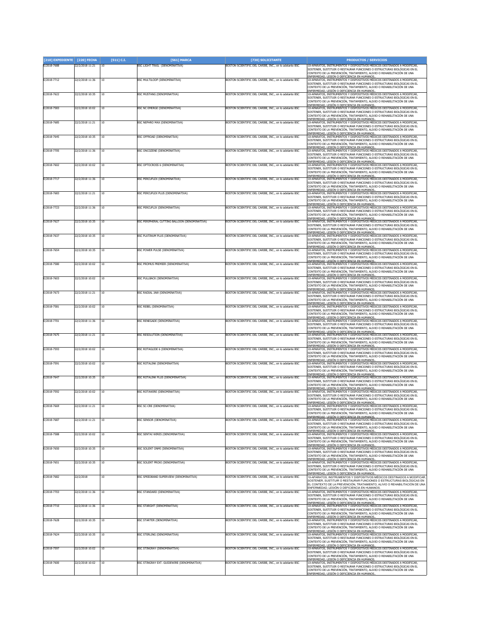| [210] EXPEDIENTE | [220] FECHA     | $[511]$ C.I. | [561] MARCA                                   | [730] SOLICITANTE                                      | <b>PRODUCTOS / SERVICIOS</b>                                                                                                                                                                                                                                                          |
|------------------|-----------------|--------------|-----------------------------------------------|--------------------------------------------------------|---------------------------------------------------------------------------------------------------------------------------------------------------------------------------------------------------------------------------------------------------------------------------------------|
| E/2018-7688      | 22/2/2018 11:21 | 10           | BSC LIGHT TRAIL (DENOMINATIVA)                | BOSTON SCIENTIFIC DEL CARIBE, INC., en lo adelante BSC | 10-APARATOS, INSTRUMENTOS Y DISPOSITIVOS MÉDICOS DESTINADOS A MODIFICAR<br>SOSTENER, SUSTITUIR O RESTAURAR FUNCIONES O ESTRUCTURAS BIOLÓGICAS EN EL<br>CONTEXTO DE LA PREVENCIÓN, TRATAMIENTO, ALIVIO O REHABILITACIÓN DE UNA<br><u>ENFERMEDAD, LESIÓN O DEFICIENCIA EN HUMANOS.</u>  |
| E/2018-7712      | 22/2/2018 11:36 | 10           | BSC MULTILOOP (DENOMINATIVA)                  | BOSTON SCIENTIFIC DEL CARIBE, INC., en lo adelante BSC | 10-APARATOS, INSTRUMENTOS Y DISPOSITIVOS MÉDICOS DESTINADOS A MODIFICAR<br>SOSTENER, SUSTITUIR O RESTAURAR FUNCIONES O ESTRUCTURAS BIOLÓGICAS EN EL<br>CONTEXTO DE LA PREVENCIÓN, TRATAMIENTO, ALIVIO O REHABILITACIÓN DE UNA<br><u>ENFERMEDAD, LESIÓN O DEFICIENCIA EN HUMANOS</u>   |
| E/2018-7622      | 22/2/2018 10:35 | 10           | <b>BSC MUSTANG (DENOMINATIVA)</b>             | BOSTON SCIENTIFIC DEL CARIBE, INC., en lo adelante BSC | 10-APARATOS, INSTRUMENTOS Y DISPOSITIVOS MÉDICOS DESTINADOS A MODIFICAR<br>SOSTENER, SUSTITUIR O RESTAURAR FUNCIONES O ESTRUCTURAS BIOLÓGICAS EN EL<br>CONTEXTO DE LA PREVENCIÓN, TRATAMIENTO, ALIVIO O REHABILITACIÓN DE UNA<br>ENFERMEDAD. LESIÓN O DEFICIENCIA EN HUMANOS.         |
| E/2018-7583      | 22/2/2018 10:02 | 10           | BSC NC EMERGE (DENOMINATIVA)                  | BOSTON SCIENTIFIC DEL CARIBE, INC., en lo adelante BSC | 10-APARATOS, INSTRUMENTOS Y DISPOSITIVOS MÉDICOS DESTINADOS A MODIFICAR,<br>SOSTENER, SUSTITUIR O RESTAURAR FUNCIONES O ESTRUCTURAS BIOLÓGICAS EN EL<br>CONTEXTO DE LA PREVENCIÓN, TRATAMIENTO, ALIVIO O REHABILITACIÓN DE UNA                                                        |
| E/2018-7685      | 22/2/2018 11:21 | 10           | BSC NEPHRO MAX (DENOMINATIVA)                 | BOSTON SCIENTIFIC DEL CARIBE, INC., en lo adelante BSC | ENFERMEDAD, LESIÓN O DEFICIENCIA EN HUMANOS.<br>10-APARATOS, INSTRUMENTOS Y DISPOSITIVOS MÉDICOS DESTINADOS A MODIFICAR<br>SOSTENER, SUSTITUIR O RESTAURAR FUNCIONES O ESTRUCTURAS BIOLÓGICAS EN EL<br>CONTEXTO DE LA PREVENCIÓN, TRATAMIENTO, ALIVIO O REHABILITACIÓN DE UNA         |
| E/2018-7645      | 22/2/2018 10:35 | 10           | BSC OFFROAD (DENOMINATIVA)                    | BOSTON SCIENTIFIC DEL CARIBE. INC., en lo adelante BSC | <u>ENFERMEDAD, LESIÓN O DEFICIENCIA EN HUMANOS.</u><br>10-APARATOS, INSTRUMENTOS Y DISPOSITIVOS MÉDICOS DESTINADOS A MODIFICAR<br>SOSTENER, SUSTITUIR O RESTAURAR FUNCIONES O ESTRUCTURAS BIOLÓGICAS EN EL<br>CONTEXTO DE LA PREVENCIÓN, TRATAMIENTO, ALIVIO O REHABILITACIÓN DE UNA  |
| E/2018-7705      | 22/2/2018 11:36 | 10           | BSC ONCOZENE (DENOMINATIVA)                   | BOSTON SCIENTIFIC DEL CARIBE, INC., en lo adelante BSC | <u>ENFERMEDAD, LESIÓN O DEFICIENCIA EN HUMANOS.</u><br>10-APARATOS, INSTRUMENTOS Y DISPOSITIVOS MÉDICOS DESTINADOS A MODIFICAR<br>SOSTENER, SUSTITUIR O RESTAURAR FUNCIONES O ESTRUCTURAS BIOLÓGICAS EN EL<br>CONTEXTO DE LA PREVENCIÓN, TRATAMIENTO, ALIVIO O REHABILITACIÓN DE UNA  |
| E/2018-7602      | 22/2/2018 10:02 | 10           | BSC OPTOCROSS 6 (DENOMINATIVA)                | BOSTON SCIENTIFIC DEL CARIBE, INC., en lo adelante BSC | ENFERMEDAD, LESIÓN O DEFICIENCIA EN HUMANOS<br>10-APARATOS, INSTRUMENTOS Y DISPOSITIVOS MÉDICOS DESTINADOS A MODIFICAR,<br>SOSTENER, SUSTITUIR O RESTAURAR FUNCIONES O ESTRUCTURAS BIOLÓGICAS EN EL<br>CONTEXTO DE LA PREVENCIÓN, TRATAMIENTO, ALIVIO O REHABILITACIÓN DE UNA         |
| E/2018-7717      | 22/2/2018 11:36 | 10           | BSC PERCUFLEX (DENOMINATIVA)                  | BOSTON SCIENTIFIC DEL CARIBE. INC., en lo adelante BSC | ENFERMEDAD, LESIÓN O DEFICIENCIA EN HUMANOS.<br>10-APARATOS, INSTRUMENTOS Y DISPOSITIVOS MÉDICOS DESTINADOS A MODIFICAR,<br>SOSTENER, SUSTITUIR O RESTAURAR FUNCIONES O ESTRUCTURAS BIOLÓGICAS EN EL                                                                                  |
| E/2018-7683      | 22/2/2018 11:21 | 10           | SSC PERCUFLEX PLUS (DENOMINATIVA)             | BOSTON SCIENTIFIC DEL CARIBE, INC., en lo adelante BSC | CONTEXTO DE LA PREVENCIÓN, TRATAMIENTO, ALIVIO O REHABILITACIÓN DE UNA<br>ENFERMEDAD, LESIÓN O DEFICIENCIA EN HUMANOS<br>10-APARATOS, INSTRUMENTOS Y DISPOSITIVOS MÉDICOS DESTINADOS A MODIFICAR,                                                                                     |
|                  |                 |              |                                               |                                                        | SOSTENER, SUSTITUIR O RESTAURAR FUNCIONES O ESTRUCTURAS BIOLÓGICAS EN EL<br>CONTEXTO DE LA PREVENCIÓN, TRATAMIENTO, ALIVIO O REHABILITACIÓN DE UNA<br>ENFERMEDAD, LESIÓN O DEFICIENCIA EN HUMANOS.                                                                                    |
| E/2018-7723      | 22/2/2018 11:36 | 10           | <b>BSC PERCUFLIX (DENOMINATIVA)</b>           | BOSTON SCIENTIFIC DEL CARIBE, INC., en lo adelante BSC | 10-APARATOS, INSTRUMENTOS Y DISPOSITIVOS MÉDICOS DESTINADOS A MODIFICAR<br>SOSTENER, SUSTITUIR O RESTAURAR FUNCIONES O ESTRUCTURAS BIOLÓGICAS EN EL<br>CONTEXTO DE LA PREVENCIÓN, TRATAMIENTO, ALIVIO O REHABILITACIÓN DE UNA<br><u>ENFERMEDAD. LESIÓN O DEFICIENCIA EN HUMANOS</u>   |
| E/2018-7627      | 22/2/2018 10:35 | 10           | BSC PERIPHERAL CUTTING BALLOON (DENOMINATIVA) | BOSTON SCIENTIFIC DEL CARIBE, INC., en lo adelante BSC | 10-APARATOS, INSTRUMENTOS Y DISPOSITIVOS MÉDICOS DESTINADOS A MODIFICAR<br>SOSTENER, SUSTITUIR O RESTAURAR FUNCIONES O ESTRUCTURAS BIOLÓGICAS EN EL<br>CONTEXTO DE LA PREVENCIÓN, TRATAMIENTO, ALIVIO O REHABILITACIÓN DE UNA                                                         |
| E/2018-7637      | 22/2/2018 10:35 | 10           | BSC PLATINUM PLUS (DENOMINATIVA)              | BOSTON SCIENTIFIC DEL CARIBE. INC., en lo adelante BSC | ENFERMEDAD, LESIÓN O DEFICIENCIA EN HUMANOS.<br>10-APARATOS, INSTRUMENTOS Y DISPOSITIVOS MÉDICOS DESTINADOS A MODIFICAR<br>SOSTENER. SUSTITUIR O RESTAURAR FUNCIONES O ESTRUCTURAS BIOLÓGICAS EN EL<br>CONTEXTO DE LA PREVENCIÓN, TRATAMIENTO, ALIVIO O REHABILITACIÓN DE UNA         |
| E/2018-7654      | 22/2/2018 10:35 | 10           | BSC POWER PULSE (DENOMINATIVA)                | BOSTON SCIENTIFIC DEL CARIBE, INC., en lo adelante BSC | <u>ENFERMEDAD, LESIÓN O DEFICIENCIA EN HUMANOS.</u><br>10-APARATOS, INSTRUMENTOS Y DISPOSITIVOS MÉDICOS DESTINADOS A MODIFICAR<br>SOSTENER, SUSTITUIR O RESTAURAR FUNCIONES O ESTRUCTURAS BIOLÓGICAS EN EL<br>CONTEXTO DE LA PREVENCIÓN, TRATAMIENTO, ALIVIO O REHABILITACIÓN DE UNA  |
| E/2018-7580      | 22/2/2018 10:02 | 10           | BSC PROMUS PREMIER (DENOMINATIVA)             | BOSTON SCIENTIFIC DEL CARIBE, INC., en lo adelante BSC | ENFERMEDAD, LESIÓN O DEFICIENCIA EN HUMANOS.<br>10-APARATOS, INSTRUMENTOS Y DISPOSITIVOS MÉDICOS DESTINADOS A MODIFICAR,<br>SOSTENER, SUSTITUIR O RESTAURAR FUNCIONES O ESTRUCTURAS BIOLÓGICAS EN EL<br>CONTEXTO DE LA PREVENCIÓN, TRATAMIENTO, ALIVIO O REHABILITACIÓN DE UNA        |
| E/2018-7603      | 22/2/2018 10:02 | 10           | <b>3SC PULLBACK (DENOMINATIVA)</b>            | BOSTON SCIENTIFIC DEL CARIBE, INC., en lo adelante BSC | ENFERMEDAD, LESIÓN O DEFICIENCIA EN HUMANOS<br>10-APARATOS, INSTRUMENTOS Y DISPOSITIVOS MÉDICOS DESTINADOS A MODIFICAR,<br>SOSTENER, SUSTITUIR O RESTAURAR FUNCIONES O ESTRUCTURAS BIOLÓGICAS EN EL<br>CONTEXTO DE LA PREVENCIÓN, TRATAMIENTO, ALIVIO O REHABILITACIÓN DE UNA         |
| E/2018-7673      | 22/2/2018 11:21 | 10           | BSC RADIAL JAW (DENOMINATIVA)                 | BOSTON SCIENTIFIC DEL CARIBE, INC., en lo adelante BSC | ENFERMEDAD. LESIÓN O DEFICIENCIA EN HUMANOS<br>10-APARATOS, INSTRUMENTOS Y DISPOSITIVOS MÉDICOS DESTINADOS A MODIFICAR,<br>SOSTENER, SUSTITUIR O RESTAURAR FUNCIONES O ESTRUCTURAS BIOLÓGICAS EN EL<br>CONTEXTO DE LA PREVENCIÓN, TRATAMIENTO, ALIVIO O REHABILITACIÓN DE UNA         |
| E/2018-7581      | 22/2/2018 10:02 | 10           | <b>BSC REBEL (DENOMINATIVA)</b>               | BOSTON SCIENTIFIC DEL CARIBE, INC., en lo adelante BSC | <u>ENFERMEDAD, LESIÓN O DEFICIENCIA EN HUMANOS.</u><br>10-APARATOS, INSTRUMENTOS Y DISPOSITIVOS MÉDICOS DESTINADOS A MODIFICAR<br>SOSTENER, SUSTITUIR O RESTAURAR FUNCIONES O ESTRUCTURAS BIOLÓGICAS EN EL                                                                            |
| E/2018-7701      | 22/2/2018 11:36 | 10           | BSC RENEGADE (DENOMINATIVA)                   | BOSTON SCIENTIFIC DEL CARIBE, INC., en lo adelante BSC | CONTEXTO DE LA PREVENCIÓN, TRATAMIENTO, ALIVIO O REHABILITACIÓN DE UNA<br><u>ENFERMEDAD, LESIÓN O DEFICIENCIA EN HUMANOS</u><br>10-APARATOS, INSTRUMENTOS Y DISPOSITIVOS MÉDICOS DESTINADOS A MODIFICAR,                                                                              |
| E/2018-7675      | 22/2/2018 11:21 | 10           | BSC RESOLUTION (DENOMINATIVA)                 | BOSTON SCIENTIFIC DEL CARIBE, INC., en lo adelante BSC | SOSTENER, SUSTITUIR O RESTAURAR FUNCIONES O ESTRUCTURAS BIOLÓGICAS EN EL<br>CONTEXTO DE LA PREVENCIÓN, TRATAMIENTO, ALIVIO O REHABILITACIÓN DE UNA<br><u>ENFERMEDAD, LESIÓN O DEFICIENCIA EN HUMANOS</u><br>10-APARATOS, INSTRUMENTOS Y DISPOSITIVOS MÉDICOS DESTINADOS A MODIFICAR   |
|                  |                 |              |                                               |                                                        | SOSTENER, SUSTITUIR O RESTAURAR FUNCIONES O ESTRUCTURAS BIOLÓGICAS EN EL<br>CONTEXTO DE LA PREVENCIÓN, TRATAMIENTO, ALIVIO O REHABILITACIÓN DE UNA<br>ENFERMEDAD, LESIÓN O DEFICIENCIA EN HUMANOS.<br>10-APARATOS, INSTRUMENTOS Y DISPOSITIVOS MÉDICOS DESTINADOS A MODIFICAR,        |
| E/2018-7593      | 22/2/2018 10:02 | 10           | BSC ROTAGLIDE 6 (DENOMINATIVA)                | BOSTON SCIENTIFIC DEL CARIBE, INC., en lo adelante BSC | SOSTENER, SUSTITUIR O RESTAURAR FUNCIONES O ESTRUCTURAS BIOLÓGICAS EN EL<br>CONTEXTO DE LA PREVENCIÓN, TRATAMIENTO, ALIVIO O REHABILITACIÓN DE UNA                                                                                                                                    |
| E/2018-7591      | 22/2/2018 10:02 | 10           | BSC ROTALINK (DENOMINATIVA)                   | BOSTON SCIENTIFIC DEL CARIBE, INC., en lo adelante BSC | ENFERMEDAD, LESIÓN O DEFICIENCIA EN HUMANOS<br>10-APARATOS, INSTRUMENTOS Y DISPOSITIVOS MÉDICOS DESTINADOS A MODIFICAR<br>SOSTENER, SUSTITUIR O RESTAURAR FUNCIONES O ESTRUCTURAS BIOLÓGICAS EN EL<br>CONTEXTO DE LA PREVENCIÓN, TRATAMIENTO, ALIVIO O REHABILITACIÓN DE UNA          |
| E/2018-7647      | 22/2/2018 10:35 | 10           | BSC ROTALINK PLUS (DENOMINATIVA)              | BOSTON SCIENTIFIC DEL CARIBE, INC., en lo adelante BSC | ENFERMEDAD, LESIÓN O DEFICIENCIA EN HUMANOS.<br>10-APARATOS, INSTRUMENTOS Y DISPOSITIVOS MÉDICOS DESTINADOS A MODIFICAR,<br>SOSTENER, SUSTITUIR O RESTAURAR FUNCIONES O ESTRUCTURAS BIOLÓGICAS EN EL<br>CONTEXTO DE LA PREVENCIÓN, TRATAMIENTO, ALIVIO O REHABILITACIÓN DE UNA        |
| E/2018-7592      | 22/2/2018 10:02 | 10           | <b>BSC ROTAWIRE (DENOMINATIVA)</b>            | BOSTON SCIENTIFIC DEL CARIBE, INC., en lo adelante BSC | <u>ENFERMEDAD, LESIÓN O DEFICIENCIA EN HUMANOS</u><br>10-APARATOS, INSTRUMENTOS Y DISPOSITIVOS MÉDICOS DESTINADOS A MODIFICAR,<br>SOSTENER, SUSTITUIR O RESTAURAR FUNCIONES O ESTRUCTURAS BIOLÓGICAS EN EL<br>CONTEXTO DE LA PREVENCIÓN, TRATAMIENTO, ALIVIO O REHABILITACIÓN DE UNA  |
| E/2018-7669      | 22/2/2018 11:21 | 10           | <b>BSC SC-CRE (DENOMINATIVA)</b>              | BOSTON SCIENTIFIC DEL CARIBE, INC., en lo adelante BSC | ENFERMEDAD, LESIÓN O DEFICIENCIA EN HUMANOS.<br>10-APARATOS, INSTRUMENTOS Y DISPOSITIVOS MÉDICOS DESTINADOS A MODIFICAR.<br>SOSTENER, SUSTITUIR O RESTAURAR FUNCIONES O ESTRUCTURAS BIOLÓGICAS EN EL<br>CONTEXTO DE LA PREVENCIÓN, TRATAMIENTO, ALIVIO O REHABILITACIÓN DE UNA        |
| E/2018-7687      | 22/2/2018 11:21 | 10           | BSC SENSOR (DENOMINATIVA)                     | BOSTON SCIENTIFIC DEL CARIBE, INC., en lo adelante BSC | ENFERMEDAD, LESIÓN O DEFICIENCIA EN HUMANOS<br>10-APARATOS, INSTRUMENTOS Y DISPOSITIVOS MÉDICOS DESTINADOS A MODIFICAR,<br>SOSTENER, SUSTITUIR O RESTAURAR FUNCIONES O ESTRUCTURAS BIOLÓGICAS EN EL                                                                                   |
| E/2018-7588      | 22/2/2018 10:02 | 10           | <b>BSC SENTAI WIRES (DENOMINATIVA)</b>        | BOSTON SCIENTIFIC DEL CARIBE, INC., en lo adelante BSC | CONTEXTO DE LA PREVENCIÓN, TRATAMIENTO, ALIVIO O REHABILITACIÓN DE UNA<br><u>ENFERMEDAD, LESIÓN O DEFICIENCIA EN HUMANOS.</u><br>10-APARATOS, INSTRUMENTOS Y DISPOSITIVOS MÉDICOS DESTINADOS A MODIFICAR,<br>SOSTENER, SUSTITUIR O RESTAURAR FUNCIONES O ESTRUCTURAS BIOLÓGICAS EN EL |
| E/2018-7650      | 22/2/2018 10:35 | 10           | <b>SSC SOLENT ONMI (DENOMINATIVA)</b>         | BOSTON SCIENTIFIC DEL CARIBE, INC., en lo adelante BSC | CONTEXTO DE LA PREVENCIÓN, TRATAMIENTO, ALIVIO O REHABILITACIÓN DE UNA<br><u>ENFERMEDAD, LESIÓN O DEFICIENCIA EN HUMANOS</u><br>10-APARATOS, INSTRUMENTOS Y DISPOSITIVOS MÉDICOS DESTINADOS A MODIFICAR,                                                                              |
|                  |                 |              |                                               |                                                        | SOSTENER, SUSTITUIR O RESTAURAR FUNCIONES O ESTRUCTURAS BIOLÓGICAS EN EL<br>CONTEXTO DE LA PREVENCIÓN, TRATAMIENTO, ALIVIO O REHABILITACIÓN DE UNA<br>NEERMEDAD. LESTÓN O DEFICIENCIA EN HUMANOS                                                                                      |
| E/2018-7651      | 22/2/2018 10:35 | $10\,$       | <b>BSC SOLENT PROXI (DENOMINATIVA)</b>        | BOSTON SCIENTIFIC DEL CARIBE, INC., en lo adelante BSC | 10-APARATOS, INSTRUMENTOS Y DISPOSITIVOS MÉDICOS DESTINADOS A MODIFICAR,<br>SOSTENER, SUSTITUIR O RESTAURAR FUNCIONES O ESTRUCTURAS BIOLÓGICAS EN EL<br>CONTEXTO DE LA PREVENCIÓN, TRATAMIENTO, ALIVIO O REHABILITACIÓN DE UNA<br>ENFERMEDAD, LESIÓN O DEFICIENCIA EN HUMANOS.        |
| E/2018-7682      | 22/2/2018       | 10           | BSC SPEEDBAND SUPERVIEW (DENOMINATIVA)        | BOSTON SCIENTIFIC DEL CARIBE, INC., en lo adelante BSC | 10-APARATOS, INSTRUMENTOS Y DISPOSITIVOS MÉDICOS DESTINADOS A MODIFICAR<br>SOSTENER, SUSTITUIR O RESTAURAR FUNCIONES O ESTRUCTURAS BIOLÓGICAS EN<br>EL CONTEXTO DE LA PREVENCIÓN, TRATAMIENTO, ALIVIO O REHABILITACIÓN DE UNA                                                         |
| E/2018-7703      | 22/2/2018 11:36 | 10           | <b>BSC STANDARD (DENOMINATIVA)</b>            | BOSTON SCIENTIFIC DEL CARIBE, INC., en lo adelante BSC | ENFERMEDAD, LESIÓN O DEFICIENCIA EN HUMANOS.<br>10-APARATOS, INSTRUMENTOS Y DISPOSITIVOS MÉDICOS DESTINADOS A MODIFICAR,<br>SOSTENER. SUSTITUIR O RESTAURAR EUNCIONES O ESTRUCTURAS BIOLÓGICAS EN EL<br>CONTEXTO DE LA PREVENCIÓN, TRATAMIENTO, ALIVIO O REHABILITACIÓN DE UNA        |
| E/2018-7710      | 22/2/2018 11:36 | 10           | BSC STARGHT (DENOMINATIVA)                    | BOSTON SCIENTIFIC DEL CARIBE, INC., en lo adelante BSC | ENFERMEDAD, LESIÓN O DEFICIENCIA EN HUMANOS<br>10-APARATOS, INSTRUMENTOS Y DISPOSITIVOS MÉDICOS DESTINADOS A MODIFICAR,<br>SOSTENER, SUSTITUIR O RESTAURAR FUNCIONES O ESTRUCTURAS BIOLÓGICAS EN EL<br>CONTEXTO DE LA PREVENCIÓN, TRATAMIENTO, ALIVIO O REHABILITACIÓN DE UNA         |
| E/2018-7628      | 22/2/2018 10:35 | 10           | <b>BSC STARTER (DENOMINATIVA)</b>             | BOSTON SCIENTIFIC DEL CARIBE, INC., en lo adelante BSC | <u>ENFERMEDAD, LESIÓN O DEFICIENCIA EN HUMANOS.</u><br>10-APARATOS, INSTRUMENTOS Y DISPOSITIVOS MÉDICOS DESTINADOS A MODIFICAR,<br>SOSTENER, SUSTITUIR O RESTAURAR FUNCIONES O ESTRUCTURAS BIOLÓGICAS EN EL<br>CONTEXTO DE LA PREVENCIÓN, TRATAMIENTO, ALIVIO O REHABILITACIÓN DE UNA |
| E/2018-7624      | 22/2/2018 10:35 | $10\,$       | <b>3SC STERLING (DENOMINATIVA)</b>            | BOSTON SCIENTIFIC DEL CARIBE, INC., en lo adelante BSC | NFERMEDAD. LESIÓN O DEFICIENCIA EN HUMANOS<br>10-APARATOS, INSTRUMENTOS Y DISPOSITIVOS MÉDICOS DESTINADOS A MODIFICAR,<br>SOSTENER, SUSTITUIR O RESTAURAR FUNCIONES O ESTRUCTURAS BIOLÓGICAS EN EL                                                                                    |
| E/2018-7597      | 22/2/2018 10:02 | 10           | <b>BSC STINGRAY (DENOMINATIVA)</b>            | BOSTON SCIENTIFIC DEL CARIBE, INC., en lo adelante BSC | CONTEXTO DE LA PREVENCIÓN, TRATAMIENTO, ALIVIO O REHABILITACIÓN DE UNA<br>ENFERMEDAD, LESIÓN O DEFICIENCIA EN HUMANOS.<br>10-APARATOS, INSTRUMENTOS Y DISPOSITIVOS MÉDICOS DESTINADOS A MODIFICAR<br>SOSTENER, SUSTITUIR O RESTAURAR FUNCIONES O ESTRUCTURAS BIOLÓGICAS EN EL         |
| E/2018-7600      | 22/2/2018 10:02 | 10           | BSC STINGRAY EXT. GUIDEWIRE (DENOMINATIVA)    | BOSTON SCIENTIFIC DEL CARIBE, INC., en lo adelante BSC | CONTEXTO DE LA PREVENCIÓN, TRATAMIENTO, ALIVIO O REHABILITACIÓN DE UNA<br>ENFERMEDAD, LESIÓN O DEFICIENCIA EN HUMANOS.<br>10-APARATOS, INSTRUMENTOS Y DISPOSITIVOS MÉDICOS DESTINADOS A MODIFICAR,                                                                                    |
|                  |                 |              |                                               |                                                        | SOSTENER, SUSTITUIR O RESTAURAR FUNCIONES O ESTRUCTURAS BIOLÓGICAS EN EL<br>CONTEXTO DE LA PREVENCIÓN, TRATAMIENTO, ALIVIO O REHABILITACIÓN DE UNA<br>NFERMEDAD, LESIÓN O DEFICIENCIA EN HUMANOS.                                                                                     |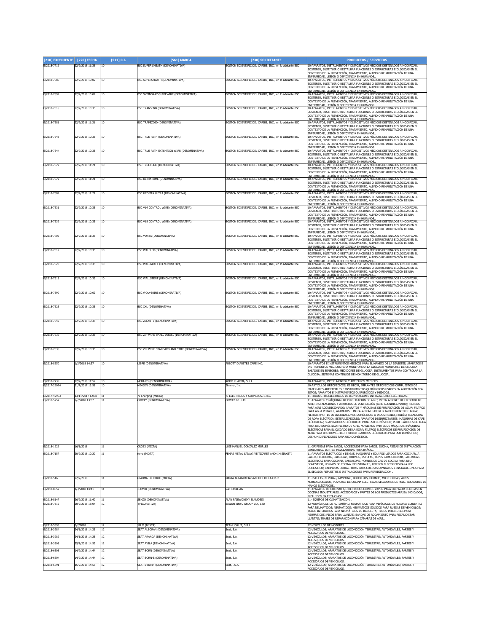| [210] EXPEDIENTE            | [220] FECHA                        | [511] C.I.      | [561] MARCA                                            | [730] SOLICITANTE                                           | <b>PRODUCTOS / SERVICIOS</b>                                                                                                                                                                                                               |
|-----------------------------|------------------------------------|-----------------|--------------------------------------------------------|-------------------------------------------------------------|--------------------------------------------------------------------------------------------------------------------------------------------------------------------------------------------------------------------------------------------|
| E/2018-7719                 | 22/2/2018 11:36                    | 10              | <b>3SC SUPER SHEATH (DENOMINATIVA)</b>                 | BOSTON SCIENTIFIC DEL CARIBE, INC., en lo adelante BSC      | 10-APARATOS, INSTRUMENTOS Y DISPOSITIVOS MÉDICOS DESTINADOS A MODIFICAR<br>SOSTENER, SUSTITUIR O RESTAURAR FUNCIONES O ESTRUCTURAS BIOLÓGICAS EN EL<br>CONTEXTO DE LA PREVENCIÓN, TRATAMIENTO, ALIVIO O REHABILITACIÓN DE UNA              |
| E/2018-7586                 | 22/2/2018 10:02                    | 10              | <b>RSC SUPERSHEATH (DENOMINATIVA)</b>                  | BOSTON SCIENTIFIC DEL CARIBE, INC., en lo adelante BSC      | ENFERMEDAD, LESIÓN O DEFICIENCIA EN HUMANOS<br>10-APARATOS, INSTRUMENTOS Y DISPOSITIVOS MÉDICOS DESTINADOS A MODIFICAR.                                                                                                                    |
|                             |                                    |                 |                                                        |                                                             | SOSTENER, SUSTITUIR O RESTAURAR FUNCIONES O ESTRUCTURAS BIOLÓGICAS EN EL<br>CONTEXTO DE LA PREVENCIÓN, TRATAMIENTO, ALIVIO O REHABILITACIÓN DE UNA                                                                                         |
| E/2018-7599                 | 22/2/2018 10:02                    | 10              | BSC SYTINGRAY GUIDEWIRE (DENOMINATIVA)                 | BOSTON SCIENTIFIC DEL CARIBE, INC., en lo adelante BSC      | ENFERMEDAD, LESIÓN O DEFICIENCIA EN HUMANOS.<br>10-APARATOS, INSTRUMENTOS Y DISPOSITIVOS MÉDICOS DESTINADOS A MODIFICAR,<br>SOSTENER, SUSTITUIR O RESTAURAR FUNCIONES O ESTRUCTURAS BIOLÓGICAS EN EL                                       |
| E/2018-7615                 | 22/2/2018 10:35                    | 10              | BSC TRANSEND (DENOMINATIVA)                            | BOSTON SCIENTIFIC DEL CARIBE, INC., en lo adelante BSC      | CONTEXTO DE LA PREVENCIÓN, TRATAMIENTO, ALIVIO O REHABILITACIÓN DE UNA<br>ENFERMEDAD. LESIÓN O DEFICIENCIA EN HUMANOS<br>10-APARATOS, INSTRUMENTOS Y DISPOSITIVOS MÉDICOS DESTINADOS A MODIFICAR,                                          |
|                             |                                    |                 |                                                        |                                                             | SOSTENER. SUSTITUIR O RESTAURAR EUNCIONES O ESTRUCTURAS BIOLÓGICAS EN EL<br>CONTEXTO DE LA PREVENCIÓN, TRATAMIENTO, ALIVIO O REHABILITACIÓN DE UNA                                                                                         |
| E/2018-7681                 | 22/2/2018 11:21                    | 10              | BSC TRAPEZOID (DENOMINATIVA)                           | BOSTON SCIENTIFIC DEL CARIBE, INC., en lo adelante BSC      | ENFERMEDAD. LESIÓN O DEFICIENCIA EN HUMANOS<br>10-APARATOS, INSTRUMENTOS Y DISPOSITIVOS MÉDICOS DESTINADOS A MODIFICAR,<br>SOSTENER, SUSTITUIR O RESTAURAR FUNCIONES O ESTRUCTURAS BIOLÓGICAS EN EL                                        |
| E/2018-7643                 | 22/2/2018 10:35                    | 10              | <b>BSC TRUE PATH (DENOMINATIVA)</b>                    | BOSTON SCIENTIFIC DEL CARIBE, INC., en lo adelante BSC      | CONTEXTO DE LA PREVENCIÓN, TRATAMIENTO, ALIVIO O REHABILITACIÓN DE UNA<br>ENFERMEDAD. LESIÓN O DEFICIENCIA EN HUMANOS.<br>10-APARATOS, INSTRUMENTOS Y DISPOSITIVOS MÉDICOS DESTINADOS A MODIFICAR                                          |
|                             |                                    |                 |                                                        |                                                             | SOSTENER, SUSTITUIR O RESTAURAR FUNCIONES O ESTRUCTURAS BIOLÓGICAS EN EL<br>CONTEXTO DE LA PREVENCIÓN, TRATAMIENTO, ALIVIO O REHABILITACIÓN DE UNA                                                                                         |
| E/2018-7644                 | 22/2/2018 10:35                    | 10              | BSC TRUE PATH EXTENTION WIRE (DENOMINATIVA)            | BOSTON SCIENTIFIC DEL CARIBE, INC., en lo adelante BSC      | <u>ENFERMEDAD, LESIÓN O DEFICIENCIA EN HUMANOS</u><br>10-APARATOS, INSTRUMENTOS Y DISPOSITIVOS MÉDICOS DESTINADOS A MODIFICAR<br>SOSTENER, SUSTITUIR O RESTAURAR FUNCIONES O ESTRUCTURAS BIOLÓGICAS EN EL                                  |
| E/2018-7677                 | 22/2/2018 11:21                    | 10              | <b>BSC TRUETOME (DENOMINATIVA)</b>                     | BOSTON SCIENTIFIC DEL CARIBE, INC., en lo adelante BSC      | CONTEXTO DE LA PREVENCIÓN, TRATAMIENTO, ALIVIO O REHABILITACIÓN DE UNA<br>ENFERMEDAD, LESIÓN O DEFICIENCIA EN HUMANOS.<br>10-APARATOS, INSTRUMENTOS Y DISPOSITIVOS MÉDICOS DESTINADOS A MODIFICAR                                          |
|                             |                                    |                 |                                                        |                                                             | SOSTENER, SUSTITUIR O RESTAURAR FUNCIONES O ESTRUCTURAS BIOLÓGICAS EN EL<br>CONTEXTO DE LA PREVENCIÓN, TRATAMIENTO, ALIVIO O REHABILITACIÓN DE UNA                                                                                         |
| E/2018-7672                 | 22/2/2018 11:21                    | 10              | BSC ULTRATOME (DENOMINATIVA)                           | BOSTON SCIENTIFIC DEL CARIBE, INC., en lo adelante BSC      | <u>ENFERMEDAD, LESIÓN O DEFICIENCIA EN HUMANOS.</u><br>10-APARATOS, INSTRUMENTOS Y DISPOSITIVOS MÉDICOS DESTINADOS A MODIFICAR<br>SOSTENER. SUSTITUIR O RESTAURAR FUNCIONES O ESTRUCTURAS BIOLÓGICAS EN EL                                 |
| E/2018-7689                 | 22/2/2018 11:21                    | 10              | BSC UROMAX ULTRA (DENOMINATIVA)                        | BOSTON SCIENTIFIC DEL CARIBE, INC., en lo adelante BSC      | CONTEXTO DE LA PREVENCIÓN, TRATAMIENTO, ALIVIO O REHABILITACIÓN DE UNA<br>ENFERMEDAD, LESIÓN O DEFICIENCIA EN HUMANOS.<br>10-APARATOS, INSTRUMENTOS Y DISPOSITIVOS MÉDICOS DESTINADOS A MODIFICAR,                                         |
|                             |                                    |                 |                                                        |                                                             | SOSTENER, SUSTITUIR O RESTAURAR FUNCIONES O ESTRUCTURAS BIOLÓGICAS EN EL<br>CONTEXTO DE LA PREVENCIÓN, TRATAMIENTO, ALIVIO O REHABILITACIÓN DE UNA                                                                                         |
| E/2018-7631                 | 22/2/2018 10:35                    | 10              | BSC V14 CONTROL WIRE (DENOMINATIVA)                    | BOSTON SCIENTIFIC DEL CARIBE, INC., en lo adelante BSC      | ENFERMEDAD, LESIÓN O DEFICIENCIA EN HUMANOS<br>10-APARATOS, INSTRUMENTOS Y DISPOSITIVOS MÉDICOS DESTINADOS A MODIFICAR<br>SOSTENER, SUSTITUIR O RESTAURAR FUNCIONES O ESTRUCTURAS BIOLÓGICAS EN EL                                         |
| E/2018-7632                 | 22/2/2018 10:35                    | $10\,$          | BSC V18 CONTROL WIRE (DENOMINATIVA)                    | BOSTON SCIENTIFIC DEL CARIBE, INC., en lo adelante BSC      | CONTEXTO DE LA PREVENCIÓN, TRATAMIENTO, ALIVIO O REHABILITACIÓN DE UNA<br>ENFERMEDAD. LESIÓN O DEFICIENCIA EN HUMANOS<br>10-APARATOS, INSTRUMENTOS Y DISPOSITIVOS MÉDICOS DESTINADOS A MODIFICAR,                                          |
|                             |                                    |                 |                                                        |                                                             | SOSTENER, SUSTITUIR O RESTAURAR FUNCIONES O ESTRUCTURAS BIOLÓGICAS EN EL<br>CONTEXTO DE LA PREVENCIÓN, TRATAMIENTO, ALIVIO O REHABILITACIÓN DE UNA                                                                                         |
| E/2018-7709                 | 22/2/2018 11:36                    | 10              | BSC VORTX (DENOMINATIVA)                               | BOSTON SCIENTIFIC DEL CARIBE, INC., en lo adelante BSC      | ENFERMEDAD, LESIÓN O DEFICIENCIA EN HUMANOS.<br>10-APARATOS, INSTRUMENTOS Y DISPOSITIVOS MÉDICOS DESTINADOS A MODIFICAR<br>SOSTENER, SUSTITUIR O RESTAURAR FUNCIONES O ESTRUCTURAS BIOLÓGICAS EN EL                                        |
|                             | 22/2/2018 10:35                    |                 | <b>RSC WALELEX (DENOMINATIVA)</b>                      |                                                             | CONTEXTO DE LA PREVENCIÓN, TRATAMIENTO, ALIVIO O REHABILITACIÓN DE UNA<br>ENFERMEDAD, LESIÓN O DEFICIENCIA EN HUMANOS                                                                                                                      |
| E/2018-7619                 |                                    | 10              |                                                        | BOSTON SCIENTIFIC DEL CARIBE, INC., en lo adelante BSC      | 10-APARATOS, INSTRUMENTOS Y DISPOSITIVOS MÉDICOS DESTINADOS A MODIFICAR<br>SOSTENER, SUSTITUIR O RESTAURAR FUNCIONES O ESTRUCTURAS BIOLÓGICAS EN EL<br>CONTEXTO DE LA PREVENCIÓN, TRATAMIENTO, ALIVIO O REHABILITACIÓN DE UNA              |
| E/2018-7620                 | 22/2/2018 10:35                    | 10              | BSC WALLGRAFT (DENOMINATIVA)                           | BOSTON SCIENTIFIC DEL CARIBE, INC., en lo adelante BSC      | ENFERMEDAD, LESIÓN O DEFICIENCIA EN HUMANOS.<br>10-APARATOS, INSTRUMENTOS Y DISPOSITIVOS MÉDICOS DESTINADOS A MODIFICAR<br>SOSTENER. SUSTITUIR O RESTAURAR FUNCIONES O ESTRUCTURAS BIOLÓGICAS EN EL                                        |
|                             | 22/2/2018 10:35                    |                 |                                                        |                                                             | CONTEXTO DE LA PREVENCIÓN, TRATAMIENTO, ALIVIO O REHABILITACIÓN DE UNA<br>ENFERMEDAD, LESIÓN O DEFICIENCIA EN HUMANOS<br>10-APARATOS, INSTRUMENTOS Y DISPOSITIVOS MÉDICOS DESTINADOS A MODIFICAR,                                          |
| E/2018-7618                 |                                    | 10              | <b>BSC WALLSTENT (DENOMINATIVA)</b>                    | BOSTON SCIENTIFIC DEL CARIBE, INC., en lo adelante BSC      | SOSTENER, SUSTITUIR O RESTAURAR FUNCIONES O ESTRUCTURAS BIOLÓGICAS EN EL<br>CONTEXTO DE LA PREVENCIÓN, TRATAMIENTO, ALIVIO O REHABILITACIÓN DE UNA                                                                                         |
| E/2018-7590                 | 22/2/2018 10:02                    | 10              | BSC WOLVERINE (DENOMINATIVA)                           | BOSTON SCIENTIFIC DEL CARIBE, INC., en lo adelante BSC      | ENFERMEDAD. LESIÓN O DEFICIENCIA EN HUMANOS<br>10-APARATOS, INSTRUMENTOS Y DISPOSITIVOS MÉDICOS DESTINADOS A MODIFICAR<br>SOSTENER, SUSTITUIR O RESTAURAR FUNCIONES O ESTRUCTURAS BIOLÓGICAS EN EL                                         |
|                             |                                    |                 |                                                        |                                                             | CONTEXTO DE LA PREVENCIÓN, TRATAMIENTO, ALIVIO O REHABILITACIÓN DE UNA<br>ENFERMEDAD. LESIÓN O DEFICIENCIA EN HUMANOS                                                                                                                      |
| E/2018-7625                 | 22/2/2018 10:35                    | 10              | <b>3SC XXL (DENOMINATIVA)</b>                          | BOSTON SCIENTIFIC DEL CARIBE, INC., en lo adelante BSC      | 10-APARATOS, INSTRUMENTOS Y DISPOSITIVOS MÉDICOS DESTINADOS A MODIFICAR<br>SOSTENER, SUSTITUIR O RESTAURAR FUNCIONES O ESTRUCTURAS BIOLÓGICAS EN EL<br>CONTEXTO DE LA PREVENCIÓN, TRATAMIENTO, ALIVIO O REHABILITACIÓN DE UNA              |
| E/2018-7649                 | 22/2/2018 10:35                    | 10              | <b>BSC ZELANTE (DENOMINATIVA)</b>                      | BOSTON SCIENTIFIC DEL CARIBE, INC., en lo adelante BSC      | ENFERMEDAD, LESIÓN O DEFICIENCIA EN HUMANOS<br>10-APARATOS, INSTRUMENTOS Y DISPOSITIVOS MÉDICOS DESTINADOS A MODIFICAR<br>SOSTENER, SUSTITUIR O RESTAURAR FUNCIONES O ESTRUCTURAS BIOLÓGICAS EN EL                                         |
|                             |                                    |                 |                                                        |                                                             | CONTEXTO DE LA PREVENCIÓN, TRATAMIENTO, ALIVIO O REHABILITACIÓN DE UNA<br><u>ENFERMEDAD, LESIÓN O DEFICIENCIA EN HUMANOS.</u>                                                                                                              |
| E/2018-7635                 | 22/2/2018 10:35                    | 10              | BSC ZIP WIRE SMALL VESSEL (DENOMINATIVA)               | BOSTON SCIENTIFIC DEL CARIBE, INC., en lo adelante BSC      | 10-APARATOS, INSTRUMENTOS Y DISPOSITIVOS MÉDICOS DESTINADOS A MODIFICAR,<br>SOSTENER, SUSTITUIR O RESTAURAR FUNCIONES O ESTRUCTURAS BIOLÓGICAS EN EL<br>CONTEXTO DE LA PREVENCIÓN, TRATAMIENTO, ALIVIO O REHABILITACIÓN DE UNA             |
| E/2018-7636                 | 22/2/2018 10:35                    | 10              | BSC ZIP WIRE STANDARD AND STIFF (DENOMINATIVA)         | BOSTON SCIENTIFIC DEL CARIBE, INC., en lo adelante BSC      | ENFERMEDAD, LESIÓN O DEFICIENCIA EN HUMANOS.<br>10-APARATOS, INSTRUMENTOS Y DISPOSITIVOS MÉDICOS DESTINADOS A MODIFICAR,<br>SOSTENER, SUSTITUIR O RESTAURAR FUNCIONES O ESTRUCTURAS BIOLÓGICAS EN EL                                       |
|                             | 1/3/2018 14:37                     |                 | IBRE (DENOMINATIVA)                                    | ABBOTT DIABETES CARE INC.                                   | CONTEXTO DE LA PREVENCIÓN, TRATAMIENTO, ALIVIO O REHABILITACIÓN DE UNA<br>ENFERMEDAD, LESIÓN O DEFICIENCIA EN HUMANOS<br>10-APARATOS E INSTRUMENTOS MÉDICOS PARA EL MANEJO DE LA DIABETES; APARATOS E                                      |
| E/2018-8650                 |                                    | 10              |                                                        |                                                             | INSTRUMENTOS MÉDICOS PARA MONITOREAR LA GLUCOSA; MONITORES DE GLUCOSA<br>BASADOS EN SENSORES: MEDIDORES DE GLUCOSA: INSTRUMENTOS PARA CONTROLAR LA                                                                                         |
| E/2018-7735                 | 22/2/2018 11:57                    | 10              | <b>IEDI-KD (DENOMINATIVA)</b>                          | KODO PHARMA, S.R.L.                                         | GLUCOSA: SISTEMAS CONTINUOS DE MONITOREO DE GLUCOSA.<br>10-APARATOS, INSTRUMENTOS Y ARTÍCULOS MÉDICOS                                                                                                                                      |
| E/2017-29024                | 31/7/2017 13:58                    | 10              | <b>VEXGEN (DENOMINATIVA)</b>                           | Zimmer, Inc.                                                | 10-ARTÍCULOS ORTOPÉDICOS, ES DECIR, IMPLANTES ORTOPÉDICOS COMPUESTOS DE<br>MATERIALES ARTIFICIALES E INSTRUMENTOS QUIRÚRGICOS USADOS EN ASOCIACIÓN CON                                                                                     |
| E/2017-42963<br>E/2018-5257 | 13/11/2017 12:38<br>7/2/2018 13:57 | 11<br>11        | 7J Charging (MIXTA)<br>COWAY (DENOMINATIVA)            | <b>71 FLECTRICOS Y SERVICIOS, S.R.L.</b><br>COWAY Co., Ltd. | <u>ESTOS; APARATOS E INSTRUMENTOS QUIRÚRGICOS Y MÉDICOS</u><br>11-PRODUCTOS ELECTRICOS DE ILUMINACIÓN E INSTALACIONES ELECTRICAS.<br>11-APARATOS Y MÁQUINAS DE PURIFICACIÓN DE AIRE; INSTALACIONES DE FILTRADO DE                          |
|                             |                                    |                 |                                                        |                                                             | AIRE: INSTALACIONES Y APARATOS DE VENTILACIÓN (AIRE ACONDICIONADO): ELLTROS<br>PARA AIRE ACONDICIONADO; APARATOS Y MÁQUINAS DE PURIFICACIÓN DE AGUA; FILTROS                                                                               |
|                             |                                    |                 |                                                        |                                                             | PARA AGUA POTABLE: APARATOS E INSTALACIONES DE REBLANDECIMIENTO DE AGUA:<br>FILTROS (PARTES DE INSTALACIONES DOMÉSTICAS O INDUSTRIALES): BIDÉS: SECADORAS<br>DE ROPA ELÉCTRICA; ESTERILIZADORES; APARATOS DESINFECTANTES; MÁQUINAS DE CAFÉ |
|                             |                                    |                 |                                                        |                                                             | ELÉCTRICAS; SUAVIZADORES ELÉCTRICOS PARA USO DOMÉSTICO; PURIFICADORES DE AGUA<br>PARA USO DOMÉSTICO; FILTRO DE AIRE, NO SIENDO PARTES DE MÁQUINAS; MÁQUINAS                                                                                |
|                             |                                    |                 |                                                        |                                                             | ELÉCTRICAS PARA EL CUIDADO DE LA ROPA: FILTROS ELÉCTRICOS DE PURIFICACIÓN DE<br>AGUA PARA USO DOMÉSTICO; HUMIDIFICADORES ELÉCTRICOS PARA USO DOMÉSTICO;<br>DESHUMIDIFICADORES PARA USO DOMÉSTICO. .                                        |
| E/2018-1929                 | 16/1/2018                          | $11\,$          | <b>CROEX (MIXTA)</b>                                   | LUIS MANUEL GONZALEZ MORLES                                 | 11-GRIFERIAS PARA BAÑOS, ACCESORIOS PARA BAÑOS, DUCHA, PIEZAS DE INSTALACIÓN                                                                                                                                                               |
| E/2018-7157                 | 20/2/2018 10:20                    | 11              | erre (MIXTA)                                           | FEMAS METAL SANAYI VE TICARET ANONIM SIRKETT                | SANITARIAS, ESPITAS MEZCLADORAS PARA BAÑOS.<br>11-APARATOS ELECTRICOS Y DE GAS, MAQUINAS Y EQUIPOS USADOS PARA COCINAR. A                                                                                                                  |
|                             |                                    |                 |                                                        |                                                             | SABER, FREIDORAS, PARRILLAS, HORNOS, ESTUFAS, TOPES PARA COCINAR, CACEROLAS<br>ELECTRICAS PARA COCINAR, BARBACOAS, HORNOS DE GAS DE COCINA PARA USO<br>DOMESTICO, HORNOS DE COCINA INDUSTRIALES, HORNOS ELECTRICOS PARA USO                |
|                             |                                    |                 |                                                        |                                                             | DOMESTICO; CAMPANAS EXTRACTORAS PARA COCINAS; APARATOS E INSTALACIONES PARA<br>EL SECADO; REPUESTOS E INSTALACIONES PARA REFRIGERACION.                                                                                                    |
| E/2018-516                  | 22/2/2018                          | $\overline{11}$ | <b>SIAHMA ELECTRIC (MIXTA)</b>                         | MARIA ALTAGRACIA SANCHEZ DE LA CRUZ                         | 11-ESTUFAS, NEVERAS, LAMPARAS, BOMBILLOS, HORNOS, MICROONDAS, AIRES<br>ACONDICIONADOS, PLANCHAS DE COCINA ELECTRICAS SECADORES DE PELO. SECADORES DI                                                                                       |
| E/2018-8652                 | 1/3/2018 14:41                     | 11              | <b>COMBI (DENOMINATIVA)</b>                            | RATIONAL AG                                                 | MANOS ELÉCTRICOS<br>11-APARATOS DE COCINAR Y/O DE PRODUCCIÓN DE VAPOR PARA PREPARAR COMIDAS EN<br>COCINAS INDUSTRIALES; ACCESORIOS Y PARTES DE LOS PRODUCTOS ARRIBA INDICADOS,                                                             |
| E/2018-814                  | 26/2/2018 11:40                    | 11              | SENZO (DENOMINATIVA                                    | ALAN PAIEWONSKY ELMUDESI                                    | INCLUIDOS EN ESTA CLASE<br>11- EQUIPOS DE CLIMATIZACIÓN                                                                                                                                                                                    |
| E/2018-7312                 | 20/2/2018 15:04                    | $12\,$          | (FIGURATIVA)                                           | SAILUN JINYU GROUP CO., LTD                                 | 12-NEUMÁTICOS DE AUTOMÓVIL; NEUMÁTICOS PARA VEHÍCULOS DE RUEDAS; CUBIERTAS<br>PARA NEUMÁTICOS; NEUMÁTICOS; NEUMÁTICOS SÓLIDOS PARA RUEDAS DE VEHÍCULOS;<br>TUBOS INTERIORES PARA NEUMÁTICOS DE BICICLETA; TUBOS INTERIORES PARA            |
|                             |                                    |                 |                                                        |                                                             | NEUMÁTICOS; PICOS PARA LLANTAS; BANDAS DE RODAMIENTO PARA RECAUCHITAR<br>LLANTAS; TRAJES DE REPARACIÓN PARA CÁMARAS DE AIRE                                                                                                                |
| E/2018-5598<br>E/2018-3284  | 8/2/2018<br>4/1/2018 14:25         | 12<br>12        | <b>JRLIZ (MIXTA)</b><br>EAT ALBORAN (DENOMINATIVA)     | TEAM JORLIZ, S.R.L.<br>ieat, S.A.                           | 12-VEHÍCULOS DE MOTORES.<br>12-VEHÍCULOS; APARATOS DE LOCOMOCIÓN TERRESTRE; AUTOMÓVILES, PARTES Y                                                                                                                                          |
| E/2018-3282                 | 24/1/2018 14:25                    | $\overline{12}$ | <b>SEAT ARANDA (DENOMINATIVA)</b>                      | seat, S.A.                                                  | ACCESORIOS DE VEHÍCULOS<br>12-VEHÍCULOS; APARATOS DE LOCOMOCIÓN TERRESTRE; AUTOMÓVILES, PARTES Y<br><u>ACCESORIOS DE VEHÍCULOS</u>                                                                                                         |
| E/2018-3503                 | 25/1/2018 14:53                    | 12              | SEAT AVILA (DENOMINATIVA)                              | seat, S.A.                                                  | 12-VEHÍCULOS; APARATOS DE LOCOMOCIÓN TERRESTRE; AUTOMÓVILES, PARTES \<br><u>ACCESORIOS DE VEHÍCULOS</u>                                                                                                                                    |
| E/2018-6503<br>E/2018-6504  | 14/2/2018 14:44<br>14/2/2018 14:44 | 12<br>12        | SEAT BORN (DENOMINATIVA)<br>SEAT BORN-E (DENOMINATIVA) | seat, S.A.<br>seat, S.A.                                    | 12-VEHÍCULOS; APARATOS DE LOCOMOCIÓN TERRESTRE; AUTOMÓVILES; PARTES Y<br>ACCESORIOS DE VEHÍCULOS<br>12-VEHÍCULOS; APARATOS DE LOCOMOCIÓN TERRESTRE; AUTOMÓVILES; PARTES Y                                                                  |
| E/2018-6691                 | 15/2/2018 14:58                    | 12              | SEAT E-BORN (DENOMINATIVA)                             | Seat, , S.A.                                                | ACCESORIOS DE VEHÍCULOS.<br>12-VEHÍCULOS; APARATOS DE LOCOMOCIÓN TERRESTRE; AUTOMÓVILES; PARTES Y                                                                                                                                          |
|                             |                                    |                 |                                                        |                                                             | ACCESORIOS DE VEHÍCULOS.                                                                                                                                                                                                                   |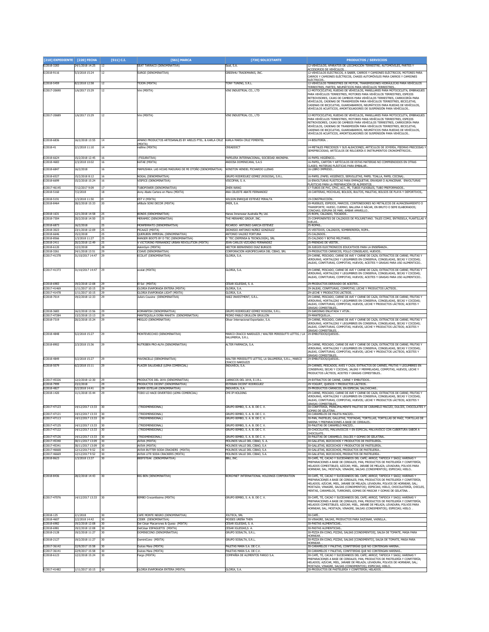| [210] EXPEDIENTE [220] FECHA |                                     | [511] C.I. | [561] MARCA                                                                          | [730] SOLICITANTE                                                                              | <b>PRODUCTOS / SERVICIOS</b>                                                                                                                                |
|------------------------------|-------------------------------------|------------|--------------------------------------------------------------------------------------|------------------------------------------------------------------------------------------------|-------------------------------------------------------------------------------------------------------------------------------------------------------------|
| E/2018-3283                  | 24/1/2018 14:25                     | 12         | SEAT TARRACO (DENOMINATIVA)                                                          | Seat, S.A.                                                                                     | 12-VEHÍCULOS; APARATOS DE LOCOMOCIÓN TERRESTRE; AUTOMÓVILES, PARTES Y                                                                                       |
| E/2018-9116                  | 5/3/2018 15:24                      | 12         | SURGE (DENOMINATIVA)                                                                 | GREEN4U TRADEMARKS, INC.                                                                       | ICCESORIOS DE VEHÍCULOS<br>12-VEHÍCULOS ELÉCTRICOS, A SABER, CARROS Y CAMIONES ELÉCTRICOS, MOTORES PARA                                                     |
|                              |                                     |            |                                                                                      |                                                                                                | CARROS Y CAMIONES ELÉCTRICOS, CHASIS AUTOMÓVILES PARA CARROS Y CAMIONES                                                                                     |
| E/2018-5459                  | 8/2/2018 12:58                      | 12         | EJON (MIXTA)                                                                         | TONY TUNING, S.R.L.                                                                            | ELÉCTRICOS<br>12-VEHÍCULOS TERRESTRES DE MOTOR, TRANSMISIONES HIDRÁULICAS PARA VEHÍCULOS                                                                    |
| E/2017-20690                 | 1/6/2017 15:29                      | 12         | Vini (MIXTA)                                                                         | VINI INDUSTRIAL CO., LTD                                                                       | TERRESTRES, PARTES; NEUMÁTICOS PARA VEHÍCULOS TERRESTRES.<br>12-MOTOCICLETAS, RUEDAS DE VEHÍCULOS, MANILLARES PARA MOTOCICLETA, EMBRAGUES                   |
|                              |                                     |            |                                                                                      |                                                                                                | PARA VEHÍCULOS TERRESTRES, MOTORES PARA VEHÍCULOS TERRESTRES, ESPEJOS                                                                                       |
|                              |                                     |            |                                                                                      |                                                                                                | RETROVISORES, CAJAS DE CAMBIOS PARA VEHÍCULOS TERRESTRES, CARROCERÍA PARA<br>VEHÍCULOS, CADENAS DE TRANSMISIÓN PARA VEHÍCULOS TERRESTRES, BICICLETAS,       |
|                              |                                     |            |                                                                                      |                                                                                                | CADENAS DE BICICLETAS, GUARDABARROS, NEUMÁTICOS PARA RUEDAS DE VEHÍCULOS,                                                                                   |
|                              |                                     |            |                                                                                      |                                                                                                | /EHÍCULOS ACUÁTICOS, AMORTIGUADORES DE SUSPENSIÓN PARA VEHÍCULOS                                                                                            |
| E/2017-20689                 | 1/6/2017 15:29                      | 12         | Vini (MIXTA)                                                                         | VINI INDUSTRIAL CO., LTD                                                                       | 12-MOTOCICLETAS, RUEDAS DE VEHÍCULOS, MANILLARES PARA MOTOCICLETA, EMBRAGUES<br>PARA VEHÍCULOS TERRESTRES, MOTORES PARA VEHÍCULOS TERRESTRES, ESPEJOS       |
|                              |                                     |            |                                                                                      |                                                                                                | RETROVISORES, CAJAS DE CAMBIOS PARA VEHÍCULOS TERRESTRES, CARROCERÍA PARA                                                                                   |
|                              |                                     |            |                                                                                      |                                                                                                | VEHÍCULOS, CADENAS DE TRANSMISIÓN PARA VEHÍCULOS TERRESTRES, BICICLETAS,<br>CADENAS DE BICICLETAS, GUARDABARROS, NEUMÁTICOS PARA RUEDAS DE VEHÍCULOS,       |
|                              |                                     |            |                                                                                      |                                                                                                | VEHÍCULOS ACUÁTICOS, AMORTIGUADORES DE SUSPENSIÓN PARA VEHÍCULOS.                                                                                           |
| E/2018-6836                  | 16/2/2018 13:55                     | 14         | MANO PRODUCTOS ARTESANALES BY ARELIS PTEL. & KARLA CRUZ  KARLA MARÍA CRUZ PIMENTEL   |                                                                                                | 14-BISUTERÍA. .                                                                                                                                             |
| E/2018-41                    | 2/1/2018 11:10                      | 14         | MIXTA)<br>edline (MIXTA)                                                             | CREADDICT                                                                                      | 14-METALES PRECIOSOS Y SUS ALEACIONES: ARTÍCULOS DE JOYERÍA, PIEDRAS PRECIOSAS                                                                              |
|                              |                                     |            |                                                                                      |                                                                                                | SEMIPRECIOSAS: ARTÍCULOS DE RELOIERÍA E INSTRUMENTOS CRONOMÉTRICOS.                                                                                         |
| E/2018-6624                  | 15/2/2018 12:45                     | 16         | (FIGURATIVA)                                                                         | PAPELERA INTERNACIONAL, SOCIEDAD ANONIMA.                                                      | 16-PAPEL HIGIÉNICO.                                                                                                                                         |
| E/2018-4683                  | 2/3/2018 10:02                      | 16         | (ATAE (MIXTA)                                                                        | ANDOSA DOMINICANA, S.A.S                                                                       | 16-PAPEL, CARTÓN Y ARTÍCULOS DE ESTAS MATERIAS NO COMPRENDIDOS EN OTRAS                                                                                     |
| E/2018-6847                  | 16/2/2018                           | 16         | MAMUSHKA: LAS HOJAS MADURAS DE MI OTOÑO (DENOMINATIVA)                               | WINSTON HENDEL PICHARDO LLENAS                                                                 | <u>:LASES; MATERIAS PLÁSTICAS PARA EMBALAR.</u><br><b>16-LIBRO IMPRESO.</b>                                                                                 |
| E/2018-6527                  | 15/2/2018 8:12                      | 16         | NOGAL (DENOMINATIVA)                                                                 | GRUPO RODRÍGUEZ GÓMEZ (ROGOSA), S.R.L.                                                         | 16-PAPEL (PAPEL HIGIÉNICO, SERVILLETAS, PAPEL TOALLA, PAPEL COCINA).                                                                                        |
| E/2018-6699                  | 15/2/2018 15:24                     | 16         | VISPICE (DENOMINATIVA)                                                               | VISCOFAN, S. A.                                                                                | 16-ENVOLTURAS PLÁSTICAS PARA EMPAQUETAR, ENVASAR O ALMACENAR. ENVOLTURAS                                                                                    |
|                              |                                     |            |                                                                                      | ZHEN WANG                                                                                      | LÁSTICAS PARA LA PREPARACIÓN DE ALIMENTOS                                                                                                                   |
| E/2017-46145<br>E/2018-5160  | 7/12/2017 9:09<br>7/2/2018          | 17<br>18   | <b>TUBOPOWER (DENOMINATIVA)</b><br>Anny Abate Cartera en Mano (MIXTA)                | ANA CELESTE ABATE FERNANDEZ                                                                    | 17-TUBOS DE PVC, CPVC, ACC, PE, TUBOS FLEXIBLES, TUBO PREFORMADOS<br>18-CARTERAS, MOCHILAS, BOLSOS, BULTOS, MALETAS, BOLSOS DE PLAYA Y DEPORTIVOS,          |
|                              |                                     |            |                                                                                      |                                                                                                |                                                                                                                                                             |
| E/2018-5191<br>E/2018-8464   | 1/3/2018 11:50<br>28/2/2018 15:33   | 19<br>20   | EST V (MIXTA)<br>aRBaJe SONI DECOR (MIXTA)                                           | WILSON ENRIQUE ESTEVEZ PERALTA<br>IMER, S.A.                                                   | 19-CONSTRUCCIÓN.<br>20-MUEBLES, ESPEJOS, MARCOS; CONTENEDORES NO METÁLICOS DE ALMACENAMIENTO O                                                              |
|                              |                                     |            |                                                                                      |                                                                                                | TRANSPORTE; HUESO, CUERNO, BALLENA O NÁCAR, EN BRUTO O SEMI ELABORADOS;                                                                                     |
| E/2018-1631                  | 12/1/2018 14:58                     | 25         | BONDS (DENOMINATIVA)                                                                 | Hanes Innerwear Australia Pty Ltd.                                                             | CONCHAS: ESPUMA DE MAR: ÁMBAR AMARILLO.<br>25-ROPA, CALZADO, TOCADOS.                                                                                       |
| E/2018-7304                  | 20/2/2018 14:50                     | 25         | <b>MERAMEC (DENOMINATIVA)</b>                                                        | THE MERAMEC GROUP, INC.                                                                        | 25-COMPONENTES DE CALZADOS DE POLIURETANO. TALES COMO, ENTRESELA, PLANTILLAS                                                                                |
| E/2018-6873                  | 16/2/2018                           | 25         | MONFERRATO (DENOMINATIVA)                                                            | RICARDO ANTONIO GARCIA ESTEVEZ                                                                 | <b>SUELAS</b><br>25-ROPAS                                                                                                                                   |
| E/2018-3023                  | 23/1/2018 12:09                     | 25         | PICAAZZ (MIXTA)                                                                      | DIONISIO ANTONIO NÚÑEZ GONZÁLEZ                                                                | 25-VESTIDOS, CALZADOS, SOMBRERERÍA, ROPA.                                                                                                                   |
| E/2018-6646                  | 15/2/2018                           | 25         | QUERUBIN IMPERIAL (DENOMINATIVA)                                                     | ANTONIO VALDEZ FORTUNA                                                                         | 25-CALZADOS.                                                                                                                                                |
| E/2018-8566<br>E/2018-2411   | 1/3/2018 11:27<br>20/2/2018 12:49   | 25<br>25   | RANGER BOOTS BY D TEC (DENOMINATIVA)<br>VICTORINO FERNANDEZ URBAN REVOLUTION (MIXTA) | D'TEC (DEFENSA & TECNOLOGÍA), SRL<br>JEAN CARLOS VIZCAÍNO FERNÁNDEZ                            | 25-CALZADO Y BOTAS MILITARES.<br>25-PRENDAS DE VESTIR.                                                                                                      |
| E/2018-6120                  | 12/2/2018                           | 28         | AskinGym (MIXTA)                                                                     | HECTOR BIENVENIDO DIAZ BURGOS                                                                  | 28-JUEGOS ELECTRÓNICOS EDUCATIVOS PARA LA ENSEÑANZA                                                                                                         |
| E/2018-3261                  | 24/1/2018 13:51                     | 29         | COAVE (DENOMINATIVA)                                                                 | CORPORACIÓN AGROPECUARIA DEL CIBAO, SRL                                                        | 29-PRODUCTOS CÁRNICOS, POLLO CONGELADO, HUEVOS,                                                                                                             |
| E/2017-41378                 | 31/10/2017 14:47                    | 29         | ECOLAT (DENOMINATIVA)                                                                | SLORIA, S.A.                                                                                   | 29-CARNE, PESCADO, CARNE DE AVE Y CARNE DE CAZA; EXTRACTOS DE CARNE; FRUTAS Y<br>VERDURAS, HORTALIZAS Y LEGUMBRES EN CONSERVA, CONGELADAS, SECAS Y COCIDAS; |
|                              |                                     |            |                                                                                      |                                                                                                | ALEAS, CONFITURAS, COMPOTAS; HUEVOS; ACEITES Y GRASAS PARA USO ALIMENTICIO                                                                                  |
| E/2017-41373                 | 31/10/2017 14:47                    | 29         | ecolat (MIXTA)                                                                       | GLORIA, S.A.                                                                                   | 29-CARNE, PESCADO, CARNE DE AVE Y CARNE DE CAZA; EXTRACTOS DE CARNE; FRUTAS Y                                                                               |
|                              |                                     |            |                                                                                      |                                                                                                | VERDURAS, HORTALIZAS Y LEGUMBRES EN CONSERVA, CONGELADAS, SECAS Y COCIDAS;                                                                                  |
|                              |                                     |            |                                                                                      |                                                                                                | JALEAS, CONFITURAS, COMPOTAS; HUEVOS; ACEITES Y GRASAS PARA USO ALIMENTICIO.                                                                                |
| E/2018-6983                  | 19/2/2018 12:08                     | 29<br>29   | FI Sol (MIXTA)<br><b>LORIA EVAPORADA ENTERA (MIXTA)</b>                              | CÉSAR IGLESIAS, S. A.                                                                          | 29-PRODUCTOS DERIVADO DE ACEITES.                                                                                                                           |
| E/2017-41469<br>E/2017-41478 | 1/11/2017 10:15<br>1/11/2017 10:15  | 29         | <b>GLORIA EVAPORADA LIGHT (MIXTA)</b>                                                | GLORIA, S.A.<br>GLORIA, S.A.                                                                   | 29-JALEAS, CONFITURAS, COMPOTAS; LECHE Y PRODUCTOS LÁCTEOS.<br>29-LECHE Y PRODUCTOS LÁCTEOS.                                                                |
| E/2018-7014                  | 19/2/2018 12:33                     | 29         | Iulia's Cousine (DENOMINATIVA)                                                       | HAEZ INVESTMENT, S.R.L.                                                                        | 29-CARNE, PESCADO, CARNE DE AVE Y CARNE DE CAZA; EXTRACTOS DE CARNE; FRUTAS Y                                                                               |
|                              |                                     |            |                                                                                      |                                                                                                | VERDURAS, HORTALIZAS Y LEGUMBRES EN CONSERVA, CONGELADAS, SECAS Y COCIDAS;<br>JALEAS, CONFITURAS, COMPOTAS; HUEVOS, LECHE Y PRODUCTOS LÁCTEOS; ACEITES Y    |
|                              |                                     |            |                                                                                      |                                                                                                | <b>GRASAS COMESTIBLES</b>                                                                                                                                   |
| E/2018-3683<br>E/2017-47284  | 16/2/2018 13:56<br>13/2/2018 13:13  | 29<br>29   | KOMANFISH (DENOMINATIVA)<br>MANTEQUILLA DOÑA MAHITA (DENOMINATIVA)                   | GRUPO RODRÍGUEZ GÓMEZ ROGOSA, S.R.L.<br>PEDRO PABLO GRULLÓN GRULLÓN                            | 29-SARDINAS ENLATADA Y ATÚN<br>29-MANTEQUILLA.                                                                                                              |
| E/2018-7319                  | 20/2/2018 15:24                     | 29         | MEGLIO (DENOMINATIVA)                                                                | Olivar Internacional Exportador, S.A.                                                          | 29-CARNE, PESCADO, CARNE DE AVE Y CARNE DE CAZA; EXTRACTOS DE CARNE; FRUTAS Y                                                                               |
|                              |                                     |            |                                                                                      |                                                                                                | VERDURAS, HORTALIZAS Y LEGUMBRES EN CONSERVA, CONGELADAS, SECAS Y COCIDAS;                                                                                  |
|                              |                                     |            |                                                                                      |                                                                                                | JALEAS, CONFITURAS, COMPOTAS; HUEVOS, LECHE Y PRODUCTOS LÁCTEOS; ACEITES Y<br><b>GRASAS COMESTIBLES</b>                                                     |
| E/2018-4848                  | 5/2/2018 15:27                      | 29         | MONTEVECCHIO (DENOMINATIVA)                                                          | MARCO CRACCO NARDUZZI / WALTER PERISSUTTI LETTIG / LA 29-EMBUTIDOS/QUESOS.<br>SALUMERIA, S.R.L |                                                                                                                                                             |
|                              |                                     |            |                                                                                      |                                                                                                |                                                                                                                                                             |
| E/2018-8902                  | 2/3/2018 15:36                      | 29         | NUTRIBEN PRO-ALFA (DENOMINATIVA)                                                     | ALTER FARMACIA, S.A.                                                                           | 29-CARNE, PESCADO, CARNE DE AVE Y CARNE DE CAZA; EXTRACTOS DE CARNE; FRUTAS Y<br>VERDURAS, HORTALIZAS Y LEGUMBRES EN CONSERVA, CONGELADAS, SECAS Y COCIDAS; |
|                              |                                     |            |                                                                                      |                                                                                                | JALEAS, CONFITURAS, COMPOTAS; HUEVOS; LECHE Y PRODUCTOS LACTEOS; ACEITES Y                                                                                  |
| E/2018-4849                  | 5/2/2018 15:27                      | 29         | AVONCELLI (DENOMINATIVA)                                                             | WALTER PERISSUTTI LETTIG, LA SALUMERIA, S.R.L., MARCO                                          | <b>GRASAS COMESTIBLES</b><br>29-EMBUTIDOS/QUESOS.                                                                                                           |
| E/2018-5079                  | 6/2/2018 15:11                      | 29         | PLACER SALUDABLE (LEMA COMERCIAL)                                                    | CRACCO NARDUZZI<br>INDUVECA, S.A.                                                              | 29-CARNES, PESCADOS, AVES Y CAZA; EXTRACTOS DE CARNES, FRUTAS Y LEGUMBRES EN                                                                                |
|                              |                                     |            |                                                                                      |                                                                                                | CONSERVAS; SECAS Y COCIDAS, JALEAS Y MERMELADAS, COMPOTAS, HUEVOS, LECHE Y                                                                                  |
|                              |                                     |            |                                                                                      |                                                                                                | PRODUCTOS LÁCTEOS, ACEITES Y GRASAS COMESTIBLES.                                                                                                            |
| E/2017-45326                 | 12/2/2018 12:30                     | 29         | PRODUCTOS DEL JAYA (DENOMINATIVA)                                                    | CARNICOS DEL JAYA, E.I.R.L                                                                     | 29-EXTRACTOS DE CARNE, CARNE Y EMBUTIDOS.                                                                                                                   |
| E/2018-7999<br>E/2018-4827   | 23/2/2018<br>5/2/2018 14:41         | 29<br>29   | PRODUCTOS DICENT (DENOMINATIVA)<br>SUPER ESTELAR (DENOMINATIVA)                      | ESTEBAN DICENT RODRIGUEZ<br>INDUVECA, S.A.                                                     | 29-YOGURT, QUESOS Y PRODUCTOS LÁCTEOS<br>29-PRODUCTOS CÁRNICOS, EN ESPECIAL SALCHICHAS.                                                                     |
| E/2018-1420                  | 11/1/2018 15:44                     | 29         | TODO LO HACE DIVERTIDO (LEMA COMERCIAL)                                              | CMI IP HOLDING                                                                                 | 29-CARNE, PESCADO, CARNE DE AVE Y CARNE DE CAZA; EXTRACTOS DE CARNE; FRUTAS Y                                                                               |
|                              |                                     |            |                                                                                      |                                                                                                | VERDURAS, HORTALIZAS Y LEGUMBRES EN CONSERVA, CONGELADAS, SECAS Y COCIDAS;                                                                                  |
|                              |                                     |            |                                                                                      |                                                                                                | IALEAS, CONFITURAS, COMPOTAS; HUEVOS; LECHE Y PRODUCTOS LÁCTEOS; ACEITES Y                                                                                  |
| E/2017-47123                 | 14/12/2017 13:33 30                 |            | (TRIDIMENSIONAL)                                                                     | GRUPO BIMBO, S. A. B. DE C. V.                                                                 | GRASAS COMESTIBLES<br>30-CONFITERÍA, PRINCIPALMENTE PALETAS DE CARAMELO MACIZO, DULCES, CHOCOLATES Y<br>GOMAS DE GELATINA.                                  |
|                              |                                     |            | <b>TRIDIMENSIONAL</b>                                                                | RUPO BIMBO, S. A. B.                                                                           | 0-CARA<br>IFI OS DE PA                                                                                                                                      |
| E/2017-47113                 | 14/12/2017 13:33                    | 30         | (TRIDIMENSIONAL)                                                                     | GRUPO BIMBO, S. A. B. DE C. V.                                                                 | 30-PAN, PASTELES, GALLETAS, TOSTADAS, TORTILLAS, TORTILLAS DE MAÍZ, TORTILLAS DE<br>HARINA Y PREPARACIONES A BASE DE CEREALES.                              |
| E/2017-47125                 | 14/12/2017 13:33                    | 30         | <b>TRIDIMENSIONAL</b>                                                                | SRUPO BIMBO, S. A. B. DE C. V.                                                                 | 30-PALETAS DE CARAMELO MACIZO.                                                                                                                              |
| E/2017-47122                 | 14/12/2017 13:33                    | 30         | (TRIDIMENSIONAL)                                                                     | GRUPO BIMBO, S. A. B. DE C. V.                                                                 | 30-CHOCOLATES, MALVAVISCOS Y EN ESPECIAL MALVAVISCO CON CUBERTURA SABOR A<br>CHOCOLATE.                                                                     |
| E/2017-47126                 | 14/12/2017 13:33                    | 30         | TRIDIMENSIONAL)                                                                      | GRUPO BIMBO, S. A. B. DE C. V.                                                                 | 30-PALETAS DE CARAMELO, DULCES Y GOMAS DE GELATINA                                                                                                          |
| E/2017-45340                 | 30/11/2017 13:09                    | 30         | (MIXTA)                                                                              | MOLINOS VALLE DEL CIBAO, S. A.                                                                 | 30-GALLETAS, BIZCOCHOS Y PRODUCTOS DE PASTELERÍA                                                                                                            |
| E/2017-45341<br>E/2017-46668 | 30/11/2017 13:09<br>12/12/2017 9:52 | 30<br>30   | AVIVA (MIXTA)<br>AVIVA BUTTER SODA CRACKERS (MIXTA)                                  | MOLINOS VALLE DEL CIBAO, S.A.<br>MOLINOS VALLE DEL CIBAO, S.A                                  | 30-GALLETAS, BIZCOCHOS Y PRODUCTOS DE PASTELERÍA.<br>30-GALLETAS, BIZCOCHOS, PRODUCTOS DE PASTELERIA.                                                       |
| E/2017-46669                 | 12/12/2017 9:52                     | 30         | AVIVA LITE SODA CRACKERS (MIXTA)                                                     | MOLINOS VALLE DEL CIBAO, S.A.                                                                  | 30-GALLETAS, BIZCOCHOS, PRODUCTOS DE PASTELERÍA.                                                                                                            |
| E/2018-8623                  | 1/3/2018 13:37                      | 30         | BEEFSTEAK (DENOMINATIVA)                                                             | BBU, INC.                                                                                      | 30-CAFÉ, TÉ, CACAO Y SUCEDÁNEOS DEL CAFÉ; ARROZ; TAPIOCA Y SAGÚ; HARINAS Y                                                                                  |
|                              |                                     |            |                                                                                      |                                                                                                | PREPARACIONES A BASE DE CEREALES; PAN, PRODUCTOS DE PASTELERÍA Y CONFITERÍA;<br>HELADOS COMESTIBLES; AZÚCAR; MIEL, JARABE DE MELAZA; LEVADURA; POLVOS PARA  |
|                              |                                     |            |                                                                                      |                                                                                                | HORNEAR; SAL; MOSTAZA; VINAGRE, SALSAS (CONDIMENTOS); ESPECIAS; HIELO                                                                                       |
| F/2018-8436                  | 28/2/2018 14:43                     | 30         | BIG BEN (DENOMINATIVA)                                                               | BORGYNET INTERNATIONAL HOLDINGS CORPORATION                                                    | 30-CAFÉ, TÉ, CACAO Y SUCEDÁNEOS DEL CAFÉ; ARROZ; TAPIOCA Y SAGÚ; HARINAS Y                                                                                  |
|                              |                                     |            |                                                                                      |                                                                                                | REPARACIONES A BASE DE CEREALES; PAN, PRODUCTOS DE PASTELERÍA Y CONFITERÍA;<br>HELADOS: AZÚCAR, MIEL, JARABE DE MELAZA: LEVADURA, POLVOS DE HORNEAR: SAL:   |
|                              |                                     |            |                                                                                      |                                                                                                | MOSTAZA; VINAGRE, SALSAS (CONDIMENTOS); ESPECIAS; HIELO, CHOCOLATERÍA, CHICLES,                                                                             |
|                              |                                     |            |                                                                                      |                                                                                                | MENTAS, CARAMELOS, TURRONES, GOMAS DE MASCAR Y GOMAS DE GELATINA. .                                                                                         |
| E/2017-47076                 | 14/12/2017 13:33 30                 |            | <b>BIMBO Crocantíssimo (MIXTA)</b>                                                   | GRUPO BIMBO, S. A. B. DE C. V.                                                                 | 30-CAFÉ, TÉ, CACAO Y SUCEDÁNEOS DEL CAFÉ; ARROZ; TAPIOCA Y SAGÚ; HARINAS Y                                                                                  |
|                              |                                     |            |                                                                                      |                                                                                                | PREPARACIONES A BASE DE CEREALES; PAN, PRODUCTOS DE PASTELERÍA Y CONFITERÍA;<br>HELADOS COMESTIBLES; AZÚCAR; MIEL, JARABE DE MELAZA; LEVADURA; POLVOS PARA  |
|                              |                                     |            |                                                                                      |                                                                                                | HORNEAR; SAL; MOSTAZA; VINAGRE, SALSAS (CONDIMENTOS); ESPECIAS; HIELO.                                                                                      |
| E/2018-125                   | 2/1/2018                            | 30         | CAFE MONTE NEGRO (DENOMINATIVA)                                                      | <b>101 TFCA, SRI</b>                                                                           | 30-CAFF.                                                                                                                                                    |
| E/2018-4607                  | 2/2/2018 14:42                      | 30         | CIDER (DENOMINATIVA)                                                                 | MOISES UREÑA THEN                                                                              | 30-VINAGRE, SALSAS, PRODUCTOS PARA SAZONAR, VAINILLA                                                                                                        |
| E/2018-6982<br>E/2018-6981   | 19/2/2018 12:08<br>19/2/2018 12:08  | 30<br>30   | Del César Macarrones & Queso (MIXTA)<br>DelCésar ESPAGUETIS (MIXTA)                  | CÉSAR IGLESIAS, S. A.<br>CÉSAR IGLESIAS,S. A.                                                  | 30-PASTAS ALIMENTICIAS.<br>30-PASTAS ALIMENTICIAS.                                                                                                          |
| E/2018-2128                  | 19/2/2018 11:27                     | 30         | OMINICONO (DENOMINATIVA)                                                             | GRUPO SOSALTA, S.R.L                                                                           | 30-PIZZA EN CONO, PIZZAS, SALSAS [CONDIMENTOS], SALSA DE TOMATE, MASA PARA                                                                                  |
| E/2018-2127                  | 19/2/2018 11:27                     | 30         | DominiCono (MIXTA)                                                                   | GRUPO SOSALTA, S.R.L.                                                                          | <b>HORNEAR</b><br>30-PIZZA EN CONO, PIZZAS, SALSAS [CONDIMENTO], SALSA DE TOMATE, MASA PARA                                                                 |
|                              |                                     |            |                                                                                      |                                                                                                | HORNEAR.                                                                                                                                                    |
| E/2017-36142<br>E/2017-36141 | 22/9/2017 15:58<br>22/9/2017 15:58  | 30         | Julces Mara (MIXTA)<br>Dulces Mara (MIXTA)                                           | PALETAS MARA S.A. DE C.V.<br>PALETAS MARA S.A. DE C.V.                                         | 30-CARAMELOS Y PALETAS, CONFITERÍAS QUE NO CONTENGAN HARINA.<br>30-CARAMELOS Y PALETAS, CONFITERÍAS QUE NO CONTENGAN HARINAS.                               |
| E/2018-6123                  | 12/2/2018 15:24                     | 30         | argo (MIXTA)                                                                         | COMPAÑIA DE ALIMENTOS FARGO S.A                                                                | 30-CAFÉ, TÉ, CACAO Y SUCEDÁNEOS DEL CAFÉ; ARROZ; TAPIOCA Y SAGÚ; HARINAS Y                                                                                  |
|                              |                                     |            |                                                                                      |                                                                                                | REPARACIONES A BASE DE CEREALES; PAN, PRODUCTOS DE PASTELERÍA Y CONFITERÍA;                                                                                 |
|                              |                                     |            |                                                                                      |                                                                                                | HELADOS; AZÚCAR, MIEL, JARABE DE MELAZA; LEVADURA, POLVOS DE HORNEAR; SAL;<br>MOSTAZA: VINAGRE, SALSAS (CONDIMENTOS): ESPECIAS: HIELO,                      |
| E/2017-41482                 | 1/11/2017 10:15                     | 30         | GLORIA EVAPORADA ENTERA (MIXTA)                                                      | GLORIA, S.A.                                                                                   | 30-PRODUCTOS DE PASTELERÍA Y CONFITERÍA; HELADOS.                                                                                                           |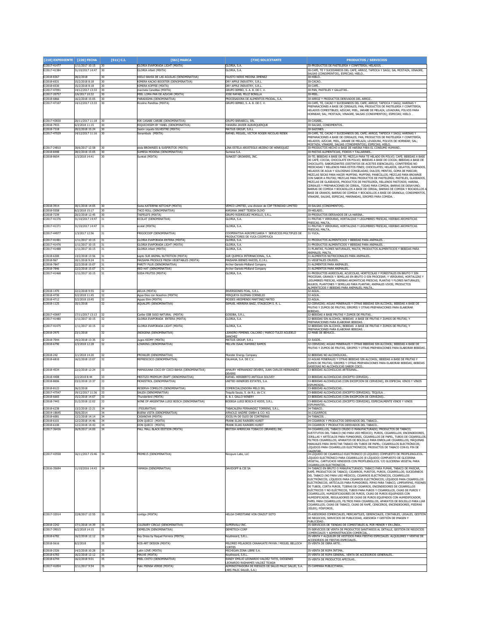| [210] EXPEDIENTE [220] FECHA |                                     | $[511]$ C.I. | [561] MARCA                                                                      | [730] SOLICITANTE                                                                                                                       | <b>PRODUCTOS / SERVICIOS</b>                                                                                                                                                                                                                                                                                                                                                                                                                                                                                                                                                                                                                                                                                                                                                                                                                                                                                                                                                |
|------------------------------|-------------------------------------|--------------|----------------------------------------------------------------------------------|-----------------------------------------------------------------------------------------------------------------------------------------|-----------------------------------------------------------------------------------------------------------------------------------------------------------------------------------------------------------------------------------------------------------------------------------------------------------------------------------------------------------------------------------------------------------------------------------------------------------------------------------------------------------------------------------------------------------------------------------------------------------------------------------------------------------------------------------------------------------------------------------------------------------------------------------------------------------------------------------------------------------------------------------------------------------------------------------------------------------------------------|
| E/2017-41477<br>E/2017-41384 | 1/11/2017 10:15<br>31/10/2017 14:47 | 30<br>30     | GLORIA EVAPORADA LIGHT (MIXTA)<br><b>GLORIA</b> infant (MIXTA)                   | GLORIA, S.A.<br><b>GLORIA, S.A.</b>                                                                                                     | 30-PRODUCTOS DE PASTELERÍA Y CONFITERÍA: HELADOS.<br>30-CAFÉ, TÉ Y SUCEDÁNEOS DEL CAFÉ; ARROZ, TAPIOCA Y SAGÚ; SAL MOSTAZA; VINAGRE,                                                                                                                                                                                                                                                                                                                                                                                                                                                                                                                                                                                                                                                                                                                                                                                                                                        |
| E/2018-8367                  | 28/2/2018                           | 30           |                                                                                  | FAUSTO NERIS MEDINA JIMENEZ                                                                                                             | ALSAS (CONDIMENTOS), ESPECIAS; HIELO.<br>30-HIELO                                                                                                                                                                                                                                                                                                                                                                                                                                                                                                                                                                                                                                                                                                                                                                                                                                                                                                                           |
| E/2018-6531                  | 15/2/2018 8:18                      | 30           | HIELO BAHIA DE LAS AGUILAS (DENOMINATIVA)<br>KIMERA KACAO BOOSTER (DENOMINATIVA) | DRY APPLE INDUSTRY, S.R.L.                                                                                                              | 30-CACAO.                                                                                                                                                                                                                                                                                                                                                                                                                                                                                                                                                                                                                                                                                                                                                                                                                                                                                                                                                                   |
| E/2018-6530<br>E/2017-47091  | 15/2/2018 8:18<br>14/12/2017 13:33  | 30<br>30     | KIMERA KOFFEE (MIXTA)<br>marinela Canelitas (MIXTA)                              | DRY APPLE INDUSTRY, S.R.L.<br>GRUPO BIMBO, S. A. B. DE C. V.                                                                            | 30-CAFÉ.<br>30-PAN, PASTELES Y GALLETAS.                                                                                                                                                                                                                                                                                                                                                                                                                                                                                                                                                                                                                                                                                                                                                                                                                                                                                                                                    |
| E/2017-20757                 | 2/6/2017 10:32                      | 30           | MIEL LOMA PAN DE AZUCAR (MIXTA)                                                  | JOSE RAFAEL FELIZ BONILLA                                                                                                               | 0-MIEL                                                                                                                                                                                                                                                                                                                                                                                                                                                                                                                                                                                                                                                                                                                                                                                                                                                                                                                                                                      |
| E/2018-6866<br>E/2017-47107  | 16/2/2018 15:05<br>14/12/2017 13:33 | 30<br>30     | PARADIGMA (DENOMINATIVA)<br>Ricolino Panditas (MIXTA)                            | PROCESADORA DE ALIMENTOS PRODAL, S.A.<br>GRUPO BIMBO, S. A. B. DE C. V.                                                                 | 30-ARROZ Y PRODUCTOS DERIVADOS DEL ARROZ.<br>30-CAFÉ, TÉ, CACAO Y SUCEDÁNEOS DEL CAFÉ; ARROZ; TAPIOCA Y SAGÚ; HARINAS Y                                                                                                                                                                                                                                                                                                                                                                                                                                                                                                                                                                                                                                                                                                                                                                                                                                                     |
|                              |                                     |              |                                                                                  |                                                                                                                                         | PREPARACIONES A BASE DE CEREALES; PAN, PRODUCTOS DE PASTELERÍA Y CONFITERÍA;<br>HELADOS COMESTIBLES; AZÚCAR; MIEL, JARABE DE MELAZA; LEVADURA; POLVOS PARA<br>HORNEAR; SAL; MOSTAZA; VINAGRE, SALSAS (CONDIMENTOS); ESPECIAS; HIELO. .                                                                                                                                                                                                                                                                                                                                                                                                                                                                                                                                                                                                                                                                                                                                      |
| E/2017-43830<br>E/2018-7933  | 20/11/2017 11:18<br>6/3/2018 11:15  | 30<br>30     | RIK CASABE CARIBE (DENOMINATIVA)<br>RIQUICHISIM BY YANEL (DENOMINATIVA)          | SRUPO BARABICU, SRL<br>YAHAIRA JAVIER ALBURQUERQUE                                                                                      | <b>30-CASABE</b><br>30-SALSAS, CONDIMENTOS                                                                                                                                                                                                                                                                                                                                                                                                                                                                                                                                                                                                                                                                                                                                                                                                                                                                                                                                  |
| E/2018-7318                  | 20/2/2018 15:24                     | 30           | Sazón Líquido SILVESTRE (MIXTA)                                                  | MATIUS GROUP, S.R.L                                                                                                                     | 30-SAZONES.                                                                                                                                                                                                                                                                                                                                                                                                                                                                                                                                                                                                                                                                                                                                                                                                                                                                                                                                                                 |
| E/2017-47029                 | 14/12/2017 11:16                    | 30           | Sonambulo (MIXTA)                                                                | RAFAEL MIGUEL, VICTOR ROGER NICOLAS RESEK                                                                                               | 30-CAFÉ, TÉ, CACAO Y SUCEDÁNEOS DEL CAFÉ; ARROZ; TAPIOCA Y SAGÚ; HARINAS Y<br>PREPARACIONES A BASE DE CEREALES; PAN, PRODUCTOS DE PASTELERÍA Y CONFITERÍA;<br>HELADOS; AZÚCAR, MIEL, JARABE DE MELAZA; LEVADURA, POLVOS DE HORNEAR; SAL;<br>10STAZA; VINAGRE, SALSAS (CONDIMENTOS); ESPECIAS; HIELO.                                                                                                                                                                                                                                                                                                                                                                                                                                                                                                                                                                                                                                                                        |
| E/2017-24810<br>E/2018-8448  | 30/6/2017 12:58<br>28/2/2018 15:05  | 30<br>30     | stela BROWNIES & SUSPIRITOS (MIXTA)<br>SUMESA MODENA (DENOMINATIVA)              | LINA ESTELA AROSTEGUI ARZENO DE HENRIQUEZ<br>Sumesa S.A                                                                                 | 30-PRODUCTOS HECHO A BASE DE HARINA PARA EL CONSUMO HUMANO<br>30-PASTAS ALIMENTICIAS, FIDEOS Y TALLARINES                                                                                                                                                                                                                                                                                                                                                                                                                                                                                                                                                                                                                                                                                                                                                                                                                                                                   |
| E/2018-8654                  | 1/3/2018 14:41                      | 30           | Sunkist (MIXTA)                                                                  | SUNKIST GROWERS, INC.                                                                                                                   | 30-TÉ; BEBIDAS A BASE DE TÉ; MEZCLA PARA TÉ HELADO EN POLVO; CAFÉ; BEBIDAS A BASE<br>DE CAFÉ; COCOA; CHOCOLATE EN POLVO; BEBIDAS A BASE DE COCOA; BEBIDAS A BASE DE<br>CHOCOLATE; SABORIZANTES (DISTINTOS DE ACEITES ESENCIALES); CONFITERÍAS NO<br>MEDICADAS Y RELLENOS PARA ESTOS FINES; CHOCOLATES; HELADOS, GELATOS, RASPADOS,<br>HELADOS DE AGUA Y GOLOSINAS CONGELADAS; DULCES; MENTAS, GOMA DE MASCAR;<br>MEZCLAS SECAS PARA HACER MUFFINS; MUFFINS; PANECILLOS; MEZCLAS PARA BROWNIE<br>CON SABOR A FRUTAS; MEZCLAS PARA PRODUCTOS DE PASTELERÍA; PASTELES, GLASEADOS,<br>MEZCLAS DE GLASEADOS, PRODUCTOS DE PASTELERÍA, RELLENOS PASTOSOS; HARINA,<br>CEREALES Y PREPARACIONES DE CEREAL, TODAS PARA COMIDA; BARRAS DE DESAYUNO;<br>BARRAS DE COMIDA Y BOCADILLOS A BASE DE CEREAL: BARRAS DE COMIDA Y BOCADILLOS A<br>BASE DE GRANOS; BARRAS DE COMIDA Y BOCADILLOS A BASE DE GRANOLA; CONDIMENTOS,<br>VINAGRE, SALSAS, ESPECIAS, MARINADAS, SIROPES PARA COMIDA. |
| E/2018-3914<br>E/2018-5558   | 30/1/2018 14:05<br>8/2/2018 15:17   | 30<br>30     | Swiss KATERPAK KETCHUP (MIXTA)<br>TACO ROLL (DENOMINATIVA)                       | VEMCO LIMITED, una división de CDP TRINIDAD LIMITED<br>KARIANA JANET TEJEDA OLIVO                                                       | 30-SALSAS (CONDIMENTOS)<br>30-HELADO.                                                                                                                                                                                                                                                                                                                                                                                                                                                                                                                                                                                                                                                                                                                                                                                                                                                                                                                                       |
| E/2018-7239                  | 20/2/2018 12:45                     | 30           | TAIFELD'S (MIXTA)                                                                | GRUPO RODRÍGUEZ MORILLO, S.R.L.                                                                                                         | 30-PRODUCTOS DERIVADOS DE LA HARINA                                                                                                                                                                                                                                                                                                                                                                                                                                                                                                                                                                                                                                                                                                                                                                                                                                                                                                                                         |
| E/2017-41376                 | 31/10/2017 14:47                    | 31           | ECOLAT (DENOMINATIVA)                                                            | GLORIA, S.A.                                                                                                                            | 31-FRUTAS Y VERDURAS, HORTALIZAS Y LEGUMBRES FRESCAS, HIERBAS AROMÁTICAS<br><b>RESCAS: MALTA</b>                                                                                                                                                                                                                                                                                                                                                                                                                                                                                                                                                                                                                                                                                                                                                                                                                                                                            |
| E/2017-41371                 | 31/10/2017 14:47                    | 31           | ecolat (MIXTA)                                                                   | SLORIA, S.A.                                                                                                                            | 1-FRUTAS Y VERDURAS, HORTALIZAS Y LEGUMBRES FRESCAS, HIERBAS AROMÁTICAS<br><b>RESCAS: MALTA</b>                                                                                                                                                                                                                                                                                                                                                                                                                                                                                                                                                                                                                                                                                                                                                                                                                                                                             |
| E/2017-44977                 | 1/3/2017 12:56                      | 31           | <b>FRIGOCOOP (DENOMINATIVA)</b>                                                  | COOPERATIVA AGROPECUARIA Y SERVICIOS MÚLTIPLES DE<br>PRODUCTORES DE YUCA COOPEYUCA                                                      | 31-YUCA.                                                                                                                                                                                                                                                                                                                                                                                                                                                                                                                                                                                                                                                                                                                                                                                                                                                                                                                                                                    |
| E/2017-41481<br>E/2017-41476 | /11/2017 10:15                      | 31           | <b>GLORIA EVAPORADA ENTERA (MIXTA)</b><br>GLORIA EVAPORADA LIGHT (MIXTA)         | GLORIA, S.A.                                                                                                                            | 1-PRODUCTOS ALIMENTICIOS Y BEBIDAS PARA ANIMALES.<br>31-PRODUCTOS ALIMENTICIOS Y BEBIDAS PARA ANIMALES.                                                                                                                                                                                                                                                                                                                                                                                                                                                                                                                                                                                                                                                                                                                                                                                                                                                                     |
| E/2017-41488                 | 1/11/2017 10:15<br>1/11/2017 10:15  | 31           | <b>GLORIA</b> infant (MIXTA)                                                     | GLORIA, S.A.<br>GLORIA, S.A.                                                                                                            | 31-PLANTAS, FLORES NATURALES, MALTA; PRODUCTOS ALIMENTICIOS Y BEBIDAS PARA                                                                                                                                                                                                                                                                                                                                                                                                                                                                                                                                                                                                                                                                                                                                                                                                                                                                                                  |
| E/2018-6300                  | 13/2/2018 13:56                     | 31           | kapto SUR ANIMAL NUTRITION (MIXTA)                                               | SUR QUIMICA INTERNACIONAL, S.A                                                                                                          | <b>NIMALES: MALTA</b><br>31-ALIMENTOS NUTRICIONALES PARA ANIMALES.                                                                                                                                                                                                                                                                                                                                                                                                                                                                                                                                                                                                                                                                                                                                                                                                                                                                                                          |
| E/2018-967<br>E/2018-7847    | 10/1/2018 9:24<br>22/2/2018 15:07   | 31<br>31     | MAISAMA PRODUCE FRESH VEGETABLES (MIXTA)<br>PARITY PLUS (DENOMINATIVA)           | MAISAMA BIENES RAÍCES, E.I.R.L<br>Archer-Daniels-Midland Company                                                                        | 31-VEGETALES CRUDOS.<br>31-ALIMENTOS PARA ANIMALES.                                                                                                                                                                                                                                                                                                                                                                                                                                                                                                                                                                                                                                                                                                                                                                                                                                                                                                                         |
| E/2018-7846                  | 22/2/2018 15:07                     | 31           | RED HAT (DENOMINATIVA)                                                           | Archer-Daniels-Midland Company                                                                                                          | 31-ALIMENTOS PARA ANIMALES.                                                                                                                                                                                                                                                                                                                                                                                                                                                                                                                                                                                                                                                                                                                                                                                                                                                                                                                                                 |
| E/2017-41468<br>E/2018-1470  | 1/11/2017 10:15<br>22/2/2018 9:55   | 31<br>32     | SODA FRUTSS (MIXTA)<br>AELVA (MIXTA)                                             | GLORIA, S.A.<br>INVERSIONES POAL, S.R.L.                                                                                                | 31-PRODUCTOS AGRÍCOLAS, ACUÍCOLAS, HORTÍCOLAS Y FORESTALES EN BRUTO Y SIN<br>PROCESAR; GRANOS Y SEMILLAS EN BRUTO O SIN PROCESAR; Y VERDURAS, HORTALIZAS Y<br>LEGUMBRES FRESCAS, HIERBAS AROMÁTICAS FRESCAS; PLANTAS Y FLORES NATURALES;<br>BULBOS, PLANTONES Y SEMILLAS PARA PLANTAR; ANIMALES VIVOS; PRODUCTOS<br>ALIMENTICIOS Y BEBIDAS PARA ANIMALES; MALTA<br>32-AGUA.                                                                                                                                                                                                                                                                                                                                                                                                                                                                                                                                                                                                 |
| E/2018-4730                  | 5/2/2018 11:45                      | 32           | Agua Dios con Nosotros (MIXTA)                                                   | MIRQUEYA GUZMAN CORNELIO                                                                                                                | 32-AGUA.                                                                                                                                                                                                                                                                                                                                                                                                                                                                                                                                                                                                                                                                                                                                                                                                                                                                                                                                                                    |
| E/2018-4712<br>E/2018-1125   | 5/2/2018 10:45<br>10/1/2018         | 32<br>32     | Aguas Elim (MIXTA)<br>AQUALIFE (DENOMINATIVA)                                    | MOISES ARISMENDI MARTINEZ MATEO<br>SAMUEL HERRERA BAEZ, STAGECOM S. R. L.                                                               | 32-AGUA<br>2-CERVEZAS; AGUAS MINERALES Y OTRAS BEBIDAS SIN ALCOHOL; BEBIDAS A BASE DE                                                                                                                                                                                                                                                                                                                                                                                                                                                                                                                                                                                                                                                                                                                                                                                                                                                                                       |
|                              |                                     |              |                                                                                  |                                                                                                                                         | RUTAS Y ZUMOS DE FRUTAS; SIROPES Y OTRAS PREPARACIONES PARA ELABORAR<br><b>SEBIDAS</b>                                                                                                                                                                                                                                                                                                                                                                                                                                                                                                                                                                                                                                                                                                                                                                                                                                                                                      |
| E/2017-43697<br>E/2017-41480 | 17/11/2017 13:13<br>1/11/2017 10:15 | 32<br>32     | Caribe GSB JUGO NATURAL (MIXTA)<br>GLORIA EVAPORADA ENTERA (MIXTA)               | GOSOBA, S.R.L<br>GLORIA, S.A.                                                                                                           | 2-BEBIDAS A BASE FRUTAS Y ZUMOS DE FRUTAS<br>32-BEBIDAS SIN ALCOHOL; BEBIDAS A BASE DE FRUTAS Y ZUMOS DE FRUTAS; Y                                                                                                                                                                                                                                                                                                                                                                                                                                                                                                                                                                                                                                                                                                                                                                                                                                                          |
| E/2017-41475                 | 1/11/2017 10:15                     | 32           | GLORIA EVAPORADA LIGHT (MIXTA)                                                   | GLORIA, S.A.                                                                                                                            | PREPARACIONES PARA ELABORAR BEBIDAS<br>32-BEBIDAS SIN ALCOHOL; BEBIDAS A BASE DE FRUTAS Y ZUMOS DE FRUTAS; Y                                                                                                                                                                                                                                                                                                                                                                                                                                                                                                                                                                                                                                                                                                                                                                                                                                                                |
| E/2018-2975                  | 23/1/2018                           | 32           | INDIGENA (DENOMINATIVA)                                                          | LEANDRO PIMENEL CALCAÑO / MARCO TULIO AGUDELO                                                                                           | PREPARACIONES PARA ELABORAR BEBIDAS.<br>32-MABI DE BEHUCO                                                                                                                                                                                                                                                                                                                                                                                                                                                                                                                                                                                                                                                                                                                                                                                                                                                                                                                   |
| E/2018-7044                  | 19/2/2018 13:35                     | 32           | Jugos KIOMY (MIXTA)                                                              | SANCHEZ<br>MATIUS GROUP, S.R.L.                                                                                                         | 32-JUGOS.                                                                                                                                                                                                                                                                                                                                                                                                                                                                                                                                                                                                                                                                                                                                                                                                                                                                                                                                                                   |
| E/2018-6790                  | 2/3/2018 12:28                      | 32           | LOWKING (DENOMINATIVA)                                                           | MELVIN ISAAC RAMIREZ RAMOS                                                                                                              | 32-CERVEZAS; AGUAS MINERALES Y OTRAS BEBIDAS SIN ALCOHOL; BEBIDAS A BASE DE<br>RUTAS Y ZUMOS DE FRUTAS, SIROPES Y OTRAS PREPARACIONES PARA ELABORAR BEBIDAS                                                                                                                                                                                                                                                                                                                                                                                                                                                                                                                                                                                                                                                                                                                                                                                                                 |
| E/2018-242                   | /1/2018 14:20                       | 32           | PROWLER (DENOMINATIVA)                                                           | Monster Energy Company                                                                                                                  | 32-BEBIDAS NO ALCOHÓLICAS                                                                                                                                                                                                                                                                                                                                                                                                                                                                                                                                                                                                                                                                                                                                                                                                                                                                                                                                                   |
| E/2018-6810                  | 16/2/2018 13:07                     | 32           | REFRESCOCO (DENOMINATIVA)                                                        | CALAHUA, S.A. DE C.V.                                                                                                                   | 32-AGUAS MINERALES Y OTRAS BEBIDAS SIN ALCOHOL; BEBIDAS A BASE DE FRUTAS Y<br>ZUMOS DE FRUTAS; SIROPES Y OTRAS PREPARACIONES PARA ELABORAR BEBIDAS; BEBIDAS<br><u>ASEOSAS NO ALCOHÓLICAS SABOR COCO.</u>                                                                                                                                                                                                                                                                                                                                                                                                                                                                                                                                                                                                                                                                                                                                                                    |
| E/2018-4534                  | 22/2/2018 12:24                     | 33           | MAMAJUANA COCO BY COCO BAHIA (DENOMINATIVA)                                      | AMAURY HERNANDEZ DEVERS, JUAN CARLOS HERNANDEZ<br>DEVERS                                                                                | 33-BEBIDAS ALCOHOLICAS ARTESANAL                                                                                                                                                                                                                                                                                                                                                                                                                                                                                                                                                                                                                                                                                                                                                                                                                                                                                                                                            |
| F/2018-4408<br>E/2018-8006   | 2/2/2018 8:44<br>23/2/2018 13:37    | 33<br>33     | MESTIZO PREMIUM CRAFT (DENOMINATIVA)<br><b>MONISTROL (DENOMINATIVA)</b>          | RAFAEL HERIBERTO ANTIGUA SOLIVEY<br>JNITED WINERIES ESTATES, S.A                                                                        | 33-BEBIDAS ALCOHÓLICAS (EXCEPTO CERVEZA).                                                                                                                                                                                                                                                                                                                                                                                                                                                                                                                                                                                                                                                                                                                                                                                                                                                                                                                                   |
|                              |                                     |              |                                                                                  |                                                                                                                                         | 33-BEBIDAS ALCOHÓLICAS (CON EXCEPCIÓN DE CERVEZAS), EN ESPECIAL VINOS Y VINOS<br>SPUMOSOS                                                                                                                                                                                                                                                                                                                                                                                                                                                                                                                                                                                                                                                                                                                                                                                                                                                                                   |
| E/2018-8122<br>E/2017-47547  | 26/2/2018<br>19/12/2017 11:36       | 33<br>33     | RESERVA COMELO'S (DENOMINATIVA)<br>SAUZA (DENOMINATIVA)                          | COMERCIALIZADORA MELO SRL<br>Tequila Sauza, S. de R.L. de C.V.                                                                          | 33-BEBIDAS ALCOHÓLICAS.<br>33-BEBIDAS ALCOHÓLICAS (EXCEPTO CERVEZAS); TEQUILA.                                                                                                                                                                                                                                                                                                                                                                                                                                                                                                                                                                                                                                                                                                                                                                                                                                                                                              |
| E/2018-6665<br>E/2018-7443   | 15/2/2018 14:07<br>21/2/2018 12:02  | 33<br>33     | Thunderbird (MIXTA)<br>WINE OF ARGENTINA LUIGI BOSCA (DENOMINATIVA)              | E. & J. GALLO WINERY<br>BODEGA LUIGI BOSCA E HIJOS, S.R.L.                                                                              | 33-BEBIDAS ALCOHÓLICAS (CON EXCEPCIÓN DE CERVEZAS).<br>33-BEBIDAS ALCOHOLICAS (EXCEPTO CERVEZAS), ESPECIALMENTE VINOS Y VINOS                                                                                                                                                                                                                                                                                                                                                                                                                                                                                                                                                                                                                                                                                                                                                                                                                                               |
| E/2018-6238                  | 13/2/2018 12:21                     | 34           | (FIGURATIVA)                                                                     | TABACALERA FERNANDEZ TORRENS, S.R.L.                                                                                                    | SPUMANTES<br>34-TABACO.                                                                                                                                                                                                                                                                                                                                                                                                                                                                                                                                                                                                                                                                                                                                                                                                                                                                                                                                                     |
| E/2014-18645<br>E/2018-6081  | 30/6/2014<br>12/2/2018 14:14        | 34<br>34     | BUENA VISTA (DENOMINATIVA)<br>CASANOVA (MIXTA)                                   | ARNOLD ANDRE GMBH & CO. KG<br>JOCELYN DE OLEO DE CONTRERAS                                                                              | 34-CIGARROS<br>34-TABACOS.                                                                                                                                                                                                                                                                                                                                                                                                                                                                                                                                                                                                                                                                                                                                                                                                                                                                                                                                                  |
| E/2018-6101                  | 12/2/2018 14:46                     | 34           | DON QUECO (MIXTA)                                                                | FRANK ELIAS RAINIERI KURET                                                                                                              | 34-CIGARROS Y PRODUCTOS DERIVADOS DEL TABACO.                                                                                                                                                                                                                                                                                                                                                                                                                                                                                                                                                                                                                                                                                                                                                                                                                                                                                                                               |
| E/2018-6100<br>E/2017-36436  | 12/2/2018 14:43<br>26/9/2017 14:00  | 34<br>34     | DON QUECO (MIXTA)<br>PALL MALL BLACK EDITION (MIXTA)                             | FRANK ELIAS RAINIERI KURET<br>BRITISH AMERICAN TOBACCO (BRANDS) INC.                                                                    | 34-CIGARROS Y PRODUCTOS DERIVADOS DEL TABACO.<br>4-CIGARRILLOS, TABACO CRUDO O MANUFACTURADO; PRODUCTOS DE TABACO;<br>SUSTITUTOS DEL TABACO (NO PARA USO MÉDICO); PUROS, CIGARRILLOS; ENCENDEDORES,<br>CERILLAS Y ARTÍCULOS PARA FUMADORES, CIGARRILLOS DE PAPEL, TUBOS DE CIGARRILLOS;<br>FILTROS CIGARRILLOS; APARATOS DE BOLSILLO PARA ENROLLAR CIGARRILLOS; MÁQUINAS<br>MANUALES PARA INYECTAR TABACO EN TUBOS DE PAPEL; CIGARRILLOS ELECTRÓNICOS;<br>LÍQUIDOS PARA CIGARRILLOS ELECTRÓNICOS; PRODUCTOS DE TABACO CON EL FIN DE<br>AI FNTAR                                                                                                                                                                                                                                                                                                                                                                                                                             |
| E/2017-43558                 | 16/11/2017 15:46                    | 34           | PRIME15 (DENOMINATIVA)                                                           | Nicopure Labs, LLC                                                                                                                      | 34-LÍQUIDO DE CIGARRILLO ELECTRÓNICO (E-LÍQUIDO) COMPUESTO DE PROPILENGLICOL.<br>ÍQUIDO ELECTRÓNICO PARA CIGARRILLOS (E-LÍQUIDO) COMPUESTO DE GLICERINA.<br>VEGETAL. CARTUCHOS VENDIDOS CON PROPILENGLICOL Y/O GLICERINA VEGETAL PARA<br>IGARRILLOS ELECTRÓNICOS.                                                                                                                                                                                                                                                                                                                                                                                                                                                                                                                                                                                                                                                                                                           |
| F/2016-35694                 | 11/10/2016 14:43                    | 34           | YAMASA (DENOMINATIVA)                                                            | DAVIDOFF & CIF SA                                                                                                                       | 14-TABACO EN BRUTO O MANUFACTURADO; TABACO PARA FUMAR, TABACO DE MASCAR,<br>RAPÉ; PRODUCTOS DE TABACO; CIGARROS, PURITOS, PUROS, CIGARRILLOS; SUCEDÁNEOS<br>DEL TABACO (NO PARA USO MÉDICO); CIGARROS ELECTRÓNICOS, CIGARRILLOS<br>ELECTRÓNICOS; LÍQUIDOS PARA CIGARROS ELECTRÓNICOS; LÍQUIDOS PARA CIGARRILLOS<br>ELECTRÓNICOS; ARTÍCULOS PARA FUMADORES; PIPAS PARA TABACO, LIMPIAPIPAS, PISONES<br>DE TUBOS, CORTA PUROS, TIJERAS DE CIGARROS, ENCENDEDORES DE CIGARRILLOS<br>ELÉCTRICOS Y NO ELÉCTRICOS, TUBOS PARA PUROS Y CIGARRILLOS, CAJAS DE PUROS Y<br>IGARRILLOS, HUMIDIFICADORES DE PUROS, CAJAS DE PUROS EQUIPADOS CON<br>IUMIDIFICADOR, REGULADORES DE CAJAS DE PUROS EQUIPADOS CON HUMIDIFICADOR;<br>APEL PARA CIGARRILLOS, FILTROS PARA CIGARRILLOS, APARATOS DE BOLSILLO PARA LIAR<br>IGARRILLOS; CAJAS DE TABACO, CAJAS DE RAPÉ, CENICEROS, ENCENDEDORES, PIEDRAS                                                                                         |
| E/2017-32014                 | 22/8/2017 12:55                     | 35           | ontigo (MIXTA)                                                                   | HELGA CHRISTIANE VON CRAZUT SOTO                                                                                                        | SÍLEX); FÓSFOROS.<br>35-ASESORÍAS COMERCIALES, MERCANTILES, GERENCIALES, CONTABLES, LEGALES, GESTIÓN<br>DE NEGOCIOS, SERVICIOS DE PUBLICIDAD, ASESORÍA Y GESTIÓN DE IMAGEN Y<br>UBLICIDAD                                                                                                                                                                                                                                                                                                                                                                                                                                                                                                                                                                                                                                                                                                                                                                                   |
| E/2018-2242<br>E/2017-39015  | 17/1/2018 14:39<br>6/2/2018 14:15   | 35<br>35     | CULINARY CIRCLE (DENOMINATIVA)<br>DEMELON (DENOMINATIVA)                         | SUPERVALU INC.<br><b>DEMETECH CORF</b>                                                                                                  | -SERVICIOS DE TIENDAS DE COMESTIBLES AL POR MENOR Y EN LÍNEA<br>35-SERVICIOS DE VENTA DE PRODUCTOS SANITARIOS AL DETALLE, GESTIÓN DE NEGOCIOS                                                                                                                                                                                                                                                                                                                                                                                                                                                                                                                                                                                                                                                                                                                                                                                                                               |
| E/2018-6782                  | 16/2/2018 12:12                     | 35           | Key Dress by Raquel Ferreira (MIXTA)                                             | Keydressrd, S.R.L.                                                                                                                      | COMERCIALES Y ADMINISTRACIÓN COMERCIAL.<br>25-VENTA Y ALQUILER DE VESTIDOS PARA FIESTAS ESPECIALES. ALQUILERES Y VENTAS DE                                                                                                                                                                                                                                                                                                                                                                                                                                                                                                                                                                                                                                                                                                                                                                                                                                                  |
| E/2018-5616                  | 8/2/2018                            | 35           | KOS-ART DESIGN (MIXTA)                                                           | MILDRED MILAGROS CANAHUATE PAYAN / MIGUEL BELLOCH                                                                                       | CCESORIOS DE FIESTAS ESPECIALES<br>35-VENTA DE OBRA ARTE                                                                                                                                                                                                                                                                                                                                                                                                                                                                                                                                                                                                                                                                                                                                                                                                                                                                                                                    |
| E/2018-2326                  | 14/2/2018 10:28                     | 35           | Latin LOVE (MIXTA)                                                               | CORTES<br>MICHIGAN ZONA LIBRE S.A.                                                                                                      | 35-VENTA DE ROPA ÍNTIMA.                                                                                                                                                                                                                                                                                                                                                                                                                                                                                                                                                                                                                                                                                                                                                                                                                                                                                                                                                    |
| E/2018-6783                  | 16/2/2018 12:12                     | 35           | MAUVE (MIXTA)                                                                    | Keydressrd, S.R.L.                                                                                                                      | 35-VENTA DE ROPA GENERAL. VENTA DE ACCESORIOS GENERALES.                                                                                                                                                                                                                                                                                                                                                                                                                                                                                                                                                                                                                                                                                                                                                                                                                                                                                                                    |
| E/2018-6744                  | 16/2/2018 9:01                      | 35           | MIEL CHITO (DENOMINATIVA)                                                        | RANDY EMILIO LEONARDO VALDEZ TATIS, DIÓGENES<br>LEONARDO RADHAMÉS VALDEZ TEJADA<br>ADMINISTRADORA DE RIESGOS DE SALUD PALIC SALUD, S.A. | 35-VENTA DE PRODUCTOS APÍCOLAS                                                                                                                                                                                                                                                                                                                                                                                                                                                                                                                                                                                                                                                                                                                                                                                                                                                                                                                                              |
| E/2017-41854                 | 3/11/2017 9:54                      | 35           | Palic PIENSA VERDE (MIXTA)                                                       | (ARS PALIC SALUD, S.A.)                                                                                                                 | 35-CAMPAÑA PUBLICITARIA                                                                                                                                                                                                                                                                                                                                                                                                                                                                                                                                                                                                                                                                                                                                                                                                                                                                                                                                                     |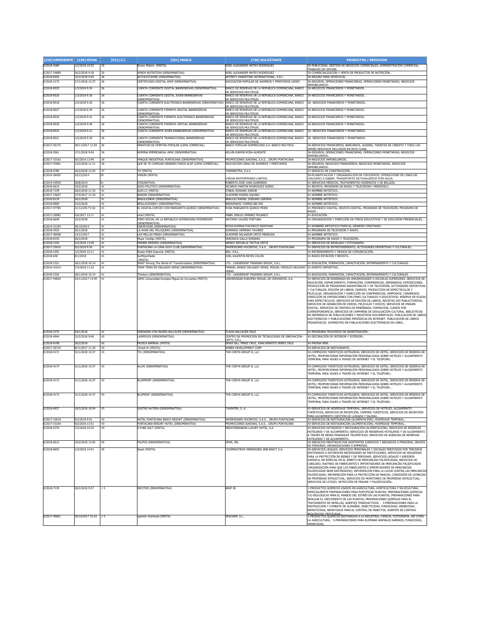| [210] EXPEDIENTE            | [220] FECHA                        | [511] C.I. | [561] MARCA                                                               | [730] SOLICITANTE                                                                       | <b>PRODUCTOS / SERVICIOS</b>                                                                                                                                                                                                                                                                                                                                                                                                                                                                                                                                                                                                                                                                                                                                                                                                                                                                                                                                |
|-----------------------------|------------------------------------|------------|---------------------------------------------------------------------------|-----------------------------------------------------------------------------------------|-------------------------------------------------------------------------------------------------------------------------------------------------------------------------------------------------------------------------------------------------------------------------------------------------------------------------------------------------------------------------------------------------------------------------------------------------------------------------------------------------------------------------------------------------------------------------------------------------------------------------------------------------------------------------------------------------------------------------------------------------------------------------------------------------------------------------------------------------------------------------------------------------------------------------------------------------------------|
| E/2018-4284                 | 1/2/2018 10:55                     | 35         | Runov Motors (MIXTA)                                                      | NOEL ALEXANDER MATEO RODRIGUEZ                                                          | 35-PUBLICIDAD; GESTIÓN DE NEGOCIOS COMERCIALES; ADMINISTRACIÓN COMERCIAL;                                                                                                                                                                                                                                                                                                                                                                                                                                                                                                                                                                                                                                                                                                                                                                                                                                                                                   |
| E/2017-34689                | 16/2/2018 9:18                     | 35         | VENOX NUTRITION (DENOMINATIVA)                                            | NOEL ALEXANDER MATEO RODRIGUEZ                                                          | RABAJOS DE OFICINA<br>35-COMERCIALIZACIÓN Y VENTA DE PRODUCTOS DE NUTRICIÓN                                                                                                                                                                                                                                                                                                                                                                                                                                                                                                                                                                                                                                                                                                                                                                                                                                                                                 |
| E/2018-6556                 | 15/2/2018 9:45                     | 36         | AUTOCOTIZAME (DENOMINATIVA)                                               | AFFINITY MARKETING INTERNATIONAL, S.R.L                                                 | 36-SEGURO PARA VEHÍCULOS.                                                                                                                                                                                                                                                                                                                                                                                                                                                                                                                                                                                                                                                                                                                                                                                                                                                                                                                                   |
| E/2018-2173                 | 17/1/2018 12:37                    | 36         | CERTIFICADO DIGITAL APAP (DENOMINATIVA)                                   | ASOCIACION POPULAR DE AHORROS Y PRESTAMOS (APAP)                                        | 36-SEGUROS; OPERACIONES FINANCIERAS; OPERACIONES MONETARIAS; NEGOCIOS<br>NMORTI TARTOS                                                                                                                                                                                                                                                                                                                                                                                                                                                                                                                                                                                                                                                                                                                                                                                                                                                                      |
| E/2018-8525                 | 1/3/2018 9:34                      | 36         | CUENTA CORRIENTE DIGITAL BANRESERVAS (DENOMINATIVA)                       | BANCO DE RESERVAS DE LA REPUBLICA DOMINICANA, BANCO                                     | 36-NEGOCIOS FINANCIEROS Y MONETARIOS.                                                                                                                                                                                                                                                                                                                                                                                                                                                                                                                                                                                                                                                                                                                                                                                                                                                                                                                       |
| E/2018-8526                 | 1/3/2018 9:36                      | 36         | CUENTA CORRIENTE DIGITAL JOVEN BANRESERVAS                                | DE SERVICIOS MULTIPLES<br>BANCO DE RESERVAS DE LA REPUBLICA DOMINICANA, BANCO           | 36-NEGOCIOS FINANCIEROS Y MONETARIOS                                                                                                                                                                                                                                                                                                                                                                                                                                                                                                                                                                                                                                                                                                                                                                                                                                                                                                                        |
| E/2018-8518                 | 1/3/2018 9:25                      | 36         | DENOMINATIVA)<br>CUENTA CORRIENTE ELECTRÓNICA BANRESERVAS (DENOMINATIVA)  | DE SERVICIOS MULTIPLES.<br>BANCO DE RESERVAS DE LA REPUBLICA DOMINICANA, BANCO          | 36- NEGOCIOS FINANCIEROS Y MONETARIOS.                                                                                                                                                                                                                                                                                                                                                                                                                                                                                                                                                                                                                                                                                                                                                                                                                                                                                                                      |
| E/2018-8527                 | 1/3/2018 9:39                      | 36         | CUENTA CORRIENTE FOMENTA DIGITAL BANRESERVAS                              | DE SERVICIOS MULTIPLES<br>BANCO DE RESERVAS DE LA REPUBLICA DOMINICANA, BANCO           | 36-NEGOCIOS FINANCIEROS Y MONETARIOS.                                                                                                                                                                                                                                                                                                                                                                                                                                                                                                                                                                                                                                                                                                                                                                                                                                                                                                                       |
|                             |                                    |            | DENOMINATIVA)                                                             | DE SERVICIOS MULTIPLES                                                                  |                                                                                                                                                                                                                                                                                                                                                                                                                                                                                                                                                                                                                                                                                                                                                                                                                                                                                                                                                             |
| E/2018-8529                 | 1/3/2018 9:41                      | 36         | CUENTA CORRIENTE FOMENTA ELECTRÓNICA BANRESERVAS<br>DENOMINATIVA)         | BANCO DE RESERVAS DE LA REPUBLICA DOMINICANA, BANCO<br>DE SERVICIOS MULTIPLES           | 36-NEGOCIOS FINANCIEROS Y MONETARIOS                                                                                                                                                                                                                                                                                                                                                                                                                                                                                                                                                                                                                                                                                                                                                                                                                                                                                                                        |
| E/2018-8530                 | 1/3/2018 9:46                      | 36         | CUENTA CORRIENTE FOMENTA VIRTUAL BANRESERVAS<br>DENOMINATIVA)             | BANCO DE RESERVAS DE LA REPUBLICA DOMINICANA, BANCO<br>DE SERVICIOS MULTIPLES           | 36-NEGOCIOS FINANCIEROS Y MONETARIOS.                                                                                                                                                                                                                                                                                                                                                                                                                                                                                                                                                                                                                                                                                                                                                                                                                                                                                                                       |
| E/2018-8524                 | 1/3/2018 9:31                      | 36         | CUENTA CORRIENTE JOVEN BANRESERVAS (DENOMINATIVA)                         | BANCO DE RESERVAS DE LA REPUBLICA DOMINICANA, BANCO                                     | 36- NEGOCIOS FINANCIEROS Y MONETARIOS.                                                                                                                                                                                                                                                                                                                                                                                                                                                                                                                                                                                                                                                                                                                                                                                                                                                                                                                      |
| E/2018-8521                 | 1/3/2018 9:29                      | 36         | CUENTA CORRIENTE TRANSACCIONAL BANRESERVAS                                | DE SERVICIOS MULTIPLES<br>BANCO DE RESERVAS DE LA REPUBLICA DOMINICANA, BANCO           | 36- NEGOCIOS FINANCIEROS Y MONETARIOS.                                                                                                                                                                                                                                                                                                                                                                                                                                                                                                                                                                                                                                                                                                                                                                                                                                                                                                                      |
| E/2017-45175                | 29/11/2017 12:59                   | 36         | (DENOMINATIVA)<br>MARATON DE OFERTAS POPULAR (LEMA COMERCIAL)             | DE SERVICIOS MULTIPLES.<br>BANCO POPULAR DOMINICANO S.A- BANCO MULTIPLE                 | 36-SERVICIOS FINANCIEROS, BANCARIOS, LEASING, TARJETAS DE CRÉDITO Y TODO LOS                                                                                                                                                                                                                                                                                                                                                                                                                                                                                                                                                                                                                                                                                                                                                                                                                                                                                |
|                             |                                    |            |                                                                           |                                                                                         | DEMÁS SERVICIOS INCLUIDOS EN ESTA CLASE.                                                                                                                                                                                                                                                                                                                                                                                                                                                                                                                                                                                                                                                                                                                                                                                                                                                                                                                    |
| E/2018-2061                 | 17/1/2018 9:04                     | 36         | NOMINA EMPRESARIAL APAP (DENOMINATIVA)                                    | KELVIN RAMON ROSA ALMONTE                                                               | 36-SEGUROS; OPERACIONES FINANCIERAS; OPERACIONES MONETARIAS; NEGOCIOS<br>INMOBILIARIOS.                                                                                                                                                                                                                                                                                                                                                                                                                                                                                                                                                                                                                                                                                                                                                                                                                                                                     |
| E/2017-33162                | 9/2/2018 13:49                     | 36         | PARQUE INDUSTRIAL PUNTACANA (DENOMINATIVA)                                | PROMOCIONES SUKONAI, S.A.S., GRUPO PUNTACANA<br>ASOCIACIÓN CIBAO DE AHORROS Y PRESTAMOS | 36-NEGOCIOS INMOBILIARIOS                                                                                                                                                                                                                                                                                                                                                                                                                                                                                                                                                                                                                                                                                                                                                                                                                                                                                                                                   |
| E/2017-47681                | 13/2/2018 11:11                    | 36         | QUE SE TE CUMPLAN GRANDES PASOS ACAP (LEMA COMERCIAL)                     |                                                                                         | 36-SEGUROS, NEGOCIOS FINANCIEROS, NEGOCIOS MONETARIOS, NEGOCIOS<br>INMOBILIARIOS.                                                                                                                                                                                                                                                                                                                                                                                                                                                                                                                                                                                                                                                                                                                                                                                                                                                                           |
| E/2018-6780<br>:/2014-36455 | 16/2/2018 12:04<br>23/12/2014      | 37<br>39   | TH (MIXTA)<br>VIRGIN (MIXTA)                                              | THERRESTRA, S.A.S                                                                       | 37-SERVICIO DE CONSTRUCCIÓN.<br>39-PLANIFICACIÓN Y ORGANIZACIÓN DE CRUCEROS; OPERACIONE DE LÍNEA DE                                                                                                                                                                                                                                                                                                                                                                                                                                                                                                                                                                                                                                                                                                                                                                                                                                                         |
|                             |                                    |            |                                                                           | <b>VIRGIN ENTERPRISES LIMITED</b>                                                       | CRUCERO A SABER, TRANSPORTE DE PASAJEROS POR AGUA                                                                                                                                                                                                                                                                                                                                                                                                                                                                                                                                                                                                                                                                                                                                                                                                                                                                                                           |
| /2014-24559<br>E/2018-6615  | 26/8/2014<br>15/2/2018             | 41         | (FIGURATIVA)<br>AG3O POLITICO (DENOMINATIVA)                              | ROBERTO JOSE JUAN GUERRERO<br>RICARDO MARTIN RODRIGUEZ SUERC                            | 11-SERVICIOS MÉDICOS, TRATAMIENTOS HIGIÉNICOS Y DE BELLEZA<br>41-REVISTA, PROGRAMA DE RADIO Y TELEVISIÓN Y PERIÓDICO.                                                                                                                                                                                                                                                                                                                                                                                                                                                                                                                                                                                                                                                                                                                                                                                                                                       |
| /2018-7199                  | 20/2/2018 11:33                    | 41         | ALEX LC (MIXTA)                                                           | O'NEAL EDWARD JUNIOR                                                                    | 41-NOMBRE ARTÍSTICO.                                                                                                                                                                                                                                                                                                                                                                                                                                                                                                                                                                                                                                                                                                                                                                                                                                                                                                                                        |
| E/2017-15607                | 27/4/2017 13:30                    | 41         | BASSIM (DENOMINATIVA)                                                     | VLADIMIR RIVERA AOUINO                                                                  | 41-NOMBRE ARTÍSTICO.                                                                                                                                                                                                                                                                                                                                                                                                                                                                                                                                                                                                                                                                                                                                                                                                                                                                                                                                        |
| /2018-8129<br>E/2018-8009   | 26/2/2018<br>23/2/2018             | 41<br>41   | BRAULIONEW (DENOMINATIVA)<br>BRILLAVISISEXY (DENOMINATIVA)                | BRAULIO RAFAEL SORIANO GERMAN<br>BIENVENIDO TORRES BELTRE                               | <b>41-NOMBRE ARTÍSTICO</b><br>41-NOMBRE ARTÍSTICO.                                                                                                                                                                                                                                                                                                                                                                                                                                                                                                                                                                                                                                                                                                                                                                                                                                                                                                          |
| E/2017-47783                | 21/12/2017 9:42                    | 41         | EL DIGITAL.COM.DO CON MARGARITA QUIROZ (DENOMINATIVA)                     | ROSA MARGARITA QUIROZ MORA                                                              | 41-PERIÓDICO DIGITAL, REVISTA DIGITAL, PROGRAMA DE TELEVISIÓN, PROGRAMA DE                                                                                                                                                                                                                                                                                                                                                                                                                                                                                                                                                                                                                                                                                                                                                                                                                                                                                  |
| E/2017-20982                | 5/6/2017 12:11                     | 41         | emet (MIXTA)                                                              | PABEL EMILIO JIMENEZ POLANCO                                                            | <b>RADIO</b><br>41-EDUCACIÓN.                                                                                                                                                                                                                                                                                                                                                                                                                                                                                                                                                                                                                                                                                                                                                                                                                                                                                                                               |
| E/2018-6649                 | 15/2/2018                          | 41         | FORO SOCIAL DE LA REPUBLICA DOMINICANA FOSOREDOM                          | ANTONIO VALDEZ FORTUNA                                                                  | 41-ORGANIZACIÓN Y DIRECCIÓN DE FOROS EDUCATIVOS Y DE DISCUSIÓN PRESENCIALES                                                                                                                                                                                                                                                                                                                                                                                                                                                                                                                                                                                                                                                                                                                                                                                                                                                                                 |
| E/2014-31254                | 30/10/2014                         | 41         | DENOMINATIVA)<br>KARIN ROSE (DENOMINATIVA)                                | ROSA KARINA PACHECO SANTANA                                                             | 41-NOMBRE ARTISTICO PARA EL GENERO CRISTIANO                                                                                                                                                                                                                                                                                                                                                                                                                                                                                                                                                                                                                                                                                                                                                                                                                                                                                                                |
| /2018-3433                  | 25/1/2018                          | 41         | LA HORA DEL PELUQUERO (DENOMINATIVA)                                      | DOMINGO HERRERA TAVAREZ                                                                 | 41-PROGRAMA DE TELEVISIÓN Y RADIO.                                                                                                                                                                                                                                                                                                                                                                                                                                                                                                                                                                                                                                                                                                                                                                                                                                                                                                                          |
| E/2017-46938<br>/2018-8193  | 13/12/2017<br>26/2/2018            | 41<br>41   | LAS MELLAS FRESH (DENOMINATIVA)<br>Mujer Contigo (MIXTA)                  | VLADIMIR SALVADOR ORTIZ MENDOZA<br>VERONICA GALLA SORIANO                               | 41-NOMBRE ARTÍSTICO.<br>41-PROGRAMA DE RADIO Y TELEVISIÓN                                                                                                                                                                                                                                                                                                                                                                                                                                                                                                                                                                                                                                                                                                                                                                                                                                                                                                   |
| E/2018-2226                 | 2/2/2018 13:39                     | 41         | PRIMER RESPIRO (DENOMINATIVA)                                             | WENDY MICHELLE TACTUK ORTIZ                                                             | 41-SERVICIOS DE REVELADO Y FOTOGRAFÍA                                                                                                                                                                                                                                                                                                                                                                                                                                                                                                                                                                                                                                                                                                                                                                                                                                                                                                                       |
| E/2017-32616                | 9/2/2018 9:50<br>1/2/2018 15:11    | 41<br>41   | PUNTACANA LA CANA GOLF CLUB (DENOMINATIVA)<br>Ready PARA Exportar (MIXTA) | INVERSIONES HOCENTAZ, S.A.S., GRUPO PUNTACANA<br>NEX, S.R.L.                            | 41-SERVICIOS DE ENTRETENIMIENTO; ACTIVIDADES DEPORTIVAS Y CULTURALES.<br>11-ENTRENAMIENTO Y MEDIOS DE COMUNICACIÓN.                                                                                                                                                                                                                                                                                                                                                                                                                                                                                                                                                                                                                                                                                                                                                                                                                                         |
| /2018-4391<br>E/2018-640    | 8/1/2018                           | 41         | SerMejorRadio                                                             | JOEL VALENTIN REYES COLON                                                               | 41-RADIO ESTACIÓN Y REVISTA.                                                                                                                                                                                                                                                                                                                                                                                                                                                                                                                                                                                                                                                                                                                                                                                                                                                                                                                                |
| E/2018-2321                 | 18/1/2018 10:14                    | 41         | (MIXTA)<br>SWAT Serving The World AT Transformation (DENOMINATIVA)        | LTG - LEADERSHIP TRAINING GROUP, S.R.L.                                                 | 41-EDUCACIÓN, FORMACIÓN, CAPACITACIÓN, ENTRENAMIENTO Y CULTURALES                                                                                                                                                                                                                                                                                                                                                                                                                                                                                                                                                                                                                                                                                                                                                                                                                                                                                           |
| E/2016-41014                | 7/3/2018 11:32                     | $41\,$     | TEAM TENIS RD DELGADO VERAS (DENOMINATIVA)                                | MANUEL AMADO DELGADO VERAS, MIGUEL VIRGILIO DELGADO                                     | 41-EVENTO DEPORTIVO                                                                                                                                                                                                                                                                                                                                                                                                                                                                                                                                                                                                                                                                                                                                                                                                                                                                                                                                         |
| E/2018-2320                 | 18/1/2018 10:14                    | 41         | Thinkers (DENOMINATIVA)                                                   | VERAS<br>LTG - LEADERSHIP TRAINING GROUP, S.R.L                                         | 41-EDUCACIÓN, FORMACIÓN, CAPACITACIÓN, ENTRENAMIENTO Y CULTURALES                                                                                                                                                                                                                                                                                                                                                                                                                                                                                                                                                                                                                                                                                                                                                                                                                                                                                           |
|                             |                                    |            |                                                                           |                                                                                         | EDUCACIÓN, ESPARCIMIENTO, FORMACIÓN, CONFERENCIAS, SEMINARIOS, EXPOSICIONES,<br>PRODUCCIÓN DE PROGRAMAS RADIOFÓNICOS Y DE TELEVISIÓN; ACTIVIDADES DEPORTIVAS<br>Y CULTURALES; EDICIÓN DE LIBROS, DIARIOS; PRODUCCIÓN DE ESPECTÁCULOS Y<br>PELÍCULAS; ORGANIZACIÓN Y DIRECCIÓN DE CONFERENCIAS, SIMPOSIOS, CONGRESOS<br>DIRECCIÓN DE EXPOSICIONES CON FINES CULTURALES O EDUCATIVOS; RESERVA DE PLAZAS<br>PARA ESPECTÁCULOS. SERVICIOS DE EDICIÓN DE LIBROS, REVISTAS (NO PUBLICITARIOS).<br>SERVICIOS DE GRABACIÓN DE VIDEOS, PELÍCULAS Y DISCOS. SERVICIOS DE IMAGEN<br>DIGITAL. SERVICIOS DE CENTROS DE ENSEÑANZA, FORMACIÓN, CURSOS POR<br>CORRESPONDENCIA, SERVICIOS DE CAMPAÑAS DE DIVULGACIÓN CULTURAL. BIBLIOTECAS<br>DE REFERENCIA DE PUBLICACIONES Y REGISTROS DOCUMENTALES. PUBLICACIÓN DE LIBROS<br>ELECTRÓNICOS Y PUBLICACIONES PERIÓDICAS EN INTERNET. PUBLICACIÓN DE LIBROS<br>PEDAGÓGICOS. SUMINISTRO DE PUBLICACIONES ELECTRÓNICAS EN LÍNEA |
| E/2018-3275                 | 24/1/2018                          | 41         | VERDADES CON INGRID BALCACER (DENOMINATIVA)                               | FLAVIA BALCACER CRUZ                                                                    | 41-PROGRAMA TELEVISIVO DE INVESTIGACIÓN                                                                                                                                                                                                                                                                                                                                                                                                                                                                                                                                                                                                                                                                                                                                                                                                                                                                                                                     |
| E/2018-4044                 | 22/2/2018 9:46                     | 42         | LADRIFLEX (DENOMINATIVA)                                                  | CENTRO DE PROMOCION DE TECNOLOGIAS DE INNOVACION -<br>CEPTI, S.R.L                      | 42-DECORACIÓN DE INTERIOR Y EXTERIOR.                                                                                                                                                                                                                                                                                                                                                                                                                                                                                                                                                                                                                                                                                                                                                                                                                                                                                                                       |
| E/2018-8198                 | 26/2/2018                          | 42         | MUSICA BARRIAL (MIXTA)                                                    | ERNIS BILL PEREZ CRUZ, JOAN ERNESTO PEREZ CRUZ                                          | 42-PÁGINA WFR.                                                                                                                                                                                                                                                                                                                                                                                                                                                                                                                                                                                                                                                                                                                                                                                                                                                                                                                                              |
| E/2017-36725<br>E/2018-4171 | 3/11/2017 11:20<br>31/1/2018 14:37 | 43<br>43   | Snack-In (MIXTA)<br>751 (DENOMINATIVA)                                    | AMBER DEVELOPMENT CORP<br>THE CORYN GROUP II. LLC                                       | <b>43-SERVICIOS DE RESTAURANTE.</b><br>43-COMPLEJOS TURÍSTICOS HOTELEROS: SERVICIOS DE HOTEL. SERVICIOS DE RESERVA DE                                                                                                                                                                                                                                                                                                                                                                                                                                                                                                                                                                                                                                                                                                                                                                                                                                       |
|                             |                                    |            |                                                                           |                                                                                         | HOTEL; PROPORCIONAR INFORMACIÓN PERSONALIZADA SOBRE HOTELES Y ALOJAMIENTO<br>TEMPORAL PARA VIAJES A TRAVÉS DE INTERNET Y EL TELÉFONO. .                                                                                                                                                                                                                                                                                                                                                                                                                                                                                                                                                                                                                                                                                                                                                                                                                     |
| E/2018-4174                 | 31/1/2018 14:37                    | 43         | ALLMI (DENOMINATIVA)                                                      | THE CORYN GROUP II, LLC                                                                 | 43-COMPLEJOS TURÍSTICOS HOTELEROS; SERVICIOS DE HOTEL; SERVICIOS DE RESERVA DE<br>HOTEL : PROPORCTONAR INFORMACIÓN PERSONALIZADA SOBRE HOTELES Y ALOJAMIENTO<br>TEMPORAL PARA VIA1ES A TRAVÉS DE INTERNET Y EL TELÉFONO.                                                                                                                                                                                                                                                                                                                                                                                                                                                                                                                                                                                                                                                                                                                                    |
| E/2018-4172                 | 31/1/2018 14:37                    | 43         | BLUEPRINT (DENOMINATIVA)                                                  | THE CORYN GROUP II, LLC                                                                 | 43-COMPLEJOS TURÍSTICOS HOTELEROS; SERVICIOS DE HOTEL, SERVICIOS DE RESERVA DE<br>HOTEL; PROPORCIONAR INFORMACIÓN PERSONALIZADA SOBRE HOTELES Y ALOJAMIENTO<br>TEMPORAL PARA VIAJES A TRAVÉS DE INTERNET Y EL TELÉFONO.                                                                                                                                                                                                                                                                                                                                                                                                                                                                                                                                                                                                                                                                                                                                     |
| E/2018-4173                 | 31/1/2018 14:37                    | 43         | BLUPRINT (DENOMINATIVA)                                                   | THE CORYN GROUP II. LLC                                                                 | 43-COMPLEJOS TURÍSTICOS HOTELEROS; SERVICIOS DE HOTEL, SERVICIOS DE RESERVA DE<br>HOTEL; PROPORCIONAR INFORMACIÓN PERSONALIZADA SOBRE HOTELES Y ALOJAMIENTO<br>TEMPORAL PARA VIAJES A TRAVÉS DE INTERNET Y EL TELÉFONO.                                                                                                                                                                                                                                                                                                                                                                                                                                                                                                                                                                                                                                                                                                                                     |
| E/2018-6937                 | 19/2/2018 10:04                    | 43         | <b>GASTRO NUTRIN (DENOMINATIVA)</b>                                       | TURINTER, S. A.                                                                         | 43-SERVICIOS DE HOSPEDAJE TEMPORAL, SERVICIOS DE HOTELES, ALOJAMIENTO<br>TURÍSTICOS, SERVICIOS DE RECEPCIÓN, CAMPINS TURÍSTICOS, SERVICIOS DE RECEPCIÓN<br>PARA ALOJAMIENTO (GESTIÓN DE LLEGADA Y SALIDA).                                                                                                                                                                                                                                                                                                                                                                                                                                                                                                                                                                                                                                                                                                                                                  |
| E/2017-32618                | 9/2/2018 9:51                      | 43         | HOTEL PUNTACANA BEACH RESORT (DENOMINATIVA)                               | INVERSIONES HOCENTAZ, S.A.S., GRUPO PUNTACANA                                           | 43-SERVICIOS DE RESTAURACIÓN (ALIMENTACIÓN); HOSPEDAJE TEMPORAL.                                                                                                                                                                                                                                                                                                                                                                                                                                                                                                                                                                                                                                                                                                                                                                                                                                                                                            |
| E/2017-33164<br>E/2018-5276 | 9/2/2018 13:51<br>7/2/2018 14:35   | 43<br>43   | PUNTACANA RESORT HOTEL (DENOMINATIVA)<br>S PURE SALT (MIXTA)              | PROMOCIONES SUKONAI, S.A.S., GRUPO PUNTACANA<br>MEDITERRANEAN LUXURY HOTEL, S.A.        | 43-SERVICIOS DE RESTAURACIÓN (ALIMENTACIÓN); HOSPEDAJE TEMPORAL.<br>3-SERVICIOS HOTELEROS Y RESTAURACIÓN (ALIMENTACIÓN); SERVICIOS DE RESERVAS                                                                                                                                                                                                                                                                                                                                                                                                                                                                                                                                                                                                                                                                                                                                                                                                              |
|                             |                                    |            |                                                                           |                                                                                         | IOTELERAS Y DE ALOJAMIENTO; SERVICIOS DE REESERVAS HOTELERAS Y DE ALOJAMIENTO<br>A TRAVÉS DE REDES MUNDIALES TELEMÁTICAS; SERVICIOS DE AGENCIAS DE RESERVAS<br><b>IOTELERAS Y DE ALOJAMIENTO.</b>                                                                                                                                                                                                                                                                                                                                                                                                                                                                                                                                                                                                                                                                                                                                                           |
| E/2018-6613                 | 15/2/2018 12:05                    | 45         | PULPOS (DENOMINATIVA)                                                     | OFAR, SRL                                                                               | 45-SERVICIOS PRESTADOS POR ASISTENTES JURÍDICOS Y ABOGADOS A PERSONAS, GRUPOS<br>DE PERSONAS, ORGANIZACIONES O EMPRESAS.                                                                                                                                                                                                                                                                                                                                                                                                                                                                                                                                                                                                                                                                                                                                                                                                                                    |
| E/2018-8653                 | 1/3/2018 14:41                     | 45         | React (MIXTA)                                                             | COOPERATIEVE VERENIGING SNB-REACT U.A.                                                  | 45-SERVICIOS LEGALES; SERVICIOS PERSONALES Y SOCIALES PRESTADOS POR TERCEROS                                                                                                                                                                                                                                                                                                                                                                                                                                                                                                                                                                                                                                                                                                                                                                                                                                                                                |
|                             |                                    |            |                                                                           |                                                                                         | DESTINADOS A SATISFACER NECESIDADES DE PARTICULARES; SERVICIOS DE SEGURIDAD<br>PARA LA PROTECCIÓN DE BIENES Y DE PERSONAS; SERVICIOS LEGALES Y ASESORÍA<br>IURÍDICA, EN ESPECIAL EN EL ÁMBITO DE MERCANCÍAS FALSIFICADAS; SERVICIOS DE<br>CABILDEO; RASTREO DE FABRICANTES E IMPORTADORES DE MERCANCÍAS FALSIFICADAS<br>ORGANIZACIÓN PARA QUE LOS FABRICANTES E IMPORTADORES DE MERCANCÍAS<br>.<br>FALSIFICADAS SEAN RASTREADOS); INFORMACIÓN PARA LA LUCHA CONTRA LAS MERCANCÍAS<br>ALSIFICADAS; INFORMACIÓN PARA LA PROTECCIÓN DE MARCAS; CONCESIÓN DE LICENCIAS<br>DE PROPIEDAD INTELECTUAL; SERVICIOS DE MONITOREO DE PROPIEDAD INTELECTUAL;<br>SERVICIOS DE LITIGIO: DETECCIÓN DE FRAUDE Y FALSIFICACIÓN                                                                                                                                                                                                                                               |
| E/2018-7139                 | 20/2/2018 9:57                     | 15         | RECITOR (DENOMINATIVA)                                                    | <b>BASF SE</b>                                                                          | 1-PRODUCTOS QUÍMICOS USADOS EN AGRICULTURA, HORTICULTURA Y SILVICULTURA;<br>SPECIALMENTE PREPARACIONES PARA FORTIFICAR PLANTAS, PREPARACIONES QUÍMICAS<br>Y/O BIOLÓGICAS PARA EL MANEJO DEL ESTRÉS EN LAS PLANTAS. PREPARACIONES PARA<br>REGULAR EL CRECIMIENTO DE LAS PLANTAS, PREPARACIONES QUÍMICAS PARA EL<br>TRATAMIENTO DE SEMILLAS, AGENTES TENSIOACTIVOS 5-PREPARACIONES PARA LA<br>DESTRUCCIÓN Y COMBATE DE ALIMAÑAS, INSECTICIDAS, FUNGICIDAS, HERBICIDAS,<br>NEMATICIDAS, NEMATODOS PARA EL CONTROL DE INSECTOS, AGENTES DE CONTROL<br>RIOLÓGICOS. PESTICIDAS.<br>1-PRODUCTOS QUÍMICOS DESTINADOS A LA INDUSTRIA, CIENCIA, FOTOGRAFÍA, ASÍ COMO                                                                                                                                                                                                                                                                                                  |
| E/2017-40001                | 20/10/2017 15:16 15                |            | spanish chemicals (MIXTA)                                                 | SPACHEM, S.L.                                                                           | LA AGRICULTURA 5-PREPARACIONES PARA ELIMINAR ANIMALES DAÑINOS, FUNGICIDAS,<br><b>IFRBICIDAS</b>                                                                                                                                                                                                                                                                                                                                                                                                                                                                                                                                                                                                                                                                                                                                                                                                                                                             |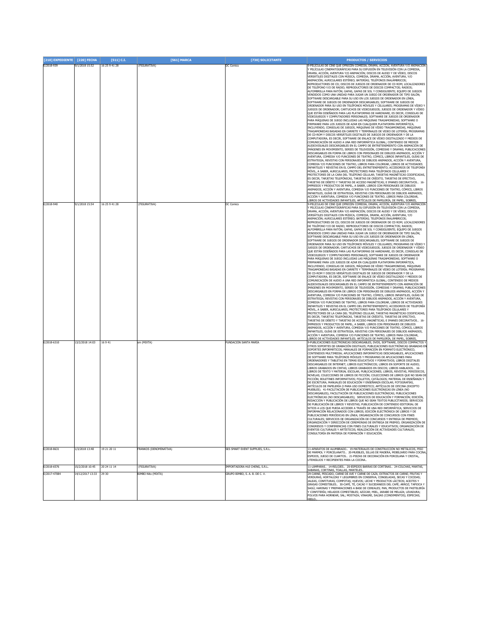| [210] EXPEDIENTE [220] FECHA |                                     | [511] C.I.           | [561] MARCA                               | [730] SOLICITANTE                                               | <b>PRODUCTOS / SERVICIOS</b>                                                                                                                                                                                                                                                                                                                                                                                                                                                                                                                                                                                                                                                                                                                                                                                                                                                                                                                                                                                                                                                                                                                                                                                                                                                                                                                                                                                                                                                                                                                                                                                                                                                                                                                                                                                                                                                                                                                                                                                                                                                                                                                                                                                                                                                                                                                                                                                                                                                                                                                                                                                                                                                                                                                                                                                                                                                                                                                                                                                                                                                                                                            |
|------------------------------|-------------------------------------|----------------------|-------------------------------------------|-----------------------------------------------------------------|-----------------------------------------------------------------------------------------------------------------------------------------------------------------------------------------------------------------------------------------------------------------------------------------------------------------------------------------------------------------------------------------------------------------------------------------------------------------------------------------------------------------------------------------------------------------------------------------------------------------------------------------------------------------------------------------------------------------------------------------------------------------------------------------------------------------------------------------------------------------------------------------------------------------------------------------------------------------------------------------------------------------------------------------------------------------------------------------------------------------------------------------------------------------------------------------------------------------------------------------------------------------------------------------------------------------------------------------------------------------------------------------------------------------------------------------------------------------------------------------------------------------------------------------------------------------------------------------------------------------------------------------------------------------------------------------------------------------------------------------------------------------------------------------------------------------------------------------------------------------------------------------------------------------------------------------------------------------------------------------------------------------------------------------------------------------------------------------------------------------------------------------------------------------------------------------------------------------------------------------------------------------------------------------------------------------------------------------------------------------------------------------------------------------------------------------------------------------------------------------------------------------------------------------------------------------------------------------------------------------------------------------------------------------------------------------------------------------------------------------------------------------------------------------------------------------------------------------------------------------------------------------------------------------------------------------------------------------------------------------------------------------------------------------------------------------------------------------------------------------------------------------|
| E/2018-939                   | 9/1/2018 15:52                      | 16 25 9 41 28        | (FIGURATIVA)                              | DC Comics                                                       | -PELÍCULAS DE CINE QUE OFRECEN COMEDIA, DRAMA, ACCIÓN, AVENTURA Y/O ANIMACIÓN<br>PELÍCULAS CINEMATOGRÁFICAS PARA SU DIFUSIÓN EN TELEVISIÓN CON LA COMEDIA,<br>DRAMA, ACCIÓN, AVENTURA Y/O ANIMACIÓN; DISCOS DE AUDIO Y DE VÍDEO, DISCOS<br>VERSÁTILES DIGITALES CON MÚSICA, COMEDIA, DRAMA, ACCIÓN, AVENTURA, Y/O<br>ANIMACIÓN; AURICULARES ESTÉREO; BATERÍAS; TELÉFONOS INALÁMBRICOS;<br>REPRODUCTORES DE CD; DISCOS DE JUEGOS DE ORDENADOR DE CD ROM; LOCALIZADORES<br>DE TELÉFONO Y/O DE RADIO; REPRODUCTORES DE DISCOS COMPACTOS; RADIOS;<br>ALFOMBRILLA PARA RATÓN: GAFAS, GAFAS DE SOL Y CONSIGUIENTE: EOUIPO DE JUEGOS<br>VENDIDOS COMO UNA UNIDAD PARA JUGAR UN JUEGO DE ORDENADOR DE TIPO SALÓN;<br>SOFTWARE DESCARGABLE PARA SU USO EN LOS JUEGOS DE ORDENADOR EN LÍNEA,<br>SOFTWARE DE JUEGOS DE ORDENADOR DESCARGABLES: SOFTWARE DE JUEGOS DE<br>ORDENADOR PARA SU USO EN TELÉFONOS MÓVILES Y CELULARES: PROGRAMAS DE VÍDEO Y<br>IUEGOS DE ORDENADOR; CARTUCHOS DE VIDEOJUEGOS; JUEGOS DE ORDENADOR Y VÍDEO<br>QUE ESTÁN DISEÑADOS PARA LAS PLATAFORMAS DE HARDWARE, ES DECIR, CONSOLAS DE<br>IDEOJUEGOS Y COMPUTADORES PERSONALES; SOFTWARE DE JUEGOS DE ORDENADOR<br>ARA MÁQUINAS DE JUEGO INCLUIDAS LAS MÁQUINAS TRAGAMONEDAS; SOFTWARE O<br>IRMWARE PARA LOS JUEGOS DE AZAR EN CUALQUIER PLATAFORMA INFORMÁTICA,<br>INCLUYENDO, CONSOLAS DE JUEGOS, MÁQUINAS DE VÍDEO TRAGAMONEDAS, MÁQUINAS<br>TRAGAMONEDAS BASADAS EN CARRETE Y TERMINALES DE VIDEO DE LOTERÍA; PROGRAMAS<br>DE CD-ROM Y DISCOS VERSÁTILES DIGITALES DE JUEGOS DE ORDENADOR Y DE LA<br>COMPUTADORA, ES DECIR, SOFTWARE DE ENLACE DE VÍDEO DIGITALIZADO Y MEDIOS DE<br>COMUNICACIÓN DE AUDIO A UNA RED INFORMÁTICA GLOBAL; CONTENIDO DE MEDIOS<br>AUDIOVISUALES DESCARGABLES EN EL CAMPO DE ENTRETENIMIENTO CON ANIMACIÓN DE<br>IMÁGENES EN MOVIMIENTO, SERIES DE TELEVISIÓN, COMEDIAS Y DRAMAS; PUBLICACIONES<br>DESCARGABLES EN FORMA DE LIBROS CON PERSONAJES DE DIBUJOS ANIMADOS, ACCIÓN Y<br>AVENTURA, COMEDIA Y/O FUNCIONES DE TEATRO, CÓMICS, LIBROS INFANTILES, GUÍAS DE<br>ESTRATEGIA, REVISTAS CON PERSONAJES DE DIBUJOS ANIMADOS, ACCIÓN Y AVENTURA,<br>OMEDIA Y/O FUNCIONES DE TEATRO, LIBROS PARA COLOREAR, LIBROS DE ACTIVIDADES<br>INFANTILES Y REVISTAS EN EL CAMPO DEL ENTRETENIMIENTO; ACCESORIOS DE TELEFONÍA<br>1ÓVIL, A SABER, AURICULARES, PROTECTORES PARA TELÉFONOS CELULARES Y<br>PROTECTORES DE LA CARA DEL TELÉFONO CELULAR; TARJETAS MAGNÉTICAS CODIFICADAS,<br>ES DECIR, TARJETAS TELEFÓNICAS, TARJETAS DE CRÉDITO, TARJETAS DE EFECTIVO,<br>TARJETAS DE DÉBITO Y TARJETAS DE ACCESO MAGNÉTICAS: E IMANES DECORATIVOS 16-<br>IMPRESOS Y PRODUCTOS DE PAPEL, A SABER, LIBROS CON PERSONAJES DE DIBUJOS<br>ANIMADOS, ACCIÓN Y AVENTURA, COMEDIA Y/O FUNCIONES DE TEATRO, CÓMICS, LIBROS<br>INFANTILES, GUÍAS DE ESTRATEGIA, REVISTAS CON PERSONAJES DE DIBUJOS ANIMADOS,<br>ACCIÓN Y AVENTURA. COMEDIA Y/O FUNCIONES DE TEATRO. LIBROS PARA COLOREAR.                                                                                                                                                                       |
| E/2018-940                   | 9/1/2018 15:54                      | 16 25 9 41 28        | (FIGURATIVA)                              | <b>DC Comics</b>                                                | <u>IBROS DE ACTIVIDADES INFANTILES; ARTÍCULOS DE PAPELERÍA, DE PAPEL, SOBRES</u><br>PELÍCULAS DE CINE QUE OFRECEN COMEDIA, DRAMA, ACCIÓN, AVENTURA Y/O ANIMACIÓN<br>PELÍCULAS CINEMATOGRÁFICAS PARA SU DIFUSIÓN EN TELEVISIÓN CON LA COMEDIA,<br>)RAMA, ACCIÓN, AVENTURA Y/O ANIMACIÓN; DISCOS DE AUDIO Y DE VÍDEO, DISCOS<br>VERSÁTILES DIGITALES CON MÚSICA, COMEDIA, DRAMA, ACCIÓN, AVENTURA, Y/O<br>ANIMACIÓN; AURICULARES ESTÉREO; BATERÍAS; TELÉFONOS INALÁMBRICOS;<br>REPRODUCTORES DE CD; DISCOS DE JUEGOS DE ORDENADOR DE CD ROM; LOCALIZADORES<br>DE TELÉFONO Y/O DE RADIO; REPRODUCTORES DE DISCOS COMPACTOS; RADIOS;<br>ALFOMBRILLA PARA RATÓN; GAFAS, GAFAS DE SOL Y CONSIGUIENTE; EQUIPO DE JUEGOS<br>vendidos como una unidad para jugar un juego de ordenador de TIPO Salón;<br>SOFTWARE DESCARGABLE PARA SU USO EN LOS JUEGOS DE ORDENADOR EN LÍNEA,<br>SOFTWARE DE JUEGOS DE ORDENADOR DESCARGABLES; SOFTWARE DE JUEGOS DE<br>DRDENADOR PARA SU USO EN TELÉFONOS MÓVILES Y CELULARES; PROGRAMAS DE VÍDEO Y<br>UEGOS DE ORDENADOR; CARTUCHOS DE VIDEOJUEGOS; JUEGOS DE ORDENADOR Y VÍDEO<br>QUE ESTÁN DISEÑADOS PARA LAS PLATAFORMAS DE HARDWARE, ES DECIR, CONSOLAS DE<br>.<br>IDEOJUEGOS Y COMPUTADORES PERSONALES; SOFTWARE DE JUEGOS DE ORDENADOR<br>PARA MÁQUINAS DE JUEGO INCLUIDAS LAS MÁQUINAS TRAGAMONEDAS; SOFTWARE O<br>FIRMWARE PARA LOS JUEGOS DE AZAR EN CUALOUIER PLATAFORMA INFORMÁTICA.<br>INCLUYENDO, CONSOLAS DE JUEGOS, MÁQUINAS DE VÍDEO TRAGAMONEDAS, MÁQUINAS<br>TRAGAMONEDAS BASADAS EN CARRETE Y TERMINALES DE VIDEO DE LOTERÍA: PROGRAMAS<br>DE CD-ROM Y DISCOS VERSÁTILES DIGITALES DE JUEGOS DE ORDENADOR Y DE LA<br>COMPUTADORA, ES DECIR, SOFTWARE DE ENLACE DE VÍDEO DIGITALIZADO Y MEDIOS DE<br>COMUNICACIÓN DE AUDIO A UNA RED INFORMÁTICA GLOBAL; CONTENIDO DE MEDIOS<br>AUDIOVISUALES DESCARGABLES EN EL CAMPO DE ENTRETENIMIENTO CON ANIMACIÓN DE<br>IMÁGENES EN MOVIMIENTO, SERIES DE TELEVISIÓN, COMEDIAS Y DRAMAS; PUBLICACIONES<br>DESCARGABLES EN FORMA DE LIBROS CON PERSONAJES DE DIBUJOS ANIMADOS, ACCIÓN Y<br>AVENTURA, COMEDIA Y/O FUNCIONES DE TEATRO, CÓMICS, LIBROS INFANTILES, GUÍAS DE<br>ESTRATEGIA, REVISTAS CON PERSONAJES DE DIBUJOS ANIMADOS, ACCIÓN Y AVENTURA,<br>COMEDIA Y/O FUNCIONES DE TEATRO, LIBROS PARA COLOREAR, LIBROS DE ACTIVIDADES<br>NFANTILES Y REVISTAS EN EL CAMPO DEL ENTRETENIMIENTO; ACCESORIOS DE TELEFONÍA<br>MÓVIL, A SABER, AURICULARES, PROTECTORES PARA TELÉFONOS CELULARES Y<br>PROTECTORES DE LA CARA DEL TELÉFONO CELULAR; TARJETAS MAGNÉTICAS CODIFICADAS,<br>ES DECIR, TARJETAS TELEFÓNICAS, TARJETAS DE CRÉDITO, TARJETAS DE EFECTIVO,<br>TARJETAS DE DÉBITO Y TARJETAS DE ACCESO MAGNÉTICAS; E IMANES DECORATIVOS 16-<br>MPRESOS Y PRODUCTOS DE PAPEL, A SABER, LIBROS CON PERSONAJES DE DIBUJOS<br>ANIMADOS, ACCIÓN Y AVENTURA, COMEDIA Y/O FUNCIONES DE TEATRO, CÓMICS, LIBROS<br>INFANTILES, GUÍAS DE ESTRATEGIA, REVISTAS CON PERSONAJES DE DIBUJOS ANIMADOS,<br>ACCIÓN Y AVENTURA, COMEDIA Y/O FUNCIONES DE TEATRO, LIBROS PARA COLOREAR,<br>IBROS DE ACTIVIDADES INFANTILES; ARTÍCULOS DE PAPELERÍA, DE PAPEL, SOBRES, |
| E/2018-6310<br>E/2018-8631   | 13/2/2018 14:03<br>1/3/2018 13:48   | 16941<br>19 21 20 11 | sm (MIXTA)<br>FRANKOS (DENOMINATIVA)      | FUNDACIÓN SANTA MARÍA<br>SES SMART EVENT SUPPLIES, S.R.L.       | PUBLICACIONES ELECTRÓNICAS DESCARGABLES, DVDS, SOFTWARE, DISCOS COMPACTOS \<br>DTROS SOPORTES DE GRABACIÓN DIGITALES; PUBLICACIONES ELECTRÓNICAS GRABADAS EI<br>SOPORTES INFORMÁTICOS: MANUALES DE FORMACIÓN EN FORMATO ELECTRÓNICO.<br>CONTENIDOS MULTIMEDIA; APLICACIONES INFORMÁTICAS DESCARGABLES, APLICACIONES<br>DE SOFTWARE PARA TELÉFONOS MÓVILES Y PROGRAMAS DE APLICACIONES PARA<br>ORDENADORES Y TABLETAS EN TEMAS EDUCATIVOS Y FORMATIVOS; LIBROS DIGITALES<br>DESCARGABLES DE INTERNET; LIBROS ELECTRÓNICOS; LIBROS EN SOPORTE DE AUDIO;<br>IBROS GRABADOS EN CINTAS; LIBROS GRABADOS EN DISCOS; LIBROS HABLADOS 16-<br>IBROS DE TEXTO Y MATERIAL ESCOLAR; PUBLICACIONES; LIBROS, REVISTAS, PERIÓDICOS,<br>VOVELAS; COLECCIONES DE LIBROS DE FICCIÓN; COLECCIONES DE LIBROS QUE NO SEAN DE<br>FICCIÓN; BOLETINES INFORMATIVOS; FOLLETOS, CATÁLOGOS; MATERIAL DE ENSEÑANZA Y<br>DE ESCRITURA; MANUALES DE EDUCACIÓN Y ENSEÑANZA ESCOLAR; FOTOGRAFÍAS<br>ARTÍCULOS DE PAPELERÍA O PARA USO DOMESTICO; ARTÍCULOS DE OFICINA (EXCEPTO<br>MUEBLES). 41-FACILITACIÓN DE PUBLICACIONES ELECTRÓNICAS EN LÍNEA (NO<br>DESCARGABLES); FACILITACIÓN DE PUBLICACIONES ELECTRÓNICAS; PUBLICACIONES<br>ELECTRÓNICAS (NO DESCARGABLES); SERVICIOS DE EDUCACIÓN Y FORMACIÓN; EDICIÓN,<br>REDACCIÓN Y PUBLICACIÓN DE LIBROS QUE NO SEAN TEXTOS PUBLICITARIOS; SERVICIOS<br>DE PUBLICACIÓN DE LIBROS Y REVISTAS; PUBLICACIÓN DE CONTENIDO EDITORIAL DE<br>SITIOS A LOS QUE PUEDA ACCEDER A TRAVÉS DE UNA RED INFORMÁTICA; SERVICIOS DE<br>INFORMACIÓN RELACIONADOS CON LIBROS; EDICIÓN ELECTRÓNICA DE LIBROS Y DE<br>UBLICACIONES PERIODICAS EN LINEA; ORGANIZACION DE CONCURSOS CON FINES<br>CULTURALES; SERVICIOS DE ORGANIZACIÓN DE CONCURSOS Y ENTREGA DE PREMIOS;<br>DRGANIZACIÓN Y DIRECCIÓN DE CEREMONIAS DE ENTREGA DE PREMIO; ORGANIZACIÓN DE<br>CONGRESOS Y CONFERENCIAS CON FINES CULTURALES Y EDUCATIVOS; ORGANIZACIÓN DE<br>EVENTOS CULTURALES Y ARTÍSTICOS; REALIZACIÓN DE ACTIVIDADES CULTURALES;<br>CONSULTORÍA EN MATERIA DE FORMACIÓN Y EDUCACIÓN.<br>11-APARATOS DE ALUMBRADO 19-MATERIALES DE CONSTRUCCIÓN NO METÁLICOS, PISO<br>DE MÁRMOL Y PORCELANATO 20-MUEBLES, SILLAS DE MADERA, MOBILIARIO PARA COCINA<br>ESPEJOS, JUEGO DE CUARTOS 21-PIEZAS DE DECORACIÓN EN PORCELANA Y CRISTAL,<br>UTENSILIOS Y RECIPIENTES PARA LA COCINA.                                                                                                                                                                                                                                                                                                                                                                                                                                                                                                                                                                                                                                                                                                                                                                                   |
|                              |                                     |                      |                                           |                                                                 |                                                                                                                                                                                                                                                                                                                                                                                                                                                                                                                                                                                                                                                                                                                                                                                                                                                                                                                                                                                                                                                                                                                                                                                                                                                                                                                                                                                                                                                                                                                                                                                                                                                                                                                                                                                                                                                                                                                                                                                                                                                                                                                                                                                                                                                                                                                                                                                                                                                                                                                                                                                                                                                                                                                                                                                                                                                                                                                                                                                                                                                                                                                                         |
| E/2018-6576<br>E/2017-47084  | 15/2/2018 10:45<br>14/12/2017 13:33 | 20 24 11 14<br>29 30 | (FIGURATIVA)<br><b>BIMBO Nito (MIXTA)</b> | IMPORTADORA HUI CHENG, S.R.L.<br>GRUPO BIMBO, S. A. B. DE C. V. | 11-LÁMPARAS 14-RELOJES 20-ESPEJOS BARRAS DE CORTINAS 24-COLCHAS, MANTAS,<br>SABANAS, CORTINAS, TOALLAS, MANTELES.<br>29-CARNE, PESCADO, CARNE DE AVE Y CARNE DE CAZA; EXTRACTOS DE CARNE; FRUTAS Y<br>VERDURAS, HORTALIZAS Y LEGUMBRES EN CONSERVA, CONGELADAS, SECAS Y COCIDAS;<br>JALEAS, CONFITURAS, COMPOTAS; HUEVOS; LECHE Y PRODUCTOS LÁCTEOS; ACEITES Y<br>GRASAS COMESTIBLES  30-CAFÉ, TÉ, CACAO Y SUCEDÁNEOS DEL CAFÉ; ARROZ; TAPIOCA Y<br>SAGÚ; HARINAS Y PREPARACIONES A BASE DE CEREALES; PAN, PRODUCTOS DE PASTELERÍA<br>CONFITERÍA; HELADOS COMESTIBLES; AZÚCAR; MIEL, JARABE DE MELAZA; LEVADURA;<br>OLVOS PARA HORNEAR; SAL; MOSTAZA; VINAGRE, SALSAS (CONDIMENTOS); ESPECIAS;                                                                                                                                                                                                                                                                                                                                                                                                                                                                                                                                                                                                                                                                                                                                                                                                                                                                                                                                                                                                                                                                                                                                                                                                                                                                                                                                                                                                                                                                                                                                                                                                                                                                                                                                                                                                                                                                                                                                                                                                                                                                                                                                                                                                                                                                                                                                                                                                                                          |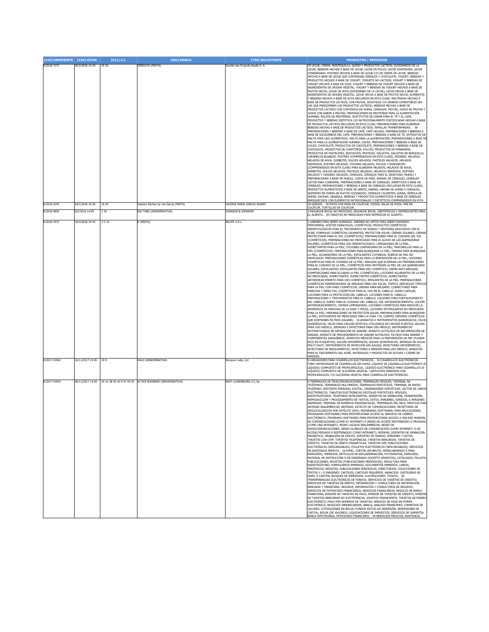| [210] EXPEDIENTE [220] FECHA |                  | [511] C.I. | [561] MARCA                                              | [730] SOLICITANTE                 | <b>PRODUCTOS / SERVICIOS</b>                                                                                                                                                                                                                                                                                                                                                                                                                                                                                                                                                                                                                                                                                                                                                                                                                                                                                                                                                                                                                                                                                                                                                                                                                                                                                                                                                                                                                                                                                                                                                                                                                                                                                                                                                                                                                                                                                                                                                                                                                                                                                                                                                                                                                                                                                                                                                                                                                                                                                                                                                                                                                                                                                                                                                                                                                                                                                                                                                                                                                                            |
|------------------------------|------------------|------------|----------------------------------------------------------|-----------------------------------|-------------------------------------------------------------------------------------------------------------------------------------------------------------------------------------------------------------------------------------------------------------------------------------------------------------------------------------------------------------------------------------------------------------------------------------------------------------------------------------------------------------------------------------------------------------------------------------------------------------------------------------------------------------------------------------------------------------------------------------------------------------------------------------------------------------------------------------------------------------------------------------------------------------------------------------------------------------------------------------------------------------------------------------------------------------------------------------------------------------------------------------------------------------------------------------------------------------------------------------------------------------------------------------------------------------------------------------------------------------------------------------------------------------------------------------------------------------------------------------------------------------------------------------------------------------------------------------------------------------------------------------------------------------------------------------------------------------------------------------------------------------------------------------------------------------------------------------------------------------------------------------------------------------------------------------------------------------------------------------------------------------------------------------------------------------------------------------------------------------------------------------------------------------------------------------------------------------------------------------------------------------------------------------------------------------------------------------------------------------------------------------------------------------------------------------------------------------------------------------------------------------------------------------------------------------------------------------------------------------------------------------------------------------------------------------------------------------------------------------------------------------------------------------------------------------------------------------------------------------------------------------------------------------------------------------------------------------------------------------------------------------------------------------------------------------------------|
| E/2018-7272                  | 20/2/2018 13:43  | 29 30      | CEREVITA (MIXTA)                                         | Société des Produits Nestlé S. A. | 29-LECHE, CREMA, MANTEQUILLA, QUESO Y PRODUCTOS LÁCTEOS; SUCEDÁNEOS DE LA<br>LECHE: BEBIDAS HECHAS A BASE DE LECHE: LECHE EN POLVO: LECHE EVAPORADA: LECHE<br>CONDENSADA: POSTRES HECHOS A BASE DE LECHE Y/O DE CREMA DE LECHE: BEBIDAS<br>HECHAS A BASE DE LECHE OUE CONTENGAN CEREALES Y CHOCOLATE: YOGURT, BEBIDAS Y<br>PRODUCTOS HECHOS A BASE DE YOGURT. YOGURTS NO LÁCTEOS, YOGURT Y BEBIDAS DE<br>YOGURT HECHOS A BASE DE SOJA: YOGURT Y BEBIDAS DE YOGURT HECHOS A BASE DE<br>INGREDIENTES DE ORIGEN VEGETAL; YOGURT Y BEBIDAS DE YOGURT HECHOS A BASE DE<br>FRUTOS SECOS; LECHE DE SOYA (SUCEDÁNEO DE LA LECHE); LECHE HECHA A BASE DE<br>NGREDIENTES DE ORIGEN VEGETAL; LECHE HECHA A BASE DE FRUTOS SECOS; ALIMENTOS<br>/ BEBIDAS HECHOS A BASE DE SOYA INCLUIDOS EN ESTA CLASE; MALTEADAS HECHAS A<br>BASE DE PRODUCTOS LÁCTEOS, CON FRUTAS, VEGETALES Y/O GRANOS COMESTIBLES (EN<br>LAS QUE PREDOMINEN LOS PRODUCTOS LÁCTEOS); BEBIDAS HECHAS A BASE DE<br>PRODUCTOS LÁCTEOS CON CONTENIDO DE AVENA, CEREALES, FRUTAS, JUGOS DE FRUTAS Y<br>JUGOS CON SABOR A FRUTAS; PREPARACIONES DE PROTEÍNAS PARA LA ALIMENTACIÓN<br>HUMANA; POLVOS DE PROTEÍNAS; SUSTITUTOS DE CREMA PARA EL TÉ Y EL CAFÉ;<br>PRODUCTOS Y BEBIDAS DIETÉTICA Y/O NUTRICIONALMENTE FORTIFICADAS HECHAS A BASE<br>DE PRODUCTOS LÁCTEOS INCLUIDAS EN ESTA CLASE; PREPARACIONES PARA ELABORAR<br>BEBIDAS HECHAS A BASE DE PRODUCTOS LÁCTEOS; SEMILLAS TRANSFORMADAS. . 30-<br>PREPARACIONES Y BEBIDAS A BASE DE CAFÉ; CAFÉ HELADO; PREPARACIONES Y BEBIDAS A<br>BASE DE SUCEDÁNEOS DEL CAFÉ; PREPARACIONES Y BEBIDAS A BASE DE TÉ; EXTRACTOS DE<br>MALTA PARA USO ALIMENTICIO; MALTA PARA LA ALIMENTACIÓN, PREPARACIONES A BASE D<br>MALTA PARA LA ALIMENTACIÓN HUMANA; CACAO, PREPARACIONES Y BEBIDAS A BASE DE<br>CACAO; CHOCOLATE, PRODUCTOS DE CHOCOLATE, PREPARACIONES Y BEBIDAS A BASE DE<br>CHOCOLATE; PRODUCTOS DE CONFITERÍA, DULCES; PRODUCTOS DE PANADERÍA,<br>PRODUCTOS DE PASTELERÍA; BIZCOCHOS, PASTELES, GALLETAS, GALLETAS DE BARQUILLO,<br>CARAMELOS BLANDOS, POSTRES (COMPRENDIDOS EN ESTA CLASE), PÚDINES; HELADOS,<br>HELADOS DE AGUA, SORBETES, DULCES HELADOS, PASTELES HELADOS, HELADOS<br>CREMOSOS, POSTRES HELADOS, YOGURES HELADOS, POLVOS Y ESPESANTES<br>COMPRENDIDOS EN ESTA CLASE) PARA ELABORAR HELADOS, HELADOS DE AGUA<br>SORBETES. DUI CES HELADOS. PASTELES HELADOS. HELADOS CREMOSOS. POSTRES<br>HELADOS Y YOGURES HELADOS; CEREALES, CEREALES PARA EL DESAYUNO, MUESLI Y<br>PREPARACIONES A BASE DE MUESLI, COPOS DE MAÍZ, BARRAS DE CEREALES, CEREALES<br>LISTOS PARA CONSUMIR; PREPARACIONES A BASE DE CEREALES; APERITIVOS A BASE DE<br>CEREALES; PREPARACIONES Y BEBIDAS A BASE DE CEREALES (INCLUIDAS EN ESTA CLASE);<br>PRODUCTOS ALIMENTICIOS A BASE DE ARROZ, HARINA, HARINA DE AVENA O CEREALES,<br>ASIMISMO EN FORMA DE PLATOS COCINADOS; CEREALES CALIENTES; AVENA; SÉMOLA DE<br>AVENA; GACHAS; GRANOLA; BEBIDAS Y PRODUCTOS ALIMENTICIOS A BASE DE CEREALES<br>ENRIQUECIDOS CON ELEMENTOS NUTRICIONALES Y DIETÉTICOS COMPRENDIDOS EN ESTA |
| E/2018-3293                  | 24/1/2018 14:59  | 29 30      | /alance Kitchen by Val García (MIXTA)                    | ALERIE MARIE GARCIA SAVERY        | 29-QUESOS 30-PIZZA CON MASA DE COLIFLOR, PIZZAS, SALSA DE PIZZA, PAN DE<br>COLIFLOR, TORTILLAS DE COLIFLOR.                                                                                                                                                                                                                                                                                                                                                                                                                                                                                                                                                                                                                                                                                                                                                                                                                                                                                                                                                                                                                                                                                                                                                                                                                                                                                                                                                                                                                                                                                                                                                                                                                                                                                                                                                                                                                                                                                                                                                                                                                                                                                                                                                                                                                                                                                                                                                                                                                                                                                                                                                                                                                                                                                                                                                                                                                                                                                                                                                             |
| E/2018-4825                  | 5/2/2018 14:40   | 3 3 0      | GO! TABS (DENOMINATIVA)                                  | JOHNSON & JOHNSON                 | 3-ENJUAGUE BUCAL NO MEDICADO, ENJUAGUE BUCAL, DENTÍFRICOS Y REFRESCANTES PARA<br>EL ALIENTO 30-TABLETAS NO MEDICADAS PARA REFRESCAR EL ALIENTO                                                                                                                                                                                                                                                                                                                                                                                                                                                                                                                                                                                                                                                                                                                                                                                                                                                                                                                                                                                                                                                                                                                                                                                                                                                                                                                                                                                                                                                                                                                                                                                                                                                                                                                                                                                                                                                                                                                                                                                                                                                                                                                                                                                                                                                                                                                                                                                                                                                                                                                                                                                                                                                                                                                                                                                                                                                                                                                          |
| E/2018-7073                  | 19/2/2018 14:43  | 3510       | (MIXTA)                                                  | RELIFE S.R.L                      | 3-JABONES PARA SERES HUMANOS; JABONES NO APTOS PARA SERES HUMANOS;<br>PERFUMERÍA; ACEITES ESENCIALES; COSMÉTICOS; PRODUCTOS COSMÉTICOS<br>DERMATOLÓGICOS PARA EL TRATAMIENTO DE SIGNOS Y SÍNTOMAS ASOCIADOS CON EL<br>ACNÉ; FORMULAS COSMÉTICAS CALMANTES; PROTECTOR SOLAR; CREMAS SOLARES; CREMA!<br>PROTECTORAS PARA EL SOL (COSMÉTICOS); PREPARACIONES PARA EL CUIDADO DEL SOL<br>(COSMÉTICOS); PREPARACIONES NO MEDICADAS PARA EL ALIVIO DE LAS QUEMADURAS<br>SOLARES; COSMÉTICOS PARA USO DERMATOLÓGICO; LIMPIADORES DE LA PIEL;<br>HUMECTANTES PARA LA PIEL; LOCIONES LIMPIADORAS DE LA PIEL; MASCARILLAS PARA LA<br>PIEL (COSMÉTICOS); PREPARACIONES PARA BLANQUEAR LA PIEL; CREMAS PARA BLANQUEAR<br>LA PIEL; ACLARADORES DE LA PIEL; EXFOLIANTES CUTÁNEOS; SUEROS DE PIEL NO<br>MEDICADOS; PREPARACIONES COSMÉTICAS PARA LA RENOVACIÓN DE LA PIEL; LOCIONES<br>COSMÉTICAS PARA EL CUIDADO DE LA PIEL; ARRUGAS QUE ELIMINAN LAS PREPARACIONES<br>PARA EL CUIDADO DE LA PIEL; COSMÉTICOS PARA PROTEGER LA PIEL DE LAS QUEMADURAS<br>SOLARES; EXFOLIANTES; EXFOLIANTES PARA USO COSMÉTICO; CREMA ANTI-ARRUGAS;<br>COMPOSICIONES PARA ACLARAR LA PIEL (COSMÉTICAS); LOCIONES ACLARANTES DE LA PIEL<br>NO MEDICADAS; HUMECTANTES; HUMECTANTES COSMÉTICOS; HUMECTANTES<br>ANTIENVEJECIMIENTO PARA USO COSMÉTICO: EMOLIENTES DE LA PIEL: PREPARACIONES<br>COSMÉTICAS MINIMIZADORAS DE ARRUGAS PARA USO FACIAL TÓPICO: AEROSOLES TÓPICOS<br>PARA LA PIEL CON FINES COSMÉTICOS; CREMAS PARA BÁLSAMO; CORRECTORES PARA<br>MANCHAS Y DEFECTOS: COSMÉTICOS PARA EL USO EN EL CABELLO: SUERO CAPILAR:<br>LOCIONES PARA LA PROTECCIÓN DEL CABELLO; LOCIONES PARA EL CABELLO;<br>PREPARACIONES Y TRATAMIENTOS PARA EL CABELLO; LOCIONES PARA FORTALECIMIENTO<br>DEL CABELLO; SUERO PARA EL CUIDADO DEL CABELLO; GEL ANTIENVEJECIMIENTO; LOCIÓN<br>ANTIENVEJECIMIENTO; CREMAS LIMPIADORAS; LOCIONES COSMÉTICAS PARA REDUCIR LA<br>APARIENCIA DE MANCHAS DE LA EDAD Y PECAS, LOCIONES ESTIMULANTES NO MEDICADAS<br>PARA LA PIEL; PREPARACIONES DE PROTECCIÓN SOLAR; PREPARACIONES PARA BLANQUEAR<br>LA PIEL; EXFOLIANTES NO MEDICADOS PARA LA CARA Y EL CUERPO; ESPUMAS COSMÉTICAS<br>QUE CONTIENEN FILTROS SOLARES 10-APARATOS E INSTRUMENTOS QUIRÚRGICOS; HILOS<br>QUIRÚRGICOS; HILOS PARA CIRUGÍA ESTÉTICA UTILIZADOS EN CIRUGÍA PLÁSTICA; AGUJAS<br>PARA USO MÉDICO; JERINGAS E INYECTORES PARA USO MÉDICO; INSTRUMENTOS<br>AUTOMATIZADOS DE SEPARACIÓN DE SANGRE; APARATO AUTÓLOGO DE RECUPERACIÓN DE<br>SANGRE; APARATO DE PROCESAMIENTO DE SANGRE AUTÓLOGO; FILTROS PARA SANGRE Y<br>COMPONENTES SANGUÍNEOS; APARATOS MÉDICOS PARA LA PREPARACIÓN DE PRP (PLASMA<br>RICO EN PLAQUETAS); AGUJAS HIPODÉRMICAS; AGUJAS QUIRÚRGICAS; JERINGAS DE AGUJA<br>MULTI-SHOT; INSTRUMENTOS DE INYECCIÓN SIN AGUJAS; INYECTORES HIPODÉRMICOS;<br>INYECTORES DE MEDICAMENTOS; INYECTORES A PRESIÓN PARA USO MÉDICO; APARATOS<br>PARA EL TRATAMIENTO DEL ACNÉ; MATERIALES Y PRODUCTOS DE SUTURA Y CIERRE DE<br><b>HERIDAS.</b>                                                          |
| E/2017-43564                 | 16/11/2017 15:46 | 349        | <b>HALO (DENOMINATIVA)</b>                               | Vicopure Labs, LLC                | 9-CARGADORES PARA CIGARRILLOS ELECTRÓNICOS 34-CIGARRILLOS ELECTRÓNICOS.<br>TUBO VAPORIZADOR DE CIGARRILLOS SIN HUMO. LÍOUIDO DE CIGARRILLO ELECTRÓNICO (E<br>ÍQUIDO) COMPUESTO DE PROPILENGLICOL. LÍQUIDO ELECTRÓNICO PARA CIGARRILLOS (E-<br>LÍOUIDO) COMPUESTO DE GLICERINA VEGETAL. CARTUCHOS VENDIDOS CON                                                                                                                                                                                                                                                                                                                                                                                                                                                                                                                                                                                                                                                                                                                                                                                                                                                                                                                                                                                                                                                                                                                                                                                                                                                                                                                                                                                                                                                                                                                                                                                                                                                                                                                                                                                                                                                                                                                                                                                                                                                                                                                                                                                                                                                                                                                                                                                                                                                                                                                                                                                                                                                                                                                                                           |
|                              | 20/11/2017 14:50 |            | 35 16 38 36 42 9 41 44 45 ALTICE BUSINESS (DENOMINATIVA) |                                   | PROPILENGLICOL Y/O GLICERINA VEGETAL PARA CIGARRILLOS ELECTRÓNICOS.<br>FTERMINALES DE TELECOMUNICACIONES; TERMINALES MÓVILES; TERMINAL DE                                                                                                                                                                                                                                                                                                                                                                                                                                                                                                                                                                                                                                                                                                                                                                                                                                                                                                                                                                                                                                                                                                                                                                                                                                                                                                                                                                                                                                                                                                                                                                                                                                                                                                                                                                                                                                                                                                                                                                                                                                                                                                                                                                                                                                                                                                                                                                                                                                                                                                                                                                                                                                                                                                                                                                                                                                                                                                                               |
| E/2017-43933                 |                  |            |                                                          | NEXT LUXEMBOURG S.C.Sp            | TELÉFONOS; TERMINALES MULTIMEDIA; TERMINALES PORTÁTILES; TERMINAL DE RADIO-<br>TELÉFONO; ASISTENTE PERSONAL DIGITAL; ORDENADORES PORTÁTILES; LECTOR DE LIBROS<br>ELECTRÓNICOS; TABLETAS ELECTRÓNICAS DIGITALES PORTÁTILES; MÓVILES;<br>RADIOTELÉFONOS; TELÉFONOS INTELIGENTES; APARATOS DE GRABACIÓN, TRANSMISIÓN,<br>REPRODUCCIÓN Y PROCESAMIENTO DE TEXTOS, DATOS, IMÁGENES, SONIDOS, E IMÁGENES<br>ANIMADAS; TERMINAL DE NÚMEROS RESIDENCIALES; TERMINALES DEL RELÉ; MÁSTILES PAR<br>ANTENAS INALÁMBRICAS; ANTENAS; SATÉLITE DE COMUNICACIONES; RECEPTORES DE<br>GEOLOCALIZACIÓN POR SATÉLITE (GPS); PROGRAMAS (SOFTWARE) PARA APLICACIONES;<br>POGRAMAS (SOFTWARE) RARA RROROROTONAR ACCESO AL SERVICIO DE CORR<br>ELECTRÓNICO; PROGRAMA (SOFTWARE) PARA PROPORCIONAR ACCESO A UNA RED MUNDIAL<br>DE COMUNICACIONES (COMO EL INTERNET) O REDES DE ACCESO RESTRINGIDO O PRIVADAS<br>(COMO UNA INTRANET); REDES LOCALES INALÁMBRICAS; REDES DE<br>RADIOCOMUNICACIONES; REDES GLOBALES DE COMUNICACIÓN (COMO INTERNET) O DE<br>ACCESO PRIVADO O RESTRINGIDO (COMO INTRANET); MÓDEMS; SOPORTES DE GRABACIÓN<br>MAGNÉTICO, GRABACIÓN DE DISCOS; SOPORTES DE SONIDO, IMÁGENES Y DATOS;<br>TARJETAS CON CHIP; TARJETAS TELEFÓNICAS; TARJETAS BANCARIAS; TARJETAS DE<br>CRÉDITO; TARJETAS DE DÉBITO MAGNÉTICAS; TARJETAS SIM; PUBLICACIONES<br>ELECTRÓNICAS (DESCARGABLES); FOLLETOS ELECTRÓNICOS (DESCARGABLES); SERVICIOS<br>DE ASISTENCIA REMOTA. 16-PAPEL, CARTÓN (EN BRUTO, SEMIELABORADO O PARA<br>PAPELERÍA); IMPRESOS; ARTÍCULOS DE ENCUADERNACIÓN; FOTOGRAFÍAS; PAPELERÍA;<br>MATERIAL DE INSTRUCCIÓN O DE ENSEÑANZA (EXCEPTO APARATOS); CATÁLOGOS; FOLLETO<br>PUBLICACIONES; REVISTAS (PUBLICACIONES PERIÓDICAS); ENVOLTURA PARA<br>RADIOTELÉFONO; FORMULARIOS IMPRESOS; DOCUMENTOS IMPRESOS; LIBROS;<br>PERIÓDICOS; REVISTAS; PUBLICACIONES PERIÓDICAS; DIRECTORIOS; COLECCIONES DE<br>TEXTOS Y / O IMÁGENES; CARTELES; CARTELES PEQUEÑOS; ANUNCIOS; CARTELERAS DE<br>PAPEL O CARTÓN; BLOQUES DE IMPRESIÓN; ILUSTRACIONES; TICKETS 36-<br>TRANSFERENCIAS ELECTRÓNICAS DE FONDOS; SERVICIOS DE TARJETAS DE CRÉDITO;<br>SERVICIOS DE TARJETAS DE DÉBITO; INFORMACIÓN Y CONSULTORÍA DE INFORMACIÓN<br>BANCARIA Y FINANCIERA; SEGUROS; INFORMACIÓN Y CONSULTORÍA DE SEGUROS;<br>SERVICIOS DE PATROCINIO FINANCIEROS; NEGOCIOS FINANCIEROS; NEGOCIO DE BANCA<br>FINANCIERA: EMISIÓN DE TARJETAS DE PAGO: EMISIÓN DE TARJETAS DE CRÉDITO: EMISIÓN<br>DE TARJETAS BANCARIAS NO ELECTRÓNICAS: ASUNTOS FINANCIEROS: TARJETAS DE DINERO<br>ELECTRÓNICO; PAGO POR NÚMEROS DE TARJETAS; SERVICIO DE PAGO EN FORMA<br>ELECTRÓNICA; NEGOCIOS INMOBILIARIOS; BANCA; ANÁLISIS FINANCIERO; CORRETAJE DE<br>VALORES; COTIZACIONES EN BOLSA; FONDOS MUTUO DE INVERSIÓN; INVERSIONES DE<br>CAPITAL: BOLSA (DE VALORES): LIOUIDACIONES DE IMPUESTOS: SERVICIOS DE GARANTÍA:<br>SANCA HIPOTECARIA: PATROCINIO FINANCIERO  44-SERVICIOS MÉDICOS: ASISTENCIA                                                                                                                             |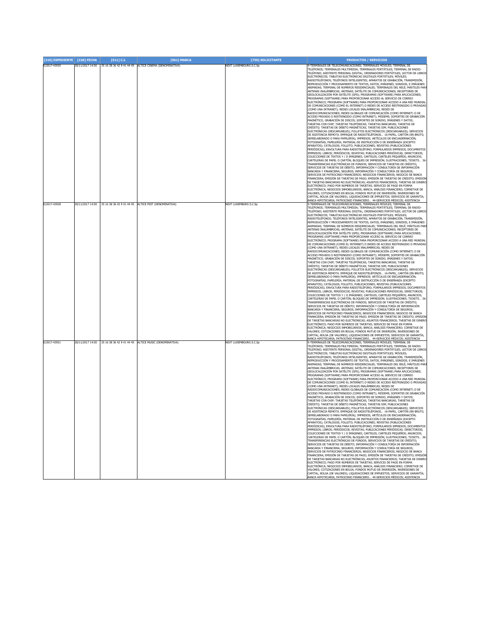| [210] EXPEDIENTE [220] FECHA |                  | [511] C.I. | [561] MARCA                                                                                                                    | [730] SOLICITANTE                                             | <b>PRODUCTOS / SERVICIOS</b>                                                                                                                                                                                                                                                                                                                                                                                                                                                                                                                                                                                                                                                                                                                                                                                                                                                                                                                                                                                                                                                                                                                                                                                                                                                                                                                                                                                                                                                                                                                                                                                                                                                                                                                                                                                                                                                                                                                                                                                                                                                                                                                                                                                                                                                                                                                                                                                                                                                                                                                                                                                                                                                                                                                                                                                                                                                                                                                                                                                                                                                                                          |
|------------------------------|------------------|------------|--------------------------------------------------------------------------------------------------------------------------------|---------------------------------------------------------------|-----------------------------------------------------------------------------------------------------------------------------------------------------------------------------------------------------------------------------------------------------------------------------------------------------------------------------------------------------------------------------------------------------------------------------------------------------------------------------------------------------------------------------------------------------------------------------------------------------------------------------------------------------------------------------------------------------------------------------------------------------------------------------------------------------------------------------------------------------------------------------------------------------------------------------------------------------------------------------------------------------------------------------------------------------------------------------------------------------------------------------------------------------------------------------------------------------------------------------------------------------------------------------------------------------------------------------------------------------------------------------------------------------------------------------------------------------------------------------------------------------------------------------------------------------------------------------------------------------------------------------------------------------------------------------------------------------------------------------------------------------------------------------------------------------------------------------------------------------------------------------------------------------------------------------------------------------------------------------------------------------------------------------------------------------------------------------------------------------------------------------------------------------------------------------------------------------------------------------------------------------------------------------------------------------------------------------------------------------------------------------------------------------------------------------------------------------------------------------------------------------------------------------------------------------------------------------------------------------------------------------------------------------------------------------------------------------------------------------------------------------------------------------------------------------------------------------------------------------------------------------------------------------------------------------------------------------------------------------------------------------------------------------------------------------------------------------------------------------------------------|
| E/2017-43930                 | 20/11/2017 14:50 |            | 35 16 38 36 42 9 41 44 45 ALTICE CINEMA (DENOMINATIVA)                                                                         | NEXT LUXEMBOURG S.C.Sp                                        | 9-TERMINALES DE TELECOMUNICACIONES; TERMINALES MÓVILES; TERMINAL DE<br>TELÉFONOS; TERMINALES MULTIMEDIA; TERMINALES PORTÁTILES; TERMINAL DE RADIO-<br>TELÉFONO; ASISTENTE PERSONAL DIGITAL; ORDENADORES PORTÁTILES; LECTOR DE LIBROS<br>ELECTRÓNICOS; TABLETAS ELECTRÓNICAS DIGITALES PORTÁTILES; MÓVILES;<br>RADIOTELÉFONOS; TELÉFONOS INTELIGENTES; APARATOS DE GRABACIÓN, TRANSMISIÓN,<br>REPRODUCCIÓN Y PROCESAMIENTO DE TEXTOS, DATOS, IMÁGENES, SONIDOS, E IMÁGENES<br>ANIMADAS; TERMINAL DE NÚMEROS RESIDENCIALES; TERMINALES DEL RELÉ; MÁSTILES PAR<br>ANTENAS INALÁMBRICAS; ANTENAS; SATÉLITE DE COMUNICACIONES; RECEPTORES DE<br>GEOLOCALIZACIÓN POR SATÉLITE (GPS); PROGRAMAS (SOFTWARE) PARA APLICACIONES;<br>PROGRAMAS (SOFTWARE) PARA PROPORCIONAR ACCESO AL SERVICIO DE CORREO<br>ELECTRÓNICO; PROGRAMA (SOFTWARE) PARA PROPORCIONAR ACCESO A UNA RED MUNDIAL<br>DE COMUNICACIONES (COMO EL INTERNET) O REDES DE ACCESO RESTRINGIDO O PRIVADAS<br>(COMO UNA INTRANET): REDES LOCALES INALÁMBRICAS: REDES DE<br>RADIOCOMUNICACIONES; REDES GLOBALES DE COMUNICACIÓN (COMO INTERNET) O DE<br>ACCESO PRIVADO O RESTRINGIDO (COMO INTRANET); MÓDEMS; SOPORTES DE GRABACIÓN<br>MAGNÉTICO, GRABACIÓN DE DISCOS; SOPORTES DE SONIDO, IMÁGENES Y DATOS;<br>TARJETAS CON CHIP; TARJETAS TELEFÓNICAS; TARJETAS BANCARIAS; TARJETAS DE<br>CRÉDITO; TARJETAS DE DÉBITO MAGNÉTICAS; TARJETAS SIM; PUBLICACIONES<br>ELECTRÓNICAS (DESCARGABLES); FOLLETOS ELECTRÓNICOS (DESCARGABLES); SERVICIOS<br>DE ASISTENCIA REMOTA. EMPAQUE DE RADIOTELÉFONOS 16-PAPEL, CARTÓN (EN BRUTO,<br>SEMIELABORADO O PARA PAPELERÍA); IMPRESOS; ARTÍCULOS DE ENCUADERNACIÓN;<br>FOTOGRAFÍAS; PAPELERÍA; MATERIAL DE INSTRUCCIÓN O DE ENSEÑANZA (EXCEPTO<br>APARATOS); CATÁLOGOS; FOLLETO; PUBLICACIONES; REVISTAS (PUBLICACIONES<br>PERIÓDICAS); ENVOLTURA PARA RADIOTELÉFONO; FORMULARIOS IMPRESOS; DOCUMENTOS<br>IMPRESOS; LIBROS; PERIÓDICOS; REVISTAS; PUBLICACIONES PERIÓDICAS; DIRECTORIOS;<br>COLECCIONES DE TEXTOS Y / O IMÁGENES; CARTELES; CARTELES PEQUEÑOS; ANUNCIOS;<br>CARTELERAS DE PAPEL O CARTÓN; BLOQUES DE IMPRESIÓN; ILUSTRACIONES; TICKETS 36<br>TRANSFERENCIAS ELECTRÓNICAS DE FONDOS; SERVICIOS DE TARJETAS DE CRÉDITO;<br>SERVICIOS DE TARJETAS DE DÉBITO; INFORMACIÓN Y CONSULTORÍA DE INFORMACIÓN<br>BANCARIA Y FINANCIERA; SEGUROS; INFORMACIÓN Y CONSULTORÍA DE SEGUROS;<br>SERVICIOS DE PATROCINIO FINANCIEROS; NEGOCIOS FINANCIEROS; NEGOCIO DE BANCA<br>FINANCIERA; EMISIÓN DE TARJETAS DE PAGO; EMISIÓN DE TARJETAS DE CRÉDITO; EMISIÓ!<br>DE TARJETAS BANCARIAS NO ELECTRÓNICAS; ASUNTOS FINANCIEROS; TARJETAS DE DINERO<br>ELECTRÓNICO; PAGO POR NÚMEROS DE TARJETAS; SERVICIO DE PAGO EN FORMA<br>ELECTRÓNICA; NEGOCIOS INMOBILIARIOS; BANCA; ANÁLISIS FINANCIERO; CORRETAJE DE<br>VALORES; COTIZACIONES EN BOLSA; FONDOS MUTUO DE INVERSIÓN; INVERSIONES DE<br>CAPITAL; BOLSA (DE VALORES); LIQUIDACIONES DE IMPUESTOS; SERVICIOS DE GARANTÍA;<br>BANCA HIPOTECARIA; PATROCINIO FINANCIERO 44-SERVICIOS MÉDICOS; ASISTENCIA<br>9-TERMINALES DE TELECOMUNICACIONES; TERMINALES MÓVILES; TERMINAL DE |
| E/2017-43928<br>E/2017-43931 | 20/11/2017 14:50 |            | 20/11/2017 14:50 35 16 38 36 42 9 41 44 45 ALTICE FEST (DENOMINATIVA)<br>35 16 38 36 42 9 41 44 45 ALTICE MUSIC (DENOMINATIVA) | <b>NEXT LUXEMBURG S.C.Sp</b><br><b>NEXT LUXEMBOURG S.C.Sp</b> | TELÉFONOS; TERMINALES MULTIMEDIA; TERMINALES PORTÁTILES; TERMINAL DE RADIO-<br>TELÉFONO; ASISTENTE PERSONAL DIGITAL; ORDENADORES PORTÁTILES; LECTOR DE LIBROS<br>ELECTRÓNICOS: TABLETAS ELECTRÓNICAS DIGITALES PORTÁTILES: MÓVILES:<br>RADIOTELÉFONOS; TELÉFONOS INTELIGENTES; APARATOS DE GRABACIÓN, TRANSMISIÓN,<br>REPRODUCCIÓN Y PROCESAMIENTO DE TEXTOS, DATOS, IMÁGENES, SONIDOS, E IMÁGENES<br>ANIMADAS; TERMINAL DE NÚMEROS RESIDENCIALES; TERMINALES DEL RELÉ; MÁSTILES PAR<br>ANTENAS INALAMBRICAS; ANTENAS; SATÉLITE DE COMUNICACIONES; RECEPTORES DE<br>GEOLOCALIZACIÓN POR SATÉLITE (GPS); PROGRAMAS (SOFTWARE) PARA APLICACIONES;<br>PROGRAMAS (SOFTWARE) PARA PROPORCIONAR ACCESO AL SERVICIO DE CORREO<br>ELECTRÓNICO; PROGRAMA (SOFTWARE) PARA PROPORCIONAR ACCESO A UNA RED MUNDIAL<br>DE COMUNICACIONES (COMO EL INTERNET) O REDES DE ACCESO RESTRINGIDO O PRIVADAS<br>(COMO UNA INTRANET); REDES LOCALES INALÁMBRICAS; REDES DE<br>RADIOCOMUNICACIONES; REDES GLOBALES DE COMUNICACIÓN (COMO INTERNET) O DE<br>ACCESO PRIVADO O RESTRINGIDO (COMO INTRANET); MÓDEMS; SOPORTES DE GRABACIÓN<br>MAGNÉTICO, GRABACIÓN DE DISCOS; SOPORTES DE SONIDO, IMÁGENES Y DATOS;<br>TARJETAS CON CHIP; TARJETAS TELEFÓNICAS; TARJETAS BANCARIAS; TARJETAS DE<br>CRÉDITO; TARJETAS DE DÉBITO MAGNÉTICAS; TARJETAS SIM; PUBLICACIONES<br>ELECTRÓNICAS (DESCARGABLES); FOLLETOS ELECTRÓNICOS (DESCARGABLES); SERVICIOS<br>DE ASISTENCIA REMOTA. EMPAQUE DE RADIOTELÉFONOS 16-PAPEL, CARTÓN (EN BRUTO,<br>SEMIELABORADO O PARA PAPELERÍA); IMPRESOS; ARTÍCULOS DE ENCUADERNACIÓN;<br>FOTOGRAFÍAS; PAPELERÍA; MATERIAL DE INSTRUCCIÓN O DE ENSEÑANZA (EXCEPTO<br>APARATOS); CATÁLOGOS; FOLLETO; PUBLICACIONES; REVISTAS (PUBLICACIONES<br>PERIÓDICAS): ENVOLTURA PARA RADIOTELÉFONO: FORMULARIOS IMPRESOS: DOCUMENTOS<br>IMPRESOS; LIBROS; PERIÓDICOS; REVISTAS; PUBLICACIONES PERIÓDICAS; DIRECTORIOS;<br>COLECCIONES DE TEXTOS Y / O IMÁGENES; CARTELES; CARTELES PEQUEÑOS; ANUNCIOS;<br>CARTELERAS DE PAPEL O CARTÓN; BLOQUES DE IMPRESIÓN; ILUSTRACIONES; TICKETS 36<br>TRANSFERENCIAS ELECTRÓNICAS DE FONDOS: SERVICIOS DE TARJETAS DE CRÉDITO:<br>SERVICIOS DE TARJETAS DE DÉBITO; INFORMACIÓN Y CONSULTORÍA DE INFORMACIÓN<br>BANCARIA Y FINANCIERA; SEGUROS; INFORMACIÓN Y CONSULTORÍA DE SEGUROS;<br>SERVICIOS DE PATROCINIO FINANCIEROS; NEGOCIOS FINANCIEROS; NEGOCIO DE BANCA<br>FINANCIERA; EMISIÓN DE TARJETAS DE PAGO; EMISIÓN DE TARJETAS DE CRÉDITO; EMISIÓN<br>DE TARJETAS BANCARIAS NO ELECTRÓNICAS; ASUNTOS FINANCIEROS; TARJETAS DE DINERC<br>ELECTRÓNICO; PAGO POR NÚMEROS DE TARJETAS; SERVICIO DE PAGO EN FORMA<br>ELECTRÓNICA; NEGOCIOS INMOBILIARIOS; BANCA; ANÁLISIS FINANCIERO; CORRETAJE DE<br>VALORES; COTIZACIONES EN BOLSA; FONDOS MUTUO DE INVERSIÓN; INVERSIONES DE<br>CAPITAL; BOLSA (DE VALORES); LIQUIDACIONES DE IMPUESTOS; SERVICIOS DE GARANTÍA;<br>BANCA HIPOTECARIA; PATROCINIO FINANCIERO 44-SERVICIOS MÉDICOS; ASISTENCIA<br>9-TERMINALES DE TELECOMUNICACIONES; TERMINALES MÓVILES; TERMINAL DE                                                                        |
|                              |                  |            |                                                                                                                                |                                                               | TELÉFONOS; TERMINALES MULTIMEDIA; TERMINALES PORTÁTILES; TERMINAL DE RADIO-<br>TELÉFONO; ASISTENTE PERSONAL DIGITAL; ORDENADORES PORTÁTILES; LECTOR DE LIBROS<br>ELECTRÓNICOS; TABLETAS ELECTRÓNICAS DIGITALES PORTÁTILES; MÓVILES;<br>RADIOTELÉFONOS; TELÉFONOS INTELIGENTES; APARATOS DE GRABACIÓN, TRANSMISIÓN,<br>REPRODUCCIÓN Y PROCESAMIENTO DE TEXTOS, DATOS, IMÁGENES, SONIDOS, E IMÁGENES<br>ANIMADAS; TERMINAL DE NÚMEROS RESIDENCIALES; TERMINALES DEL RELÉ; MÁSTILES PAR<br>ANTENAS INALÁMBRICAS; ANTENAS; SATÉLITE DE COMUNICACIONES; RECEPTORES DE<br>GEOLOCALIZACIÓN POR SATÉLITE (GPS); PROGRAMAS (SOFTWARE) PARA APLICACIONES;<br>PROGRAMAS (SOFTWARE) PARA PROPORCIONAR ACCESO AL SERVICIO DE CORREO<br>ELECTRÓNICO; PROGRAMA (SOFTWARE) PARA PROPORCIONAR ACCESO A UNA RED MUNDIAL<br>DE COMUNICACIONES (COMO EL INTERNET) O REDES DE ACCESO RESTRINGIDO O PRIVADAS<br>(COMO UNA INTRANET); REDES LOCALES INALÁMBRICAS; REDES DE<br>.<br>RADIOCOMUNICACIONES; REDES GLOBALES DE COMUNICACIÓN (COMO INTERNET) O DE<br>ACCESO PRIVADO O RESTRINGIDO (COMO INTRANET); MÓDEMS; SOPORTES DE GRABACIÓN<br>MAGNÉTICO, GRABACIÓN DE DISCOS; SOPORTES DE SONIDO, IMÁGENES Y DATOS;<br>TARJETAS CON CHIP; TARJETAS TELEFÓNICAS; TARJETAS BANCARIAS; TARJETAS DE<br>CRÉDITO; TARJETAS DE DÉBITO MAGNÉTICAS; TARJETAS SIM; PUBLICACIONES<br>ELECTRÓNICAS (DESCARGABLES); FOLLETOS ELECTRÓNICOS (DESCARGABLES); SERVICIOS<br>DE ASISTENCIA REMOTA. EMPAQUE DE RADIOTELÉFONOS 16-PAPEL, CARTÓN (EN BRUTO,<br>ORADO O PARA PAPELERÍA); IMPRESOS; ARTÍCULOS DE ENCUADERNACIÓN<br>FOTOGRAFÍAS; PAPELERÍA; MATERIAL DE INSTRUCCIÓN O DE ENSEÑANZA (EXCEPTO<br>APARATOS); CATÁLOGOS; FOLLETO; PUBLICACIONES; REVISTAS (PUBLICACIONES<br>PERIÓDICAS); ENVOLTURA PARA RADIOTELÉFONO; FORMULARIOS IMPRESOS; DOCUMENTOS<br>IMPRESOS; LIBROS; PERIÓDICOS; REVISTAS; PUBLICACIONES PERIÓDICAS; DIRECTORIOS;<br>COLECCIONES DE TEXTOS Y / O IMÁGENES; CARTELES; CARTELES PEQUEÑOS; ANUNCIOS;<br>CARTELERAS DE PAPEL O CARTÓN; BLOQUES DE IMPRESIÓN; ILUSTRACIONES; TICKETS 36-<br>TRANSFERENCIAS ELECTRÓNICAS DE FONDOS; SERVICIOS DE TARJETAS DE CRÉDITO;<br>SERVICIOS DE TARJETAS DE DÉBITO; INFORMACIÓN Y CONSULTORÍA DE INFORMACIÓN<br>BANCARIA Y FINANCIERA; SEGUROS; INFORMACIÓN Y CONSULTORÍA DE SEGUROS;<br>SERVICIOS DE PATROCINIO FINANCIEROS; NEGOCIOS FINANCIEROS; NEGOCIO DE BANCA<br>FINANCIERA; EMISIÓN DE TARJETAS DE PAGO; EMISIÓN DE TARJETAS DE CRÉDITO; EMISIÓN<br>DE TARJETAS BANCARIAS NO ELECTRÓNICAS; ASUNTOS FINANCIEROS; TARJETAS DE DINERO<br>ELECTRÓNICO; PAGO POR NÚMEROS DE TARJETAS; SERVICIO DE PAGO EN FORMA<br>ELECTRÓNICA; NEGOCIOS INMOBILIARIOS; BANCA; ANÁLISIS FINANCIERO; CORRETAJE DE<br>VALORES; COTIZACIONES EN BOLSA; FONDOS MUTUO DE INVERSIÓN; INVERSIONES DE<br>CAPITAL; BOLSA (DE VALORES); LIQUIDACIONES DE IMPUESTOS; SERVICIOS DE GARANTÍA;<br>BANCA HIPOTECARIA: PATROCINIO FINANCIERO 44-SERVICIOS MÉDICOS: ASISTENCIA                                                                                                                                                  |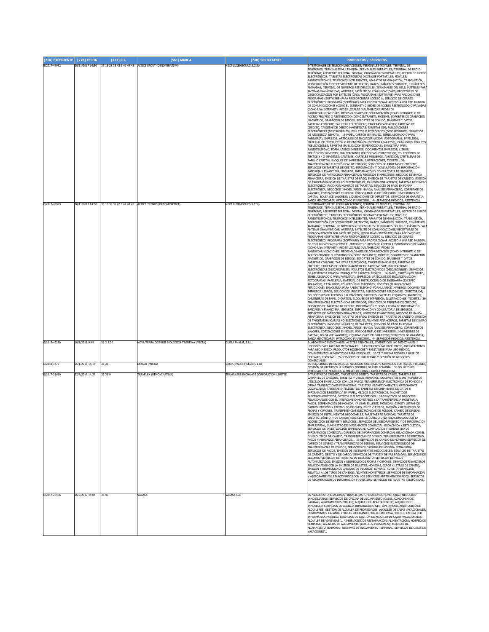| [210] EXPEDIENTE [220] FECHA<br>E/2017-43932 |                  | [511] C.I. | <b>F5611 MARCA</b>                                                                                                       | <b>[730] SOLICITANTE</b>                            | <b>PRODUCTOS / SERVICIOS</b><br>9-TERMINALES DE TELECOMUNICACIONES; TERMINALES MÓVILES; TERMINAL DE                                                                                                                                                                                                                                                                                                                                                                                                                                                                                                                                                                                                                                                                                                                                                                                                                                                                                                                                                                                                                                                                                                                                                                                                                                                                                                                                                                                                                                                                                                                                                                                                                                                                                                                                                                                                                                                                                                                                                                                                                                                                                                                                                                                                                                                                                                                                                                                                                                                                                                                                                                                                                                                                                                                                                                                                                                                                                                                                                                                                                                                                                                                                                                                                                                                                                                                                                |
|----------------------------------------------|------------------|------------|--------------------------------------------------------------------------------------------------------------------------|-----------------------------------------------------|----------------------------------------------------------------------------------------------------------------------------------------------------------------------------------------------------------------------------------------------------------------------------------------------------------------------------------------------------------------------------------------------------------------------------------------------------------------------------------------------------------------------------------------------------------------------------------------------------------------------------------------------------------------------------------------------------------------------------------------------------------------------------------------------------------------------------------------------------------------------------------------------------------------------------------------------------------------------------------------------------------------------------------------------------------------------------------------------------------------------------------------------------------------------------------------------------------------------------------------------------------------------------------------------------------------------------------------------------------------------------------------------------------------------------------------------------------------------------------------------------------------------------------------------------------------------------------------------------------------------------------------------------------------------------------------------------------------------------------------------------------------------------------------------------------------------------------------------------------------------------------------------------------------------------------------------------------------------------------------------------------------------------------------------------------------------------------------------------------------------------------------------------------------------------------------------------------------------------------------------------------------------------------------------------------------------------------------------------------------------------------------------------------------------------------------------------------------------------------------------------------------------------------------------------------------------------------------------------------------------------------------------------------------------------------------------------------------------------------------------------------------------------------------------------------------------------------------------------------------------------------------------------------------------------------------------------------------------------------------------------------------------------------------------------------------------------------------------------------------------------------------------------------------------------------------------------------------------------------------------------------------------------------------------------------------------------------------------------------------------------------------------------------------------------------------------------|
|                                              | 20/11/2017 14:50 |            | 35 16 38 36 42 9 41 44 45 ALTICE SPORT (DENOMINATIVA)                                                                    | NEXT LUXEMBOURG S.C.Sp                              | TELÉFONOS; TERMINALES MULTIMEDIA; TERMINALES PORTÁTILES; TERMINAL DE RADIO-<br>TELÉFONO; ASISTENTE PERSONAL DIGITAL; ORDENADORES PORTÁTILES; LECTOR DE LIBROS<br>ELECTRÓNICOS; TABLETAS ELECTRÓNICAS DIGITALES PORTÁTILES; MÓVILES;<br>RADIOTELÉFONOS; TELÉFONOS INTELIGENTES; APARATOS DE GRABACIÓN, TRANSMISIÓN,<br>REPRODUCCIÓN Y PROCESAMIENTO DE TEXTOS, DATOS, IMÁGENES, SONIDOS, E IMÁGENES<br>ANIMADAS; TERMINAL DE NÚMEROS RESIDENCIALES; TERMINALES DEL RELÉ; MÁSTILES PAR<br>ANTENAS INALÁMBRICAS; ANTENAS; SATÉLITE DE COMUNICACIONES; RECEPTORES DE<br>GEOLOCALIZACIÓN POR SATÉLITE (GPS); PROGRAMAS (SOFTWARE) PARA APLICACIONES;<br>PROGRAMAS (SOFTWARE) PARA PROPORCIONAR ACCESO AL SERVICIO DE CORREO<br>ELECTRÓNICO: PROGRAMA (SOFTWARE) PARA PROPORCIONAR ACCESO A UNA RED MUNDIAL<br>DE COMUNICACIONES (COMO EL INTERNET) O REDES DE ACCESO RESTRINGIDO O PRIVADAS<br>(COMO UNA INTRANET); REDES LOCALES INALÁMBRICAS; REDES DE<br>.<br>RADIOCOMUNICACIONES; REDES GLOBALES DE COMUNICACIÓN (COMO INTERNET) O DE<br>ACCESO PRIVADO O RESTRINGIDO (COMO INTRANET); MÓDEMS; SOPORTES DE GRABACIÓN<br>MAGNÉTICO, GRABACIÓN DE DISCOS; SOPORTES DE SONIDO, IMÁGENES Y DATOS;<br>TARJETAS CON CHIP; TARJETAS TELEFÓNICAS; TARJETAS BANCARIAS; TARJETAS DE<br>CRÉDITO; TARJETAS DE DÉBITO MAGNÉTICAS; TARJETAS SIM; PUBLICACIONES<br>ELECTRÓNICAS (DESCARGABLES); FOLLETOS ELECTRÓNICOS (DESCARGABLES); SERVICIOS<br>DE ASISTENCIA REMOTA. 16-PAPEL, CARTÓN (EN BRUTO, SEMIELABORADO O PARA<br>PAPELERÍA); IMPRESOS; ARTÍCULOS DE ENCUADERNACIÓN; FOTOGRAFÍAS; PAPELERÍA;<br>MATERIAL DE INSTRUCCIÓN O DE ENSEÑANZA (EXCEPTO APARATOS); CATÁLOGOS; FOLLETO<br>PUBLICACIONES; REVISTAS (PUBLICACIONES PERIÓDICAS); ENVOLTURA PARA<br>RADIOTELÉFONO; FORMULARIOS IMPRESOS; DOCUMENTOS IMPRESOS; LIBROS;<br>PERIÓDICOS; REVISTAS; PUBLICACIONES PERIÓDICAS; DIRECTORIOS; COLECCIONES DE<br>TEXTOS Y / O IMÁGENES; CARTELES; CARTELES PEQUEÑOS; ANUNCIOS; CARTELERAS DE<br>PAPEL O CARTÓN; BLOQUES DE IMPRESIÓN; ILUSTRACIONES; TICKETS 36<br>TRANSFERENCIAS ELECTRÓNICAS DE FONDOS; SERVICIOS DE TARJETAS DE CRÉDITO;<br>SERVICIOS DE TARJETAS DE DÉBITO; INFORMACIÓN Y CONSULTORÍA DE INFORMACIÓN<br>BANCARIA Y FINANCIERA; SEGUROS; INFORMACIÓN Y CONSULTORÍA DE SEGUROS;<br>SERVICIOS DE PATROCINIO FINANCIEROS; NEGOCIOS FINANCIEROS; NEGOCIO DE BANCA<br>FINANCIERA; EMISIÓN DE TARJETAS DE PAGO; EMISIÓN DE TARJETAS DE CRÉDITO; EMISIÓ!<br>DE TARJETAS BANCARIAS NO ELECTRÓNICAS; ASUNTOS FINANCIEROS; TARJETAS DE DINERO<br>ELECTRÓNICO; PAGO POR NÚMEROS DE TARJETAS; SERVICIO DE PAGO EN FORMA<br>ELECTRÓNICA; NEGOCIOS INMOBILIARIOS; BANCA; ANÁLISIS FINANCIERO; CORRETAJE DE<br>VALORES; COTIZACIONES EN BOLSA; FONDOS MUTUO DE INVERSIÓN; INVERSIONES DE                                                                                                                                                                                                                                                                                                                                                                                                                                                                                                                                                                                                                                                                  |
|                                              |                  |            |                                                                                                                          |                                                     | CAPITAL; BOLSA (DE VALORES); LIQUIDACIONES DE IMPUESTOS; SERVICIOS DE GARANTÍA;<br>BANCA HIPOTECARIA; PATROCINIO FINANCIERO 44-SERVICIOS MÉDICOS; ASISTENCIA                                                                                                                                                                                                                                                                                                                                                                                                                                                                                                                                                                                                                                                                                                                                                                                                                                                                                                                                                                                                                                                                                                                                                                                                                                                                                                                                                                                                                                                                                                                                                                                                                                                                                                                                                                                                                                                                                                                                                                                                                                                                                                                                                                                                                                                                                                                                                                                                                                                                                                                                                                                                                                                                                                                                                                                                                                                                                                                                                                                                                                                                                                                                                                                                                                                                                       |
| E/2017-43929<br>E/2017-40250                 | 10/1/2018 9:49   | 35 3 5 30  | 20/11/2017 14:50 35 16 38 36 42 9 41 44 45 ALTICE TRENDS (DENOMINATIVA)<br>VOVA TERRA COSMESI BIOLOGICA TRENTINA (MIXTA) | <b>NEXT LUXEMBOURG S.C.So</b><br>DUESA PHARM, S.R.L | 9-TERMINALES DE TELECOMUNICACIONES: TERMINALES MÓVILES: TERMINAL DE<br>TELÉFONOS; TERMINALES MULTIMEDIA; TERMINALES PORTÁTILES; TERMINAL DE RADIO-<br>TELÉFONO; ASISTENTE PERSONAL DIGITAL; ORDENADORES PORTÁTILES; LECTOR DE LIBROS<br>ELECTRÓNICOS; TABLETAS ELECTRÓNICAS DIGITALES PORTÁTILES; MÓVILES;<br>RADIOTELÉFONOS; TELÉFONOS INTELIGENTES; APARATOS DE GRABACIÓN, TRANSMISIÓN,<br>REPRODUCCIÓN Y PROCESAMIENTO DE TEXTOS, DATOS, IMÁGENES, SONIDOS, E IMÁGENES<br>ANIMADAS; TERMINAL DE NÚMEROS RESIDENCIALES; TERMINALES DEL RELÉ; MÁSTILES PAR<br>ANTENAS INALÁMBRICAS; ANTENAS; SATÉLITE DE COMUNICACIONES; RECEPTORES DE<br>GEOLOCALIZACIÓN POR SATÉLITE (GPS); PROGRAMAS (SOFTWARE) PARA APLICACIONES;<br>PROGRAMAS (SOFTWARE) PARA PROPORCIONAR ACCESO AL SERVICIO DE CORREO<br>ELECTRÓNICO; PROGRAMA (SOFTWARE) PARA PROPORCIONAR ACCESO A UNA RED MUNDIAL<br>DE COMUNICACIONES (COMO EL INTERNET) O REDES DE ACCESO RESTRINGIDO O PRIVADAS<br>(COMO UNA INTRANET); REDES LOCALES INALÁMBRICAS; REDES DE<br>RADIOCOMUNICACIONES; REDES GLOBALES DE COMUNICACIÓN (COMO INTERNET) O DE<br>ACCESO PRIVADO O RESTRINGIDO (COMO INTRANET); MÓDEMS; SOPORTES DE GRABACIÓN<br>MAGNÉTICO, GRABACIÓN DE DISCOS; SOPORTES DE SONIDO, IMÁGENES Y DATOS;<br>TARJETAS CON CHIP; TARJETAS TELEFÓNICAS; TARJETAS BANCARIAS; TARJETAS DE<br>CRÉDITO; TARJETAS DE DÉBITO MAGNÉTICAS; TARJETAS SIM; PUBLICACIONES<br>ELECTRÓNICAS (DESCARGABLES); FOLLETOS ELECTRÓNICOS (DESCARGABLES); SERVICIOS<br>DE ASISTENCIA REMOTA. EMPAQUE DE RADIOTELÉFONOS 16-PAPEL, CARTÓN (EN BRUTO,<br>SEMIELABORADO O PARA PAPELERÍA); IMPRESOS; ARTÍCULOS DE ENCUADERNACIÓN;<br>FOTOGRAFÍAS; PAPELERÍA; MATERIAL DE INSTRUCCIÓN O DE ENSEÑANZA (EXCEPTO<br>APARATOS); CATÁLOGOS; FOLLETO; PUBLICACIONES; REVISTAS (PUBLICACIONES<br>PERIÓDICAS); ENVOLTURA PARA RADIOTELÉFONO; FORMULARIOS IMPRESOS; DOCUMENTOS<br>IMPRESOS; LIBROS; PERIÓDICOS; REVISTAS; PUBLICACIONES PERIÓDICAS; DIRECTORIOS;<br>COLECCIONES DE TEXTOS Y / O IMÁGENES; CARTELES; CARTELES PEQUEÑOS; ANUNCIOS;<br>CARTELERAS DE PAPEL O CARTÓN; BLOQUES DE IMPRESIÓN; ILUSTRACIONES; TICKETS 36<br>TRANSFERENCIAS ELECTRÓNICAS DE FONDOS; SERVICIOS DE TARJETAS DE CRÉDITO;<br>SERVICIOS DE TARJETAS DE DÉBITO; INFORMACIÓN Y CONSULTORÍA DE INFORMACIÓN<br>BANCARIA Y FINANCIERA; SEGUROS; INFORMACIÓN Y CONSULTORÍA DE SEGUROS;<br>SERVICIOS DE PATROCINIO FINANCIEROS; NEGOCIOS FINANCIEROS; NEGOCIO DE BANCA<br>FINANCIERA; EMISIÓN DE TARJETAS DE PAGO; EMISIÓN DE TARJETAS DE CRÉDITO; EMISIÓ!<br>DE TARJETAS BANCARIAS NO ELECTRÓNICAS; ASUNTOS FINANCIEROS; TARJETAS DE DINERO<br>ELECTRÓNICO; PAGO POR NÚMEROS DE TARJETAS; SERVICIO DE PAGO EN FORMA<br>ELECTRÓNICA; NEGOCIOS INMOBILIARIOS; BANCA; ANÁLISIS FINANCIERO; CORRETAJE DE<br>VALORES; COTIZACIONES EN BOLSA; FONDOS MUTUO DE INVERSIÓN; INVERSIONES DE<br>CAPITAL; BOLSA (DE VALORES); LIQUIDACIONES DE IMPUESTOS; SERVICIOS DE GARANTÍA;<br>BANCA HIPOTECARIA; PATROCINIO FINANCIERO 44-SERVICIOS MÉDICOS; ASISTENCIA<br>3-JABONES NO MEDICINALES; ACEITES ESENCIALES, COSMÉTICOS NO MEDICINALES Y<br>LOCIONES CAPILARES NO MEDICINALES 5-PRODUCTOS FARMACÉUTICOS, PREPARACIONES<br>PARA USO MÉDICO; PRODUCTOS HIGIÉNICOS Y SANITARIOS PARA USO MÉDICO;<br>COMPLEMENTOS ALIMENTICIOS PARA PERSONAS 30-TÉ Y PREPARACIONES A BASE DE<br>CEREALES; ESPECIAS 35-SERVICIOS DE PUBLICIDAD Y GESTIÓN DE NEGOCIOS<br>COMERCIALES. |
| E/2018-3477                                  | 25/1/2018 14:18  | 35 36      | EX4C70 (MIXTA)                                                                                                           | SRUPO PAGÉS HOLDING LTD                             | 35-SOLUCIONES INTEGRALES DE NEGOCIOS QUE INCLUYE SERVICIOS CONTABLES, FISCALES,<br>GESTIÓN DE RECURSOS HUMANOS Y NÓMINAS DE EMPLEOMANÍA 36-SOLUCIONES                                                                                                                                                                                                                                                                                                                                                                                                                                                                                                                                                                                                                                                                                                                                                                                                                                                                                                                                                                                                                                                                                                                                                                                                                                                                                                                                                                                                                                                                                                                                                                                                                                                                                                                                                                                                                                                                                                                                                                                                                                                                                                                                                                                                                                                                                                                                                                                                                                                                                                                                                                                                                                                                                                                                                                                                                                                                                                                                                                                                                                                                                                                                                                                                                                                                                              |
| E/2017-28660                                 | 27/7/2017 14:27  | 35 36 9    | <b>FRAVELEX (DENOMINATIVA)</b>                                                                                           | TRAVELLERS EXCHANGE CORPORATION LIMITED             | INTEGRALES DE NEGOCIOS A TRAVÉS DE CONSULTARÍA FINANCIERA<br>ARJETAS DE CRÉDITO, TARJETAS DE DÉBITO, TARJETAS DE CARGO, TARJETAS DE<br>GARANTÍA DE CHEQUES, TARJETAS Y OTROS APARATOS, DOCUMENTOS E INSTRUMENTOS<br>UTILIZADOS EN RELACIÓN CON LOS PAGOS, TRANSFERENCIA ELECTRÓNICA DE FONDOS Y<br>OTRAS TRANSACCIONES FINANCIERAS; TARJETAS MAGNÉTICAMENTE U ÓPTICAMENTE<br>CODIFICADAS; TARJETAS INTELIGENTES; TARJETAS DE CHIP; BASES DE DATOS E<br>INFORMACIÓN REGISTRADA EN PAPEL, MEDIOS ELECTRÓNICOS, MAGNÉTICOS<br>ELECTROMAGNÉTICOS, ÓPTICOS O ELECTROÓPTICOS 35-SERVICIOS DE NEGOCIOS<br>RELACIONADOS CON EL INTERCAMBIO MONETARIO Y LA TRANSFERENCIA MONETARIA,<br>.<br>PAGOS, DISPENSACIÓN DE MONEDA, YA SEAN BILLETES, MONEDAS, GIROS Y LETRAS DE<br>CAMBIO, EMISIÓN Y REEMBOLSO DE CHEQUES DE VIAJEROS, EMISIÓN Y REEMBOLSO DE<br>FICHAS Y CUPONES. TRANSFERENCIAS ELECTRÓNICAS DE FONDOS. CAMBIO DE DIVISAS.<br>DE INSTRUMENTOS NEGOCIARIES, TARIETAS PRE PAGA<br>CRÉDITO, DÉBITO, Y DE CARGO; SERVICIOS DE CONSULTORÍA RELACIONADOS CON LA<br>ADOUISICIÓN DE BIENES Y SERVICIOS: SERVICIOS DE ASESORAMIENTO Y DE INFORMACIÓN<br>EMPRESARIAL; SUMINISTRO DE INFORMACIÓN COMERCIAL, ECONÓMICA Y ESTADÍSTICA;<br>SERVICIOS DE INVESTIGACIÓN EMPRESARIAL; COMPILACIÓN Y SUMINISTRO DE<br>INFORMACIÓN COMERCIAL; DIFUSIÓN DE INFORMACIÓN COMERCIAL RELACIONADA CON EL<br>DINERO, TIPOS DE CAMBIO, TRANSFERENCIAS DE DINERO, TRANSFERENCIAS DE EFECTIVO,<br>PAGOS Y MERCADOS FINANCIEROS. . 36-SERVICIOS DE CAMBIO DE MONEDA; SERVICIOS DE<br>CAMBIO DE DINERO Y TRANSFERENCIAS DE DINERO; SERVICIOS ELECTRÓNICOS DE<br>TRANSFERENCIAS DE FONDOS; SERVICIOS DE CAMBIOS DE MONEDA EXTRANJERA<br>SERVICIOS DE PAGOS, EMISIÓN DE INSTRUMENTOS NEGOCIABLES; SERVICIO DE TARJETAS<br>DE CRÉDITO, DÉBITO Y DE CARGO; SERVICIOS DE TARJETA DE PRE PAGADAS; SERVICIOS DE<br>SEGUROS; SERVICIOS DE TARJETAS DE DESCUENTO; SERVICIOS DE PAGOS<br>AUTOMATIZADOS; EMISIÓN Y REEMBOLSO DE FICHAS Y CUPONES; SERVICIOS FINANCIEROS<br>RELACIONADOS CON LA EMISIÓN DE BILLETES, MONEDAS, GIROS Y LETRAS DE CAMBIO;<br>EMISIÓN Y REEMBOLSO DE CHEQUES DE VIAJEROS; SUMINISTRO DE INFORMACIÓN<br>RELATIVA A LOS TIPOS DE CAMBIOS; ASUNTOS MONETARIOS; SERVICIOS DE INFORMACIÓN<br>Y ASESORAMIENTO RELACIONADOS CON LOS SERVICIOS ANTES MENCIONADOS; SERVICIOS<br>DE RECUPERACIÓN DE INFORMACIÓN FINANCIERA; SERVICIOS DE TARJETAS TELEFÓNICAS                                                                                                                                                                                                                                                                                                                                                                                                                                                                                                                                                                                                                                                                                                                                                                                                                                                                                                                                                                                                             |
| E/2017-28466                                 | 26/7/2017 14:04  | 36 43      | <b>/ACASA</b>                                                                                                            | VACASA LLC                                          | 36-"SEGUROS; OPERACIONES FINANCIERAS; OPERACIONES MONETARIAS; NEGOCIOS<br>INMOBILIARIOS; SERVICIOS DE OFICINA DE ALOJAMIENTO [CASAS, CONDOMINIOS,<br>CABAÑAS, APARTAMENTOS, VILLAS]; ALQUILER DE APARTAMENTOS; ALQUILER DE<br>INMUEBLES; SERVICIOS DE AGENCIA INMOBILIARIA; GESTIÓN INMOBILIARIA; COBRO DE<br>ALQUILERES; GESTIÓN DE ALQUILER DE PROPIEDADES; ALQUILER DE CASAS VACACIONALES,<br>CONDOMINIOS, CABAÑAS Y VILLAS UTILIZANDO PUBLICIDAD PAGA POR CLIC EN UNA RED<br>INFORMÁTICA MUNDIAL; SERVICIOS DE GESTIÓN DE ALQUILER DE CASAS VACACIONALES;<br>ALQUILER DE VIVIENDAS" 43-SERVICIOS DE RESTAURACIÓN (ALIMENTACIÓN); HOSPEDAJE<br>TEMPORAL; AGENCIAS DE ALOJAMIENTO [HOTELES, PENSIONES]; ALQUILER DE<br>ALOJAMIENTO TEMPORAL; RESERVAS DE ALOJAMIENTO TEMPORAL; SERVICIOS DE CASAS DE<br>VACACIONES".                                                                                                                                                                                                                                                                                                                                                                                                                                                                                                                                                                                                                                                                                                                                                                                                                                                                                                                                                                                                                                                                                                                                                                                                                                                                                                                                                                                                                                                                                                                                                                                                                                                                                                                                                                                                                                                                                                                                                                                                                                                                                                                                                                                                                                                                                                                                                                                                                                                                                                                                                                                                                             |